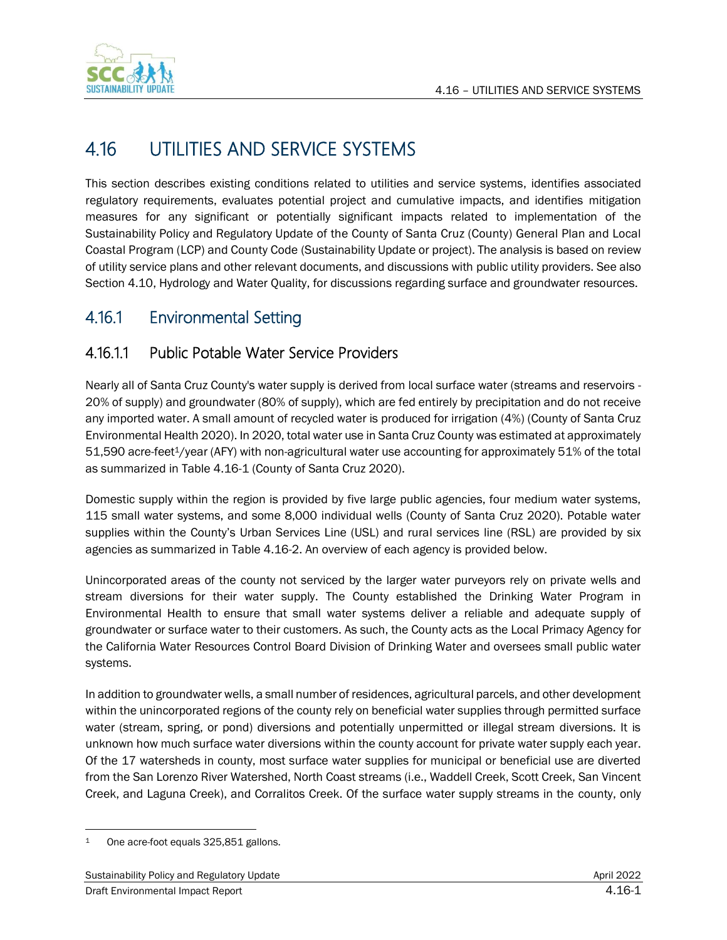

# 4.16 UTILITIES AND SERVICE SYSTEMS

This section describes existing conditions related to utilities and service systems, identifies associated regulatory requirements, evaluates potential project and cumulative impacts, and identifies mitigation measures for any significant or potentially significant impacts related to implementation of the Sustainability Policy and Regulatory Update of the County of Santa Cruz (County) General Plan and Local Coastal Program (LCP) and County Code (Sustainability Update or project). The analysis is based on review of utility service plans and other relevant documents, and discussions with public utility providers. See also Section 4.10, Hydrology and Water Quality, for discussions regarding surface and groundwater resources.

## 4.16.1 Environmental Setting

## 4.16.1.1 Public Potable Water Service Providers

Nearly all of Santa Cruz County's water supply is derived from local surface water (streams and reservoirs - 20% of supply) and groundwater (80% of supply), which are fed entirely by precipitation and do not receive any imported water. A small amount of recycled water is produced for irrigation (4%) (County of Santa Cruz Environmental Health 2020). In 2020, total water use in Santa Cruz County was estimated at approximately 51,590 acre-feet1/year (AFY) with non-agricultural water use accounting for approximately 51% of the total as summarized in Table 4.16-1 (County of Santa Cruz 2020).

Domestic supply within the region is provided by five large public agencies, four medium water systems, 115 small water systems, and some 8,000 individual wells (County of Santa Cruz 2020). Potable water supplies within the County's Urban Services Line (USL) and rural services line (RSL) are provided by six agencies as summarized in Table 4.16-2. An overview of each agency is provided below.

Unincorporated areas of the county not serviced by the larger water purveyors rely on private wells and stream diversions for their water supply. The County established the Drinking Water Program in Environmental Health to ensure that small water systems deliver a reliable and adequate supply of groundwater or surface water to their customers. As such, the County acts as the Local Primacy Agency for the California Water Resources Control Board Division of Drinking Water and oversees small public water systems.

In addition to groundwater wells, a small number of residences, agricultural parcels, and other development within the unincorporated regions of the county rely on beneficial water supplies through permitted surface water (stream, spring, or pond) diversions and potentially unpermitted or illegal stream diversions. It is unknown how much surface water diversions within the county account for private water supply each year. Of the 17 watersheds in county, most surface water supplies for municipal or beneficial use are diverted from the San Lorenzo River Watershed, North Coast streams (i.e., Waddell Creek, Scott Creek, San Vincent Creek, and Laguna Creek), and Corralitos Creek. Of the surface water supply streams in the county, only

<sup>1</sup> One acre-foot equals 325,851 gallons.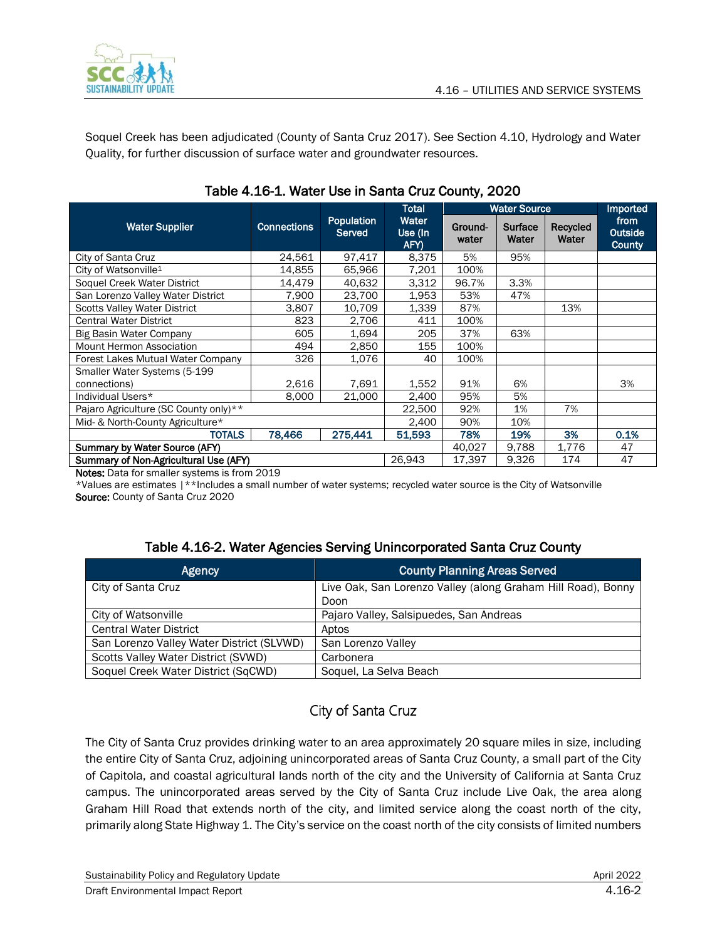

Soquel Creek has been adjudicated (County of Santa Cruz 2017). See Section 4.10, Hydrology and Water Quality, for further discussion of surface water and groundwater resources.

|                                       |                    |                                    | <b>Total</b>             |                  | <b>Water Source</b> |                   | <b>Imported</b>                         |
|---------------------------------------|--------------------|------------------------------------|--------------------------|------------------|---------------------|-------------------|-----------------------------------------|
| <b>Water Supplier</b>                 | <b>Connections</b> | <b>Population</b><br><b>Served</b> | Water<br>Use (In<br>AFY) | Ground-<br>water | Surface<br>Water    | Recycled<br>Water | from<br><b>Outside</b><br><b>County</b> |
| City of Santa Cruz                    | 24,561             | 97,417                             | 8,375                    | 5%               | 95%                 |                   |                                         |
| City of Watsonville <sup>1</sup>      | 14,855             | 65,966                             | 7,201                    | 100%             |                     |                   |                                         |
| Soquel Creek Water District           | 14,479             | 40,632                             | 3.312                    | 96.7%            | 3.3%                |                   |                                         |
| San Lorenzo Valley Water District     | 7,900              | 23,700                             | 1,953                    | 53%              | 47%                 |                   |                                         |
| <b>Scotts Valley Water District</b>   | 3,807              | 10.709                             | 1,339                    | 87%              |                     | 13%               |                                         |
| <b>Central Water District</b>         | 823                | 2,706                              | 411                      | 100%             |                     |                   |                                         |
| Big Basin Water Company               | 605                | 1,694                              | 205                      | 37%              | 63%                 |                   |                                         |
| Mount Hermon Association              | 494                | 2,850                              | 155                      | 100%             |                     |                   |                                         |
| Forest Lakes Mutual Water Company     | 326                | 1.076                              | 40                       | 100%             |                     |                   |                                         |
| Smaller Water Systems (5-199          |                    |                                    |                          |                  |                     |                   |                                         |
| connections)                          | 2,616              | 7,691                              | 1,552                    | 91%              | 6%                  |                   | 3%                                      |
| Individual Users*                     | 8,000              | 21,000                             | 2,400                    | 95%              | 5%                  |                   |                                         |
| Pajaro Agriculture (SC County only)** |                    | 22,500                             | 92%                      | 1%               | 7%                  |                   |                                         |
| Mid- & North-County Agriculture*      |                    | 2,400                              | 90%                      | 10%              |                     |                   |                                         |
| <b>TOTALS</b>                         | 78,466             | 275,441                            | 51,593                   | 78%              | 19%                 | 3%                | 0.1%                                    |
| Summary by Water Source (AFY)         |                    |                                    | 40,027                   | 9,788            | 1,776               | 47                |                                         |
| Summary of Non-Agricultural Use (AFY) |                    |                                    | 26,943                   | 17,397           | 9,326               | 174               | 47                                      |

### Table 4.16-1. Water Use in Santa Cruz County, 2020

Notes: Data for smaller systems is from 2019

\*Values are estimates |\*\*Includes a small number of water systems; recycled water source is the City of Watsonville Source: County of Santa Cruz 2020

### Table 4.16-2. Water Agencies Serving Unincorporated Santa Cruz County

| <b>Agency</b>                             | <b>County Planning Areas Served</b>                          |
|-------------------------------------------|--------------------------------------------------------------|
| City of Santa Cruz                        | Live Oak, San Lorenzo Valley (along Graham Hill Road), Bonny |
|                                           | Doon                                                         |
| City of Watsonville                       | Pajaro Valley, Salsipuedes, San Andreas                      |
| <b>Central Water District</b>             | Aptos                                                        |
| San Lorenzo Valley Water District (SLVWD) | San Lorenzo Valley                                           |
| Scotts Valley Water District (SVWD)       | Carbonera                                                    |
| Soquel Creek Water District (SqCWD)       | Soquel, La Selva Beach                                       |

## City of Santa Cruz

The City of Santa Cruz provides drinking water to an area approximately 20 square miles in size, including the entire City of Santa Cruz, adjoining unincorporated areas of Santa Cruz County, a small part of the City of Capitola, and coastal agricultural lands north of the city and the University of California at Santa Cruz campus. The unincorporated areas served by the City of Santa Cruz include Live Oak, the area along Graham Hill Road that extends north of the city, and limited service along the coast north of the city, primarily along State Highway 1. The City's service on the coast north of the city consists of limited numbers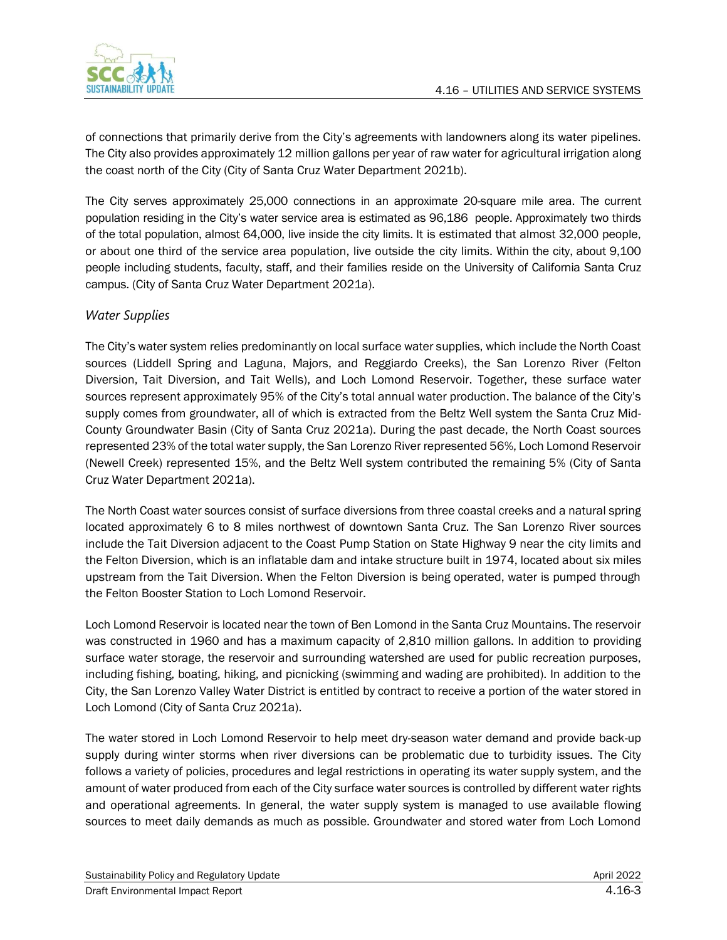

of connections that primarily derive from the City's agreements with landowners along its water pipelines. The City also provides approximately 12 million gallons per year of raw water for agricultural irrigation along the coast north of the City (City of Santa Cruz Water Department 2021b).

The City serves approximately 25,000 connections in an approximate 20-square mile area. The current population residing in the City's water service area is estimated as 96,186 people. Approximately two thirds of the total population, almost 64,000, live inside the city limits. It is estimated that almost 32,000 people, or about one third of the service area population, live outside the city limits. Within the city, about 9,100 people including students, faculty, staff, and their families reside on the University of California Santa Cruz campus. (City of Santa Cruz Water Department 2021a).

### *Water Supplies*

The City's water system relies predominantly on local surface water supplies, which include the North Coast sources (Liddell Spring and Laguna, Majors, and Reggiardo Creeks), the San Lorenzo River (Felton Diversion, Tait Diversion, and Tait Wells), and Loch Lomond Reservoir. Together, these surface water sources represent approximately 95% of the City's total annual water production. The balance of the City's supply comes from groundwater, all of which is extracted from the Beltz Well system the Santa Cruz Mid-County Groundwater Basin (City of Santa Cruz 2021a). During the past decade, the North Coast sources represented 23% of the total water supply, the San Lorenzo River represented 56%, Loch Lomond Reservoir (Newell Creek) represented 15%, and the Beltz Well system contributed the remaining 5% (City of Santa Cruz Water Department 2021a).

The North Coast water sources consist of surface diversions from three coastal creeks and a natural spring located approximately 6 to 8 miles northwest of downtown Santa Cruz. The San Lorenzo River sources include the Tait Diversion adjacent to the Coast Pump Station on State Highway 9 near the city limits and the Felton Diversion, which is an inflatable dam and intake structure built in 1974, located about six miles upstream from the Tait Diversion. When the Felton Diversion is being operated, water is pumped through the Felton Booster Station to Loch Lomond Reservoir.

Loch Lomond Reservoir is located near the town of Ben Lomond in the Santa Cruz Mountains. The reservoir was constructed in 1960 and has a maximum capacity of 2,810 million gallons. In addition to providing surface water storage, the reservoir and surrounding watershed are used for public recreation purposes, including fishing, boating, hiking, and picnicking (swimming and wading are prohibited). In addition to the City, the San Lorenzo Valley Water District is entitled by contract to receive a portion of the water stored in Loch Lomond (City of Santa Cruz 2021a).

The water stored in Loch Lomond Reservoir to help meet dry-season water demand and provide back-up supply during winter storms when river diversions can be problematic due to turbidity issues. The City follows a variety of policies, procedures and legal restrictions in operating its water supply system, and the amount of water produced from each of the City surface water sources is controlled by different water rights and operational agreements. In general, the water supply system is managed to use available flowing sources to meet daily demands as much as possible. Groundwater and stored water from Loch Lomond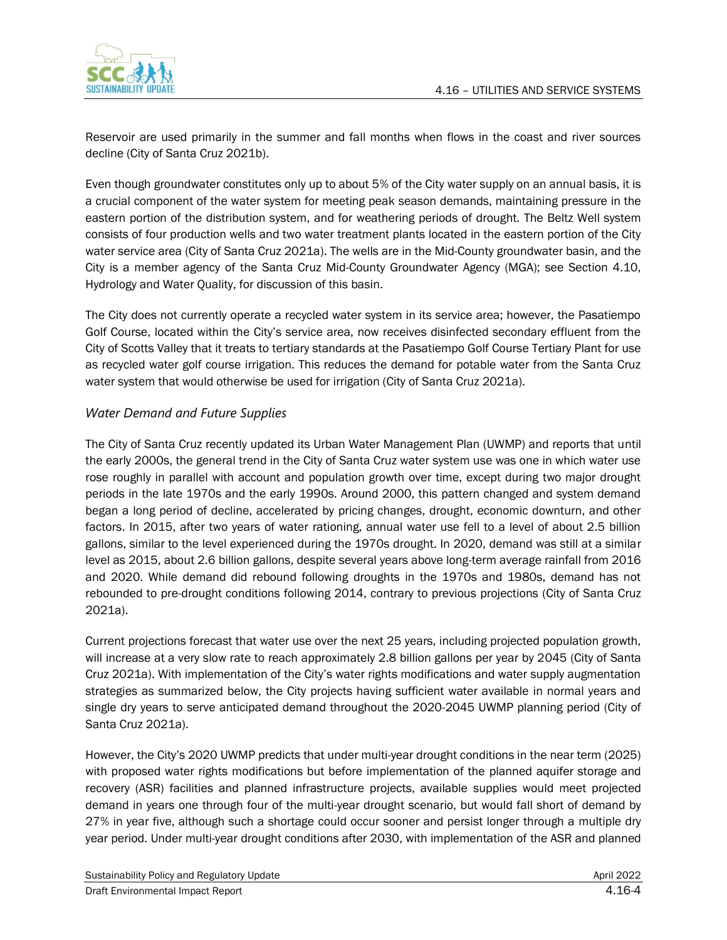

Reservoir are used primarily in the summer and fall months when flows in the coast and river sources decline (City of Santa Cruz 2021b).

Even though groundwater constitutes only up to about 5% of the City water supply on an annual basis, it is a crucial component of the water system for meeting peak season demands, maintaining pressure in the eastern portion of the distribution system, and for weathering periods of drought. The Beltz Well system consists of four production wells and two water treatment plants located in the eastern portion of the City water service area (City of Santa Cruz 2021a). The wells are in the Mid-County groundwater basin, and the City is a member agency of the Santa Cruz Mid-County Groundwater Agency (MGA); see Section 4.10, Hydrology and Water Quality, for discussion of this basin.

The City does not currently operate a recycled water system in its service area; however, the Pasatiempo Golf Course, located within the City's service area, now receives disinfected secondary effluent from the City of Scotts Valley that it treats to tertiary standards at the Pasatiempo Golf Course Tertiary Plant for use as recycled water golf course irrigation. This reduces the demand for potable water from the Santa Cruz water system that would otherwise be used for irrigation (City of Santa Cruz 2021a).

### *Water Demand and Future Supplies*

The City of Santa Cruz recently updated its Urban Water Management Plan (UWMP) and reports that until the early 2000s, the general trend in the City of Santa Cruz water system use was one in which water use rose roughly in parallel with account and population growth over time, except during two major drought periods in the late 1970s and the early 1990s. Around 2000, this pattern changed and system demand began a long period of decline, accelerated by pricing changes, drought, economic downturn, and other factors. In 2015, after two years of water rationing, annual water use fell to a level of about 2.5 billion gallons, similar to the level experienced during the 1970s drought. In 2020, demand was still at a similar level as 2015, about 2.6 billion gallons, despite several years above long-term average rainfall from 2016 and 2020. While demand did rebound following droughts in the 1970s and 1980s, demand has not rebounded to pre-drought conditions following 2014, contrary to previous projections (City of Santa Cruz 2021a).

Current projections forecast that water use over the next 25 years, including projected population growth, will increase at a very slow rate to reach approximately 2.8 billion gallons per year by 2045 (City of Santa Cruz 2021a). With implementation of the City's water rights modifications and water supply augmentation strategies as summarized below, the City projects having sufficient water available in normal years and single dry years to serve anticipated demand throughout the 2020-2045 UWMP planning period (City of Santa Cruz 2021a).

However, the City's 2020 UWMP predicts that under multi-year drought conditions in the near term (2025) with proposed water rights modifications but before implementation of the planned aquifer storage and recovery (ASR) facilities and planned infrastructure projects, available supplies would meet projected demand in years one through four of the multi-year drought scenario, but would fall short of demand by 27% in year five, although such a shortage could occur sooner and persist longer through a multiple dry year period. Under multi-year drought conditions after 2030, with implementation of the ASR and planned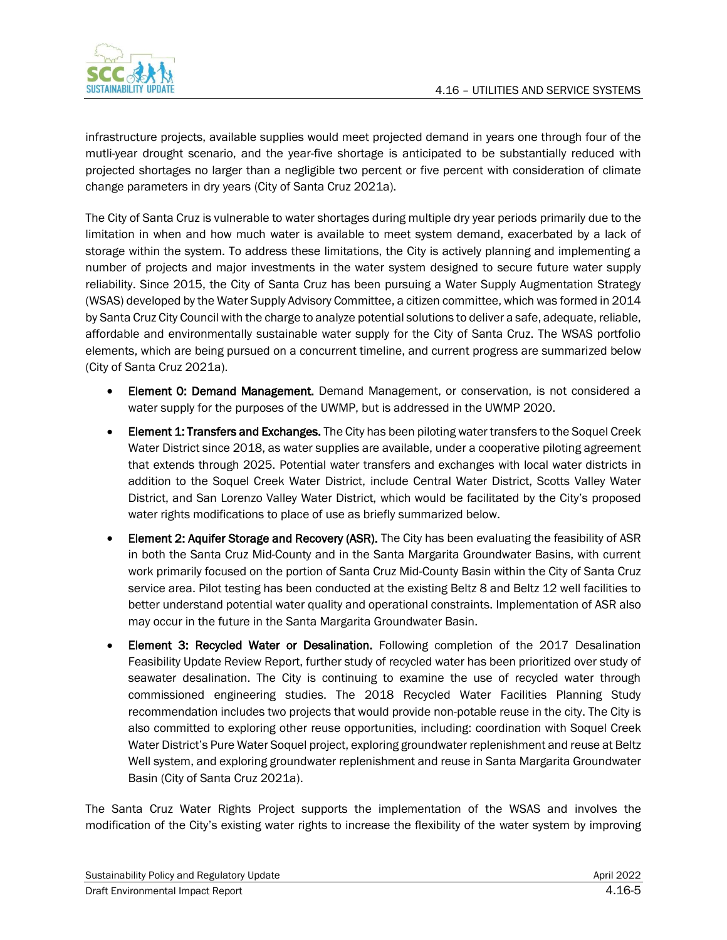

infrastructure projects, available supplies would meet projected demand in years one through four of the mutli-year drought scenario, and the year-five shortage is anticipated to be substantially reduced with projected shortages no larger than a negligible two percent or five percent with consideration of climate change parameters in dry years (City of Santa Cruz 2021a).

The City of Santa Cruz is vulnerable to water shortages during multiple dry year periods primarily due to the limitation in when and how much water is available to meet system demand, exacerbated by a lack of storage within the system. To address these limitations, the City is actively planning and implementing a number of projects and major investments in the water system designed to secure future water supply reliability. Since 2015, the City of Santa Cruz has been pursuing a Water Supply Augmentation Strategy (WSAS) developed by the Water Supply Advisory Committee, a citizen committee, which was formed in 2014 by Santa Cruz City Council with the charge to analyze potential solutions to deliver a safe, adequate, reliable, affordable and environmentally sustainable water supply for the City of Santa Cruz. The WSAS portfolio elements, which are being pursued on a concurrent timeline, and current progress are summarized below (City of Santa Cruz 2021a).

- **Element 0: Demand Management.** Demand Management, or conservation, is not considered a water supply for the purposes of the UWMP, but is addressed in the UWMP 2020.
- Element 1: Transfers and Exchanges. The City has been piloting water transfers to the Soquel Creek Water District since 2018, as water supplies are available, under a cooperative piloting agreement that extends through 2025. Potential water transfers and exchanges with local water districts in addition to the Soquel Creek Water District, include Central Water District, Scotts Valley Water District, and San Lorenzo Valley Water District, which would be facilitated by the City's proposed water rights modifications to place of use as briefly summarized below.
- Element 2: Aquifer Storage and Recovery (ASR). The City has been evaluating the feasibility of ASR in both the Santa Cruz Mid-County and in the Santa Margarita Groundwater Basins, with current work primarily focused on the portion of Santa Cruz Mid-County Basin within the City of Santa Cruz service area. Pilot testing has been conducted at the existing Beltz 8 and Beltz 12 well facilities to better understand potential water quality and operational constraints. Implementation of ASR also may occur in the future in the Santa Margarita Groundwater Basin.
- Element 3: Recycled Water or Desalination. Following completion of the 2017 Desalination Feasibility Update Review Report, further study of recycled water has been prioritized over study of seawater desalination. The City is continuing to examine the use of recycled water through commissioned engineering studies. The 2018 Recycled Water Facilities Planning Study recommendation includes two projects that would provide non-potable reuse in the city. The City is also committed to exploring other reuse opportunities, including: coordination with Soquel Creek Water District's Pure Water Soquel project, exploring groundwater replenishment and reuse at Beltz Well system, and exploring groundwater replenishment and reuse in Santa Margarita Groundwater Basin (City of Santa Cruz 2021a).

The Santa Cruz Water Rights Project supports the implementation of the WSAS and involves the modification of the City's existing water rights to increase the flexibility of the water system by improving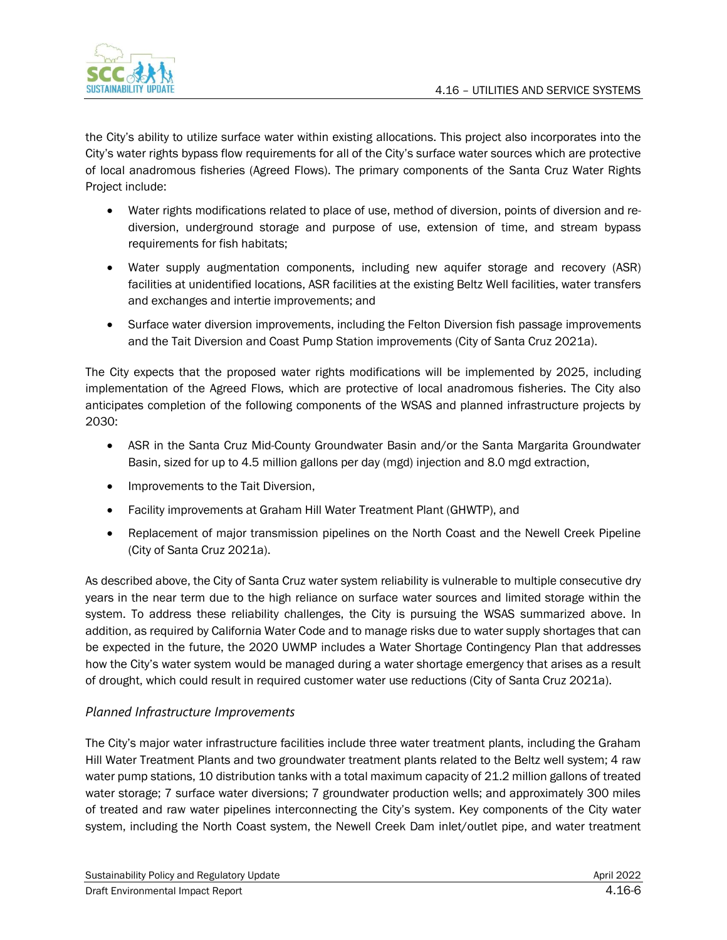

the City's ability to utilize surface water within existing allocations. This project also incorporates into the City's water rights bypass flow requirements for all of the City's surface water sources which are protective of local anadromous fisheries (Agreed Flows). The primary components of the Santa Cruz Water Rights Project include:

- Water rights modifications related to place of use, method of diversion, points of diversion and rediversion, underground storage and purpose of use, extension of time, and stream bypass requirements for fish habitats;
- Water supply augmentation components, including new aquifer storage and recovery (ASR) facilities at unidentified locations, ASR facilities at the existing Beltz Well facilities, water transfers and exchanges and intertie improvements; and
- Surface water diversion improvements, including the Felton Diversion fish passage improvements and the Tait Diversion and Coast Pump Station improvements (City of Santa Cruz 2021a).

The City expects that the proposed water rights modifications will be implemented by 2025, including implementation of the Agreed Flows, which are protective of local anadromous fisheries. The City also anticipates completion of the following components of the WSAS and planned infrastructure projects by 2030:

- ASR in the Santa Cruz Mid-County Groundwater Basin and/or the Santa Margarita Groundwater Basin, sized for up to 4.5 million gallons per day (mgd) injection and 8.0 mgd extraction,
- Improvements to the Tait Diversion,
- Facility improvements at Graham Hill Water Treatment Plant (GHWTP), and
- Replacement of major transmission pipelines on the North Coast and the Newell Creek Pipeline (City of Santa Cruz 2021a).

As described above, the City of Santa Cruz water system reliability is vulnerable to multiple consecutive dry years in the near term due to the high reliance on surface water sources and limited storage within the system. To address these reliability challenges, the City is pursuing the WSAS summarized above. In addition, as required by California Water Code and to manage risks due to water supply shortages that can be expected in the future, the 2020 UWMP includes a Water Shortage Contingency Plan that addresses how the City's water system would be managed during a water shortage emergency that arises as a result of drought, which could result in required customer water use reductions (City of Santa Cruz 2021a).

### *Planned Infrastructure Improvements*

The City's major water infrastructure facilities include three water treatment plants, including the Graham Hill Water Treatment Plants and two groundwater treatment plants related to the Beltz well system; 4 raw water pump stations, 10 distribution tanks with a total maximum capacity of 21.2 million gallons of treated water storage; 7 surface water diversions; 7 groundwater production wells; and approximately 300 miles of treated and raw water pipelines interconnecting the City's system. Key components of the City water system, including the North Coast system, the Newell Creek Dam inlet/outlet pipe, and water treatment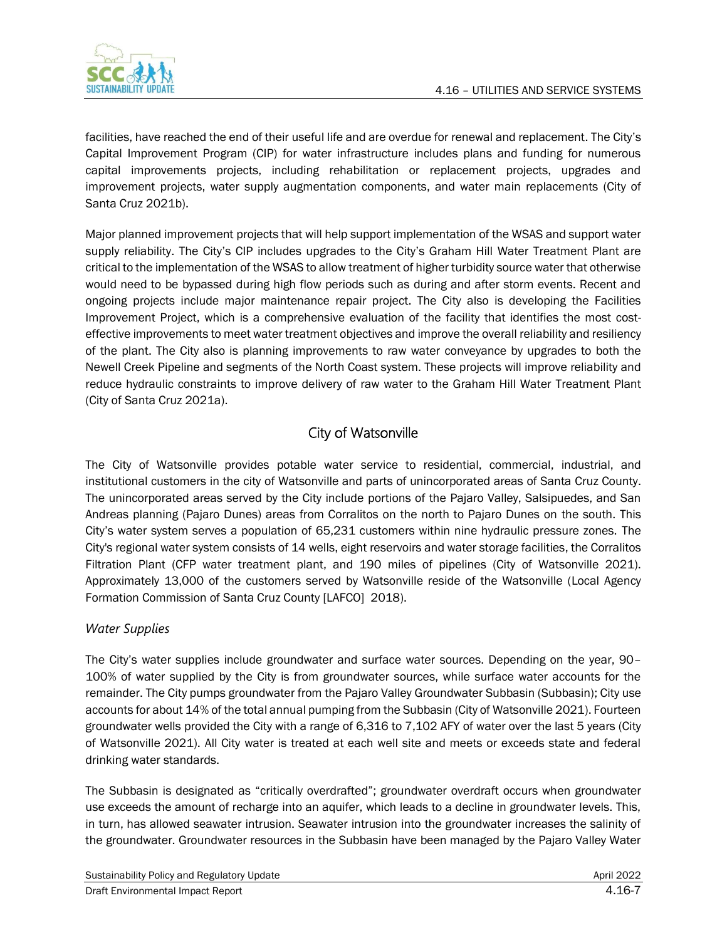

facilities, have reached the end of their useful life and are overdue for renewal and replacement. The City's Capital Improvement Program (CIP) for water infrastructure includes plans and funding for numerous capital improvements projects, including rehabilitation or replacement projects, upgrades and improvement projects, water supply augmentation components, and water main replacements (City of Santa Cruz 2021b).

Major planned improvement projects that will help support implementation of the WSAS and support water supply reliability. The City's CIP includes upgrades to the City's Graham Hill Water Treatment Plant are critical to the implementation of the WSAS to allow treatment of higher turbidity source water that otherwise would need to be bypassed during high flow periods such as during and after storm events. Recent and ongoing projects include major maintenance repair project. The City also is developing the Facilities Improvement Project, which is a comprehensive evaluation of the facility that identifies the most costeffective improvements to meet water treatment objectives and improve the overall reliability and resiliency of the plant. The City also is planning improvements to raw water conveyance by upgrades to both the Newell Creek Pipeline and segments of the North Coast system. These projects will improve reliability and reduce hydraulic constraints to improve delivery of raw water to the Graham Hill Water Treatment Plant (City of Santa Cruz 2021a).

## City of Watsonville

The City of Watsonville provides potable water service to residential, commercial, industrial, and institutional customers in the city of Watsonville and parts of unincorporated areas of Santa Cruz County. The unincorporated areas served by the City include portions of the Pajaro Valley, Salsipuedes, and San Andreas planning (Pajaro Dunes) areas from Corralitos on the north to Pajaro Dunes on the south. This City's water system serves a population of 65,231 customers within nine hydraulic pressure zones. The City's regional water system consists of 14 wells, eight reservoirs and water storage facilities, the Corralitos Filtration Plant (CFP water treatment plant, and 190 miles of pipelines (City of Watsonville 2021). Approximately 13,000 of the customers served by Watsonville reside of the Watsonville (Local Agency Formation Commission of Santa Cruz County [LAFCO] 2018).

### *Water Supplies*

The City's water supplies include groundwater and surface water sources. Depending on the year, 90– 100% of water supplied by the City is from groundwater sources, while surface water accounts for the remainder. The City pumps groundwater from the Pajaro Valley Groundwater Subbasin (Subbasin); City use accounts for about 14% of the total annual pumping from the Subbasin (City of Watsonville 2021). Fourteen groundwater wells provided the City with a range of 6,316 to 7,102 AFY of water over the last 5 years (City of Watsonville 2021). All City water is treated at each well site and meets or exceeds state and federal drinking water standards.

The Subbasin is designated as "critically overdrafted"; groundwater overdraft occurs when groundwater use exceeds the amount of recharge into an aquifer, which leads to a decline in groundwater levels. This, in turn, has allowed seawater intrusion. Seawater intrusion into the groundwater increases the salinity of the groundwater. Groundwater resources in the Subbasin have been managed by the Pajaro Valley Water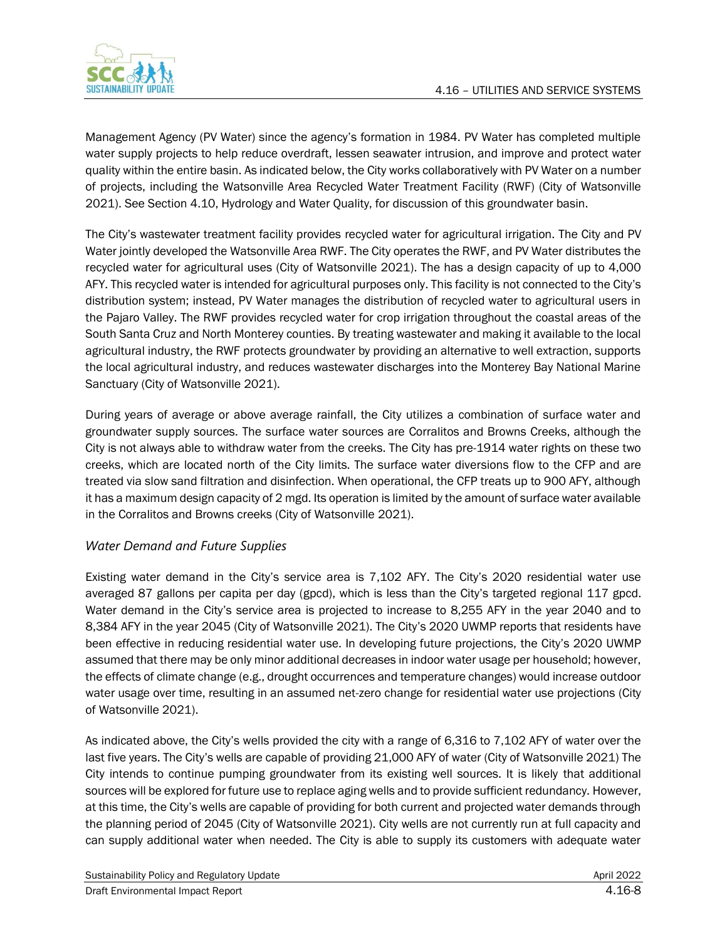

Management Agency (PV Water) since the agency's formation in 1984. PV Water has completed multiple water supply projects to help reduce overdraft, lessen seawater intrusion, and improve and protect water quality within the entire basin. As indicated below, the City works collaboratively with PV Water on a number of projects, including the Watsonville Area Recycled Water Treatment Facility (RWF) (City of Watsonville 2021). See Section 4.10, Hydrology and Water Quality, for discussion of this groundwater basin.

The City's wastewater treatment facility provides recycled water for agricultural irrigation. The City and PV Water jointly developed the Watsonville Area RWF. The City operates the RWF, and PV Water distributes the recycled water for agricultural uses (City of Watsonville 2021). The has a design capacity of up to 4,000 AFY. This recycled water is intended for agricultural purposes only. This facility is not connected to the City's distribution system; instead, PV Water manages the distribution of recycled water to agricultural users in the Pajaro Valley. The RWF provides recycled water for crop irrigation throughout the coastal areas of the South Santa Cruz and North Monterey counties. By treating wastewater and making it available to the local agricultural industry, the RWF protects groundwater by providing an alternative to well extraction, supports the local agricultural industry, and reduces wastewater discharges into the Monterey Bay National Marine Sanctuary (City of Watsonville 2021).

During years of average or above average rainfall, the City utilizes a combination of surface water and groundwater supply sources. The surface water sources are Corralitos and Browns Creeks, although the City is not always able to withdraw water from the creeks. The City has pre-1914 water rights on these two creeks, which are located north of the City limits. The surface water diversions flow to the CFP and are treated via slow sand filtration and disinfection. When operational, the CFP treats up to 900 AFY, although it has a maximum design capacity of 2 mgd. Its operation is limited by the amount of surface water available in the Corralitos and Browns creeks (City of Watsonville 2021).

### *Water Demand and Future Supplies*

Existing water demand in the City's service area is 7,102 AFY. The City's 2020 residential water use averaged 87 gallons per capita per day (gpcd), which is less than the City's targeted regional 117 gpcd. Water demand in the City's service area is projected to increase to 8,255 AFY in the year 2040 and to 8,384 AFY in the year 2045 (City of Watsonville 2021). The City's 2020 UWMP reports that residents have been effective in reducing residential water use. In developing future projections, the City's 2020 UWMP assumed that there may be only minor additional decreases in indoor water usage per household; however, the effects of climate change (e.g., drought occurrences and temperature changes) would increase outdoor water usage over time, resulting in an assumed net-zero change for residential water use projections (City of Watsonville 2021).

As indicated above, the City's wells provided the city with a range of 6,316 to 7,102 AFY of water over the last five years. The City's wells are capable of providing 21,000 AFY of water (City of Watsonville 2021) The City intends to continue pumping groundwater from its existing well sources. It is likely that additional sources will be explored for future use to replace aging wells and to provide sufficient redundancy. However, at this time, the City's wells are capable of providing for both current and projected water demands through the planning period of 2045 (City of Watsonville 2021). City wells are not currently run at full capacity and can supply additional water when needed. The City is able to supply its customers with adequate water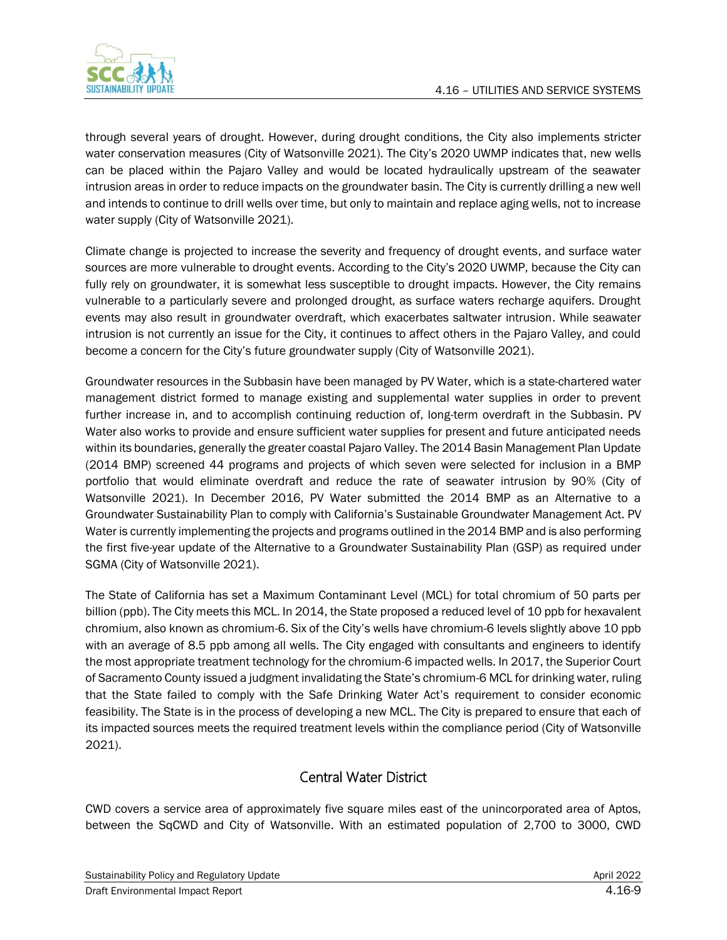

through several years of drought. However, during drought conditions, the City also implements stricter water conservation measures (City of Watsonville 2021). The City's 2020 UWMP indicates that, new wells can be placed within the Pajaro Valley and would be located hydraulically upstream of the seawater intrusion areas in order to reduce impacts on the groundwater basin. The City is currently drilling a new well and intends to continue to drill wells over time, but only to maintain and replace aging wells, not to increase water supply (City of Watsonville 2021).

Climate change is projected to increase the severity and frequency of drought events, and surface water sources are more vulnerable to drought events. According to the City's 2020 UWMP, because the City can fully rely on groundwater, it is somewhat less susceptible to drought impacts. However, the City remains vulnerable to a particularly severe and prolonged drought, as surface waters recharge aquifers. Drought events may also result in groundwater overdraft, which exacerbates saltwater intrusion. While seawater intrusion is not currently an issue for the City, it continues to affect others in the Pajaro Valley, and could become a concern for the City's future groundwater supply (City of Watsonville 2021).

Groundwater resources in the Subbasin have been managed by PV Water, which is a state-chartered water management district formed to manage existing and supplemental water supplies in order to prevent further increase in, and to accomplish continuing reduction of, long-term overdraft in the Subbasin. PV Water also works to provide and ensure sufficient water supplies for present and future anticipated needs within its boundaries, generally the greater coastal Pajaro Valley. The 2014 Basin Management Plan Update (2014 BMP) screened 44 programs and projects of which seven were selected for inclusion in a BMP portfolio that would eliminate overdraft and reduce the rate of seawater intrusion by 90% (City of Watsonville 2021). In December 2016, PV Water submitted the 2014 BMP as an Alternative to a Groundwater Sustainability Plan to comply with California's Sustainable Groundwater Management Act. PV Water is currently implementing the projects and programs outlined in the 2014 BMP and is also performing the first five-year update of the Alternative to a Groundwater Sustainability Plan (GSP) as required under SGMA (City of Watsonville 2021).

The State of California has set a Maximum Contaminant Level (MCL) for total chromium of 50 parts per billion (ppb). The City meets this MCL. In 2014, the State proposed a reduced level of 10 ppb for hexavalent chromium, also known as chromium-6. Six of the City's wells have chromium-6 levels slightly above 10 ppb with an average of 8.5 ppb among all wells. The City engaged with consultants and engineers to identify the most appropriate treatment technology for the chromium-6 impacted wells. In 2017, the Superior Court of Sacramento County issued a judgment invalidating the State's chromium-6 MCL for drinking water, ruling that the State failed to comply with the Safe Drinking Water Act's requirement to consider economic feasibility. The State is in the process of developing a new MCL. The City is prepared to ensure that each of its impacted sources meets the required treatment levels within the compliance period (City of Watsonville 2021).

### Central Water District

CWD covers a service area of approximately five square miles east of the unincorporated area of Aptos, between the SqCWD and City of Watsonville. With an estimated population of 2,700 to 3000, CWD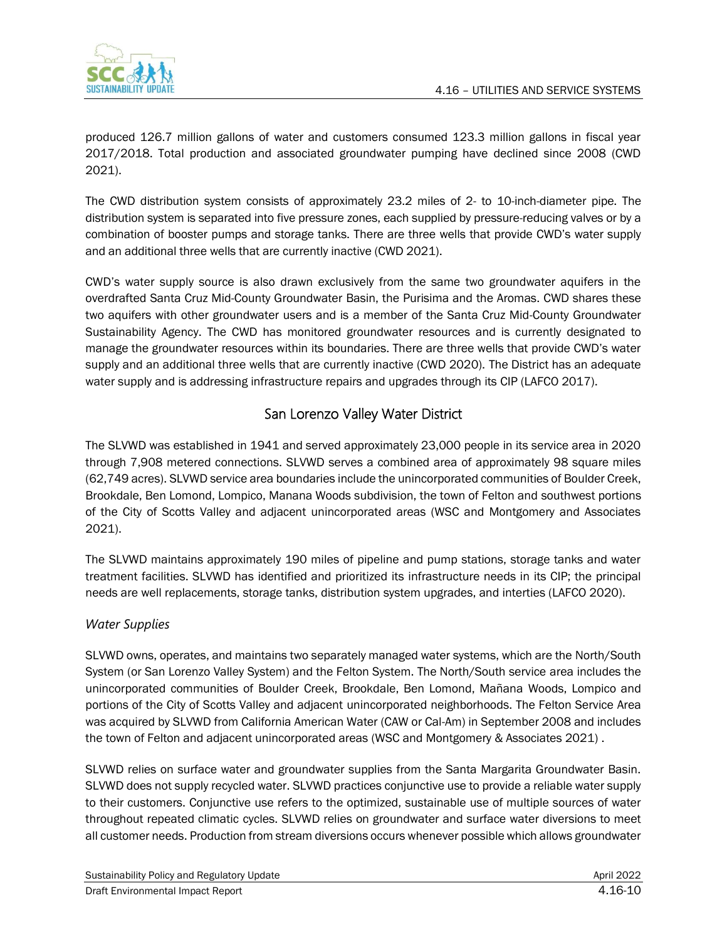

produced 126.7 million gallons of water and customers consumed 123.3 million gallons in fiscal year 2017/2018. Total production and associated groundwater pumping have declined since 2008 (CWD 2021).

The CWD distribution system consists of approximately 23.2 miles of 2- to 10-inch-diameter pipe. The distribution system is separated into five pressure zones, each supplied by pressure-reducing valves or by a combination of booster pumps and storage tanks. There are three wells that provide CWD's water supply and an additional three wells that are currently inactive (CWD 2021).

CWD's water supply source is also drawn exclusively from the same two groundwater aquifers in the overdrafted Santa Cruz Mid-County Groundwater Basin, the Purisima and the Aromas. CWD shares these two aquifers with other groundwater users and is a member of the Santa Cruz Mid-County Groundwater Sustainability Agency. The CWD has monitored groundwater resources and is currently designated to manage the groundwater resources within its boundaries. There are three wells that provide CWD's water supply and an additional three wells that are currently inactive (CWD 2020). The District has an adequate water supply and is addressing infrastructure repairs and upgrades through its CIP (LAFCO 2017).

## San Lorenzo Valley Water District

The SLVWD was established in 1941 and served approximately 23,000 people in its service area in 2020 through 7,908 metered connections. SLVWD serves a combined area of approximately 98 square miles (62,749 acres). SLVWD service area boundaries include the unincorporated communities of Boulder Creek, Brookdale, Ben Lomond, Lompico, Manana Woods subdivision, the town of Felton and southwest portions of the City of Scotts Valley and adjacent unincorporated areas (WSC and Montgomery and Associates 2021).

The SLVWD maintains approximately 190 miles of pipeline and pump stations, storage tanks and water treatment facilities. SLVWD has identified and prioritized its infrastructure needs in its CIP; the principal needs are well replacements, storage tanks, distribution system upgrades, and interties (LAFCO 2020).

### *Water Supplies*

SLVWD owns, operates, and maintains two separately managed water systems, which are the North/South System (or San Lorenzo Valley System) and the Felton System. The North/South service area includes the unincorporated communities of Boulder Creek, Brookdale, Ben Lomond, Mañana Woods, Lompico and portions of the City of Scotts Valley and adjacent unincorporated neighborhoods. The Felton Service Area was acquired by SLVWD from California American Water (CAW or Cal-Am) in September 2008 and includes the town of Felton and adjacent unincorporated areas (WSC and Montgomery & Associates 2021).

SLVWD relies on surface water and groundwater supplies from the Santa Margarita Groundwater Basin. SLVWD does not supply recycled water. SLVWD practices conjunctive use to provide a reliable water supply to their customers. Conjunctive use refers to the optimized, sustainable use of multiple sources of water throughout repeated climatic cycles. SLVWD relies on groundwater and surface water diversions to meet all customer needs. Production from stream diversions occurs whenever possible which allows groundwater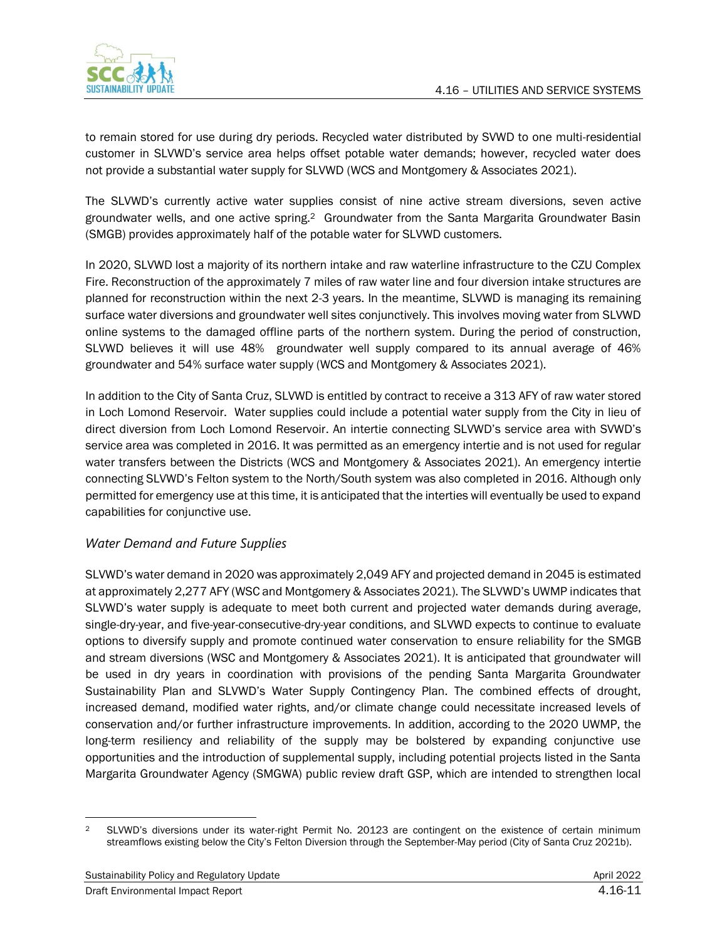

to remain stored for use during dry periods. Recycled water distributed by SVWD to one multi-residential customer in SLVWD's service area helps offset potable water demands; however, recycled water does not provide a substantial water supply for SLVWD (WCS and Montgomery & Associates 2021).

The SLVWD's currently active water supplies consist of nine active stream diversions, seven active groundwater wells, and one active spring.<sup>2</sup> Groundwater from the Santa Margarita Groundwater Basin (SMGB) provides approximately half of the potable water for SLVWD customers.

In 2020, SLVWD lost a majority of its northern intake and raw waterline infrastructure to the CZU Complex Fire. Reconstruction of the approximately 7 miles of raw water line and four diversion intake structures are planned for reconstruction within the next 2-3 years. In the meantime, SLVWD is managing its remaining surface water diversions and groundwater well sites conjunctively. This involves moving water from SLVWD online systems to the damaged offline parts of the northern system. During the period of construction, SLVWD believes it will use 48% groundwater well supply compared to its annual average of 46% groundwater and 54% surface water supply (WCS and Montgomery & Associates 2021).

In addition to the City of Santa Cruz, SLVWD is entitled by contract to receive a 313 AFY of raw water stored in Loch Lomond Reservoir. Water supplies could include a potential water supply from the City in lieu of direct diversion from Loch Lomond Reservoir. An intertie connecting SLVWD's service area with SVWD's service area was completed in 2016. It was permitted as an emergency intertie and is not used for regular water transfers between the Districts (WCS and Montgomery & Associates 2021). An emergency intertie connecting SLVWD's Felton system to the North/South system was also completed in 2016. Although only permitted for emergency use at this time, it is anticipated that the interties will eventually be used to expand capabilities for conjunctive use.

### *Water Demand and Future Supplies*

SLVWD's water demand in 2020 was approximately 2,049 AFY and projected demand in 2045 is estimated at approximately 2,277 AFY (WSC and Montgomery & Associates 2021). The SLVWD's UWMP indicates that SLVWD's water supply is adequate to meet both current and projected water demands during average, single-dry-year, and five-year-consecutive-dry-year conditions, and SLVWD expects to continue to evaluate options to diversify supply and promote continued water conservation to ensure reliability for the SMGB and stream diversions (WSC and Montgomery & Associates 2021). It is anticipated that groundwater will be used in dry years in coordination with provisions of the pending Santa Margarita Groundwater Sustainability Plan and SLVWD's Water Supply Contingency Plan. The combined effects of drought, increased demand, modified water rights, and/or climate change could necessitate increased levels of conservation and/or further infrastructure improvements. In addition, according to the 2020 UWMP, the long-term resiliency and reliability of the supply may be bolstered by expanding conjunctive use opportunities and the introduction of supplemental supply, including potential projects listed in the Santa Margarita Groundwater Agency (SMGWA) public review draft GSP, which are intended to strengthen local

<sup>2</sup> SLVWD's diversions under its water-right Permit No. 20123 are contingent on the existence of certain minimum streamflows existing below the City's Felton Diversion through the September-May period (City of Santa Cruz 2021b).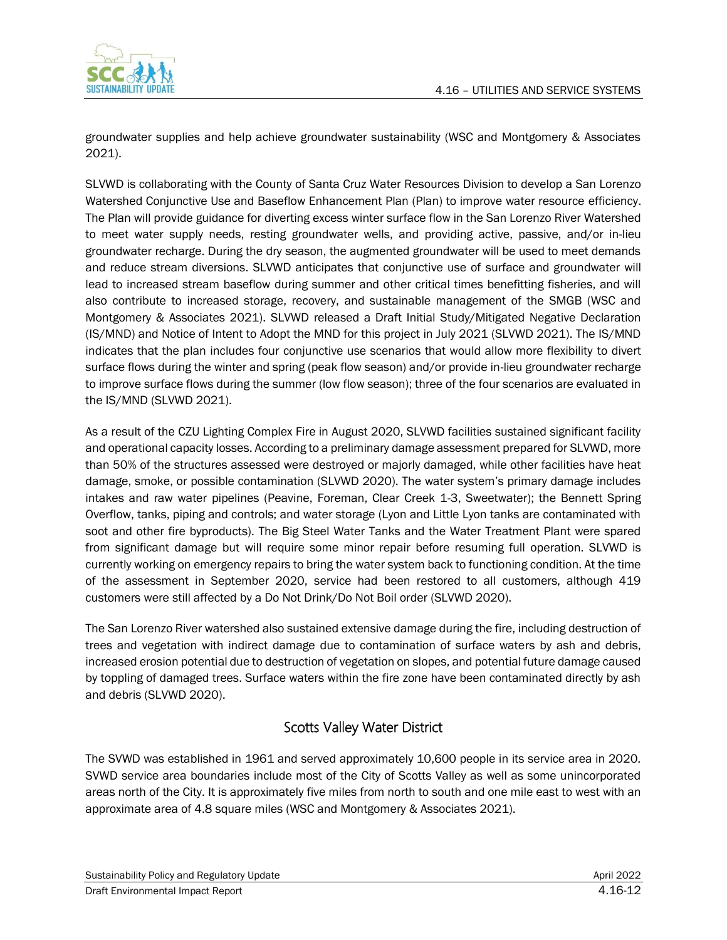

groundwater supplies and help achieve groundwater sustainability (WSC and Montgomery & Associates 2021).

SLVWD is collaborating with the County of Santa Cruz Water Resources Division to develop a San Lorenzo Watershed Conjunctive Use and Baseflow Enhancement Plan (Plan) to improve water resource efficiency. The Plan will provide guidance for diverting excess winter surface flow in the San Lorenzo River Watershed to meet water supply needs, resting groundwater wells, and providing active, passive, and/or in-lieu groundwater recharge. During the dry season, the augmented groundwater will be used to meet demands and reduce stream diversions. SLVWD anticipates that conjunctive use of surface and groundwater will lead to increased stream baseflow during summer and other critical times benefitting fisheries, and will also contribute to increased storage, recovery, and sustainable management of the SMGB (WSC and Montgomery & Associates 2021). SLVWD released a Draft Initial Study/Mitigated Negative Declaration (IS/MND) and Notice of Intent to Adopt the MND for this project in July 2021 (SLVWD 2021). The IS/MND indicates that the plan includes four conjunctive use scenarios that would allow more flexibility to divert surface flows during the winter and spring (peak flow season) and/or provide in-lieu groundwater recharge to improve surface flows during the summer (low flow season); three of the four scenarios are evaluated in the IS/MND (SLVWD 2021).

As a result of the CZU Lighting Complex Fire in August 2020, SLVWD facilities sustained significant facility and operational capacity losses. According to a preliminary damage assessment prepared for SLVWD, more than 50% of the structures assessed were destroyed or majorly damaged, while other facilities have heat damage, smoke, or possible contamination (SLVWD 2020). The water system's primary damage includes intakes and raw water pipelines (Peavine, Foreman, Clear Creek 1-3, Sweetwater); the Bennett Spring Overflow, tanks, piping and controls; and water storage (Lyon and Little Lyon tanks are contaminated with soot and other fire byproducts). The Big Steel Water Tanks and the Water Treatment Plant were spared from significant damage but will require some minor repair before resuming full operation. SLVWD is currently working on emergency repairs to bring the water system back to functioning condition. At the time of the assessment in September 2020, service had been restored to all customers, although 419 customers were still affected by a Do Not Drink/Do Not Boil order (SLVWD 2020).

The San Lorenzo River watershed also sustained extensive damage during the fire, including destruction of trees and vegetation with indirect damage due to contamination of surface waters by ash and debris, increased erosion potential due to destruction of vegetation on slopes, and potential future damage caused by toppling of damaged trees. Surface waters within the fire zone have been contaminated directly by ash and debris (SLVWD 2020).

### Scotts Valley Water District

The SVWD was established in 1961 and served approximately 10,600 people in its service area in 2020. SVWD service area boundaries include most of the City of Scotts Valley as well as some unincorporated areas north of the City. It is approximately five miles from north to south and one mile east to west with an approximate area of 4.8 square miles (WSC and Montgomery & Associates 2021).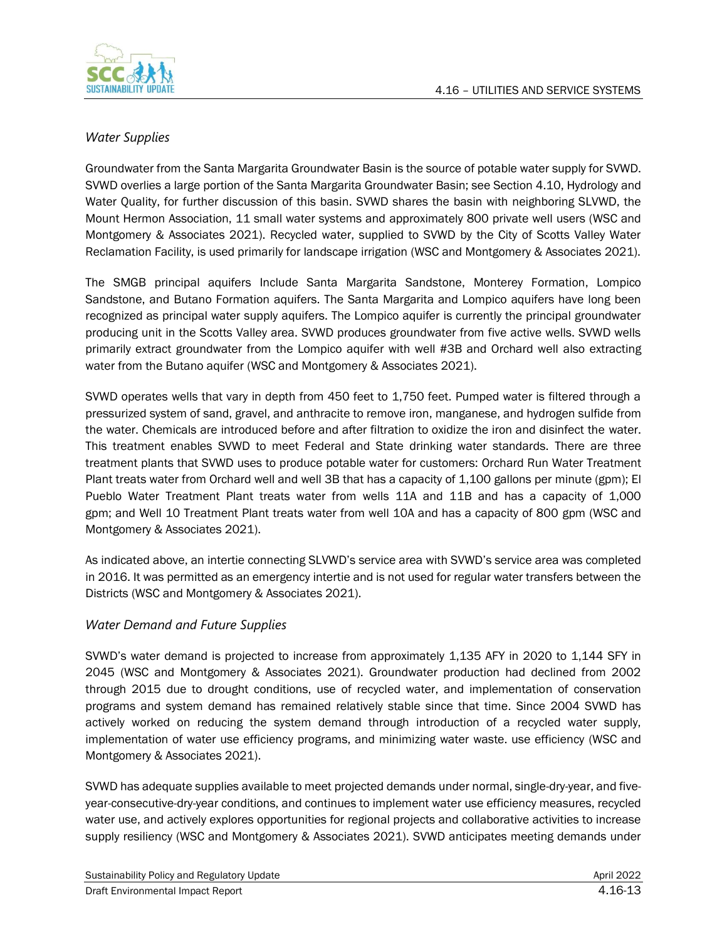



### *Water Supplies*

Groundwater from the Santa Margarita Groundwater Basin is the source of potable water supply for SVWD. SVWD overlies a large portion of the Santa Margarita Groundwater Basin; see Section 4.10, Hydrology and Water Quality, for further discussion of this basin. SVWD shares the basin with neighboring SLVWD, the Mount Hermon Association, 11 small water systems and approximately 800 private well users (WSC and Montgomery & Associates 2021). Recycled water, supplied to SVWD by the City of Scotts Valley Water Reclamation Facility, is used primarily for landscape irrigation (WSC and Montgomery & Associates 2021).

The SMGB principal aquifers Include Santa Margarita Sandstone, Monterey Formation, Lompico Sandstone, and Butano Formation aquifers. The Santa Margarita and Lompico aquifers have long been recognized as principal water supply aquifers. The Lompico aquifer is currently the principal groundwater producing unit in the Scotts Valley area. SVWD produces groundwater from five active wells. SVWD wells primarily extract groundwater from the Lompico aquifer with well #3B and Orchard well also extracting water from the Butano aquifer (WSC and Montgomery & Associates 2021).

SVWD operates wells that vary in depth from 450 feet to 1,750 feet. Pumped water is filtered through a pressurized system of sand, gravel, and anthracite to remove iron, manganese, and hydrogen sulfide from the water. Chemicals are introduced before and after filtration to oxidize the iron and disinfect the water. This treatment enables SVWD to meet Federal and State drinking water standards. There are three treatment plants that SVWD uses to produce potable water for customers: Orchard Run Water Treatment Plant treats water from Orchard well and well 3B that has a capacity of 1,100 gallons per minute (gpm); El Pueblo Water Treatment Plant treats water from wells 11A and 11B and has a capacity of 1,000 gpm; and Well 10 Treatment Plant treats water from well 10A and has a capacity of 800 gpm (WSC and Montgomery & Associates 2021).

As indicated above, an intertie connecting SLVWD's service area with SVWD's service area was completed in 2016. It was permitted as an emergency intertie and is not used for regular water transfers between the Districts (WSC and Montgomery & Associates 2021).

### *Water Demand and Future Supplies*

SVWD's water demand is projected to increase from approximately 1,135 AFY in 2020 to 1,144 SFY in 2045 (WSC and Montgomery & Associates 2021). Groundwater production had declined from 2002 through 2015 due to drought conditions, use of recycled water, and implementation of conservation programs and system demand has remained relatively stable since that time. Since 2004 SVWD has actively worked on reducing the system demand through introduction of a recycled water supply, implementation of water use efficiency programs, and minimizing water waste. use efficiency (WSC and Montgomery & Associates 2021).

SVWD has adequate supplies available to meet projected demands under normal, single-dry-year, and fiveyear-consecutive-dry-year conditions, and continues to implement water use efficiency measures, recycled water use, and actively explores opportunities for regional projects and collaborative activities to increase supply resiliency (WSC and Montgomery & Associates 2021). SVWD anticipates meeting demands under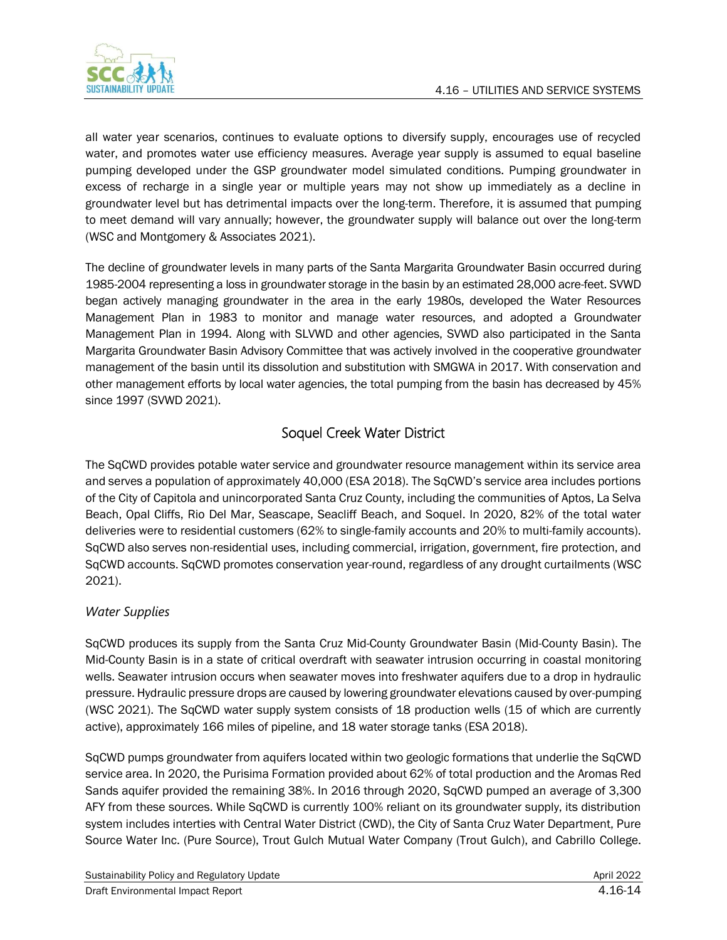

all water year scenarios, continues to evaluate options to diversify supply, encourages use of recycled water, and promotes water use efficiency measures. Average year supply is assumed to equal baseline pumping developed under the GSP groundwater model simulated conditions. Pumping groundwater in excess of recharge in a single year or multiple years may not show up immediately as a decline in groundwater level but has detrimental impacts over the long-term. Therefore, it is assumed that pumping to meet demand will vary annually; however, the groundwater supply will balance out over the long-term (WSC and Montgomery & Associates 2021).

The decline of groundwater levels in many parts of the Santa Margarita Groundwater Basin occurred during 1985-2004 representing a loss in groundwater storage in the basin by an estimated 28,000 acre-feet. SVWD began actively managing groundwater in the area in the early 1980s, developed the Water Resources Management Plan in 1983 to monitor and manage water resources, and adopted a Groundwater Management Plan in 1994. Along with SLVWD and other agencies, SVWD also participated in the Santa Margarita Groundwater Basin Advisory Committee that was actively involved in the cooperative groundwater management of the basin until its dissolution and substitution with SMGWA in 2017. With conservation and other management efforts by local water agencies, the total pumping from the basin has decreased by 45% since 1997 (SVWD 2021).

## Soquel Creek Water District

The SqCWD provides potable water service and groundwater resource management within its service area and serves a population of approximately 40,000 (ESA 2018). The SqCWD's service area includes portions of the City of Capitola and unincorporated Santa Cruz County, including the communities of Aptos, La Selva Beach, Opal Cliffs, Rio Del Mar, Seascape, Seacliff Beach, and Soquel. In 2020, 82% of the total water deliveries were to residential customers (62% to single-family accounts and 20% to multi-family accounts). SqCWD also serves non-residential uses, including commercial, irrigation, government, fire protection, and SqCWD accounts. SqCWD promotes conservation year-round, regardless of any drought curtailments (WSC 2021).

### *Water Supplies*

SqCWD produces its supply from the Santa Cruz Mid-County Groundwater Basin (Mid-County Basin). The Mid-County Basin is in a state of critical overdraft with seawater intrusion occurring in coastal monitoring wells. Seawater intrusion occurs when seawater moves into freshwater aquifers due to a drop in hydraulic pressure. Hydraulic pressure drops are caused by lowering groundwater elevations caused by over-pumping (WSC 2021). The SqCWD water supply system consists of 18 production wells (15 of which are currently active), approximately 166 miles of pipeline, and 18 water storage tanks (ESA 2018).

SqCWD pumps groundwater from aquifers located within two geologic formations that underlie the SqCWD service area. In 2020, the Purisima Formation provided about 62% of total production and the Aromas Red Sands aquifer provided the remaining 38%. In 2016 through 2020, SqCWD pumped an average of 3,300 AFY from these sources. While SqCWD is currently 100% reliant on its groundwater supply, its distribution system includes interties with Central Water District (CWD), the City of Santa Cruz Water Department, Pure Source Water Inc. (Pure Source), Trout Gulch Mutual Water Company (Trout Gulch), and Cabrillo College.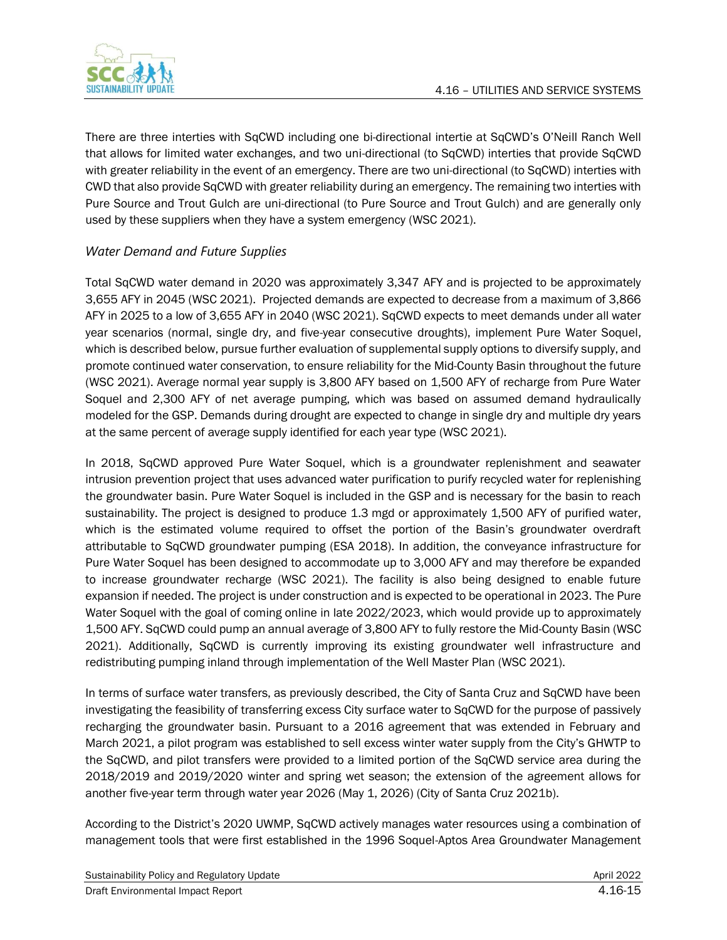

There are three interties with SqCWD including one bi-directional intertie at SqCWD's O'Neill Ranch Well that allows for limited water exchanges, and two uni-directional (to SqCWD) interties that provide SqCWD with greater reliability in the event of an emergency. There are two uni-directional (to SqCWD) interties with CWD that also provide SqCWD with greater reliability during an emergency. The remaining two interties with Pure Source and Trout Gulch are uni-directional (to Pure Source and Trout Gulch) and are generally only used by these suppliers when they have a system emergency (WSC 2021).

### *Water Demand and Future Supplies*

Total SqCWD water demand in 2020 was approximately 3,347 AFY and is projected to be approximately 3,655 AFY in 2045 (WSC 2021). Projected demands are expected to decrease from a maximum of 3,866 AFY in 2025 to a low of 3,655 AFY in 2040 (WSC 2021). SqCWD expects to meet demands under all water year scenarios (normal, single dry, and five-year consecutive droughts), implement Pure Water Soquel, which is described below, pursue further evaluation of supplemental supply options to diversify supply, and promote continued water conservation, to ensure reliability for the Mid-County Basin throughout the future (WSC 2021). Average normal year supply is 3,800 AFY based on 1,500 AFY of recharge from Pure Water Soquel and 2,300 AFY of net average pumping, which was based on assumed demand hydraulically modeled for the GSP. Demands during drought are expected to change in single dry and multiple dry years at the same percent of average supply identified for each year type (WSC 2021).

In 2018, SqCWD approved Pure Water Soquel, which is a groundwater replenishment and seawater intrusion prevention project that uses advanced water purification to purify recycled water for replenishing the groundwater basin. Pure Water Soquel is included in the GSP and is necessary for the basin to reach sustainability. The project is designed to produce 1.3 mgd or approximately 1,500 AFY of purified water, which is the estimated volume required to offset the portion of the Basin's groundwater overdraft attributable to SqCWD groundwater pumping (ESA 2018). In addition, the conveyance infrastructure for Pure Water Soquel has been designed to accommodate up to 3,000 AFY and may therefore be expanded to increase groundwater recharge (WSC 2021). The facility is also being designed to enable future expansion if needed. The project is under construction and is expected to be operational in 2023. The Pure Water Soquel with the goal of coming online in late 2022/2023, which would provide up to approximately 1,500 AFY. SqCWD could pump an annual average of 3,800 AFY to fully restore the Mid-County Basin (WSC 2021). Additionally, SqCWD is currently improving its existing groundwater well infrastructure and redistributing pumping inland through implementation of the Well Master Plan (WSC 2021).

In terms of surface water transfers, as previously described, the City of Santa Cruz and SqCWD have been investigating the feasibility of transferring excess City surface water to SqCWD for the purpose of passively recharging the groundwater basin. Pursuant to a 2016 agreement that was extended in February and March 2021, a pilot program was established to sell excess winter water supply from the City's GHWTP to the SqCWD, and pilot transfers were provided to a limited portion of the SqCWD service area during the 2018/2019 and 2019/2020 winter and spring wet season; the extension of the agreement allows for another five-year term through water year 2026 (May 1, 2026) (City of Santa Cruz 2021b).

According to the District's 2020 UWMP, SqCWD actively manages water resources using a combination of management tools that were first established in the 1996 Soquel-Aptos Area Groundwater Management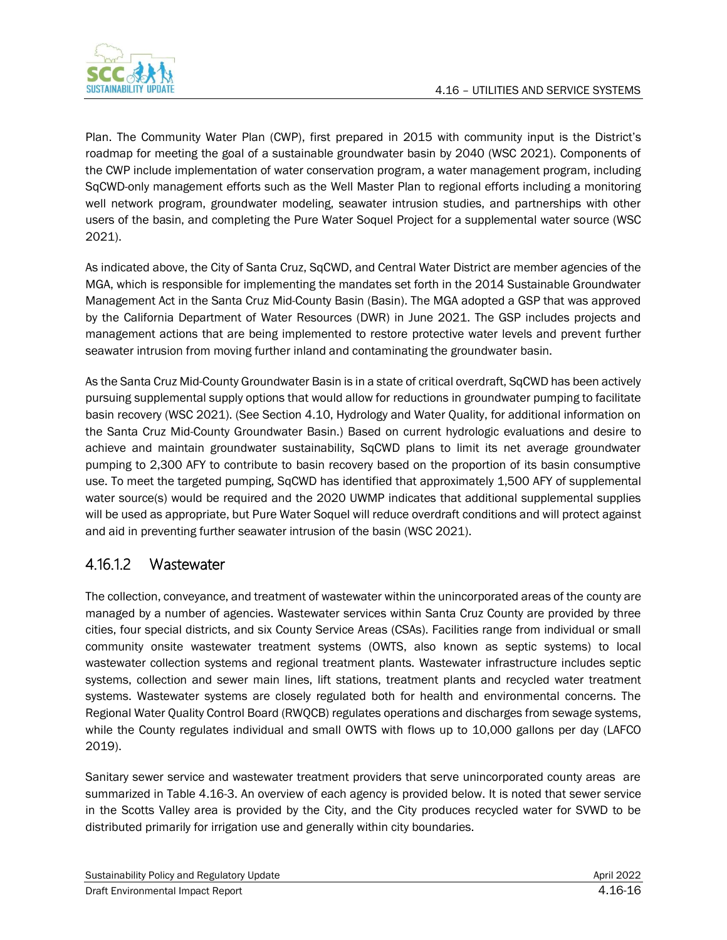

Plan. The Community Water Plan (CWP), first prepared in 2015 with community input is the District's roadmap for meeting the goal of a sustainable groundwater basin by 2040 (WSC 2021). Components of the CWP include implementation of water conservation program, a water management program, including SqCWD-only management efforts such as the Well Master Plan to regional efforts including a monitoring well network program, groundwater modeling, seawater intrusion studies, and partnerships with other users of the basin, and completing the Pure Water Soquel Project for a supplemental water source (WSC 2021).

As indicated above, the City of Santa Cruz, SqCWD, and Central Water District are member agencies of the MGA, which is responsible for implementing the mandates set forth in the 2014 Sustainable Groundwater Management Act in the Santa Cruz Mid-County Basin (Basin). The MGA adopted a GSP that was approved by the California Department of Water Resources (DWR) in June 2021. The GSP includes projects and management actions that are being implemented to restore protective water levels and prevent further seawater intrusion from moving further inland and contaminating the groundwater basin.

As the Santa Cruz Mid-County Groundwater Basin is in a state of critical overdraft, SqCWD has been actively pursuing supplemental supply options that would allow for reductions in groundwater pumping to facilitate basin recovery (WSC 2021). (See Section 4.10, Hydrology and Water Quality, for additional information on the Santa Cruz Mid-County Groundwater Basin.) Based on current hydrologic evaluations and desire to achieve and maintain groundwater sustainability, SqCWD plans to limit its net average groundwater pumping to 2,300 AFY to contribute to basin recovery based on the proportion of its basin consumptive use. To meet the targeted pumping, SqCWD has identified that approximately 1,500 AFY of supplemental water source(s) would be required and the 2020 UWMP indicates that additional supplemental supplies will be used as appropriate, but Pure Water Soquel will reduce overdraft conditions and will protect against and aid in preventing further seawater intrusion of the basin (WSC 2021).

## 4.16.1.2 Wastewater

The collection, conveyance, and treatment of wastewater within the unincorporated areas of the county are managed by a number of agencies. Wastewater services within Santa Cruz County are provided by three cities, four special districts, and six County Service Areas (CSAs). Facilities range from individual or small community onsite wastewater treatment systems (OWTS, also known as septic systems) to local wastewater collection systems and regional treatment plants. Wastewater infrastructure includes septic systems, collection and sewer main lines, lift stations, treatment plants and recycled water treatment systems. Wastewater systems are closely regulated both for health and environmental concerns. The Regional Water Quality Control Board (RWQCB) regulates operations and discharges from sewage systems, while the County regulates individual and small OWTS with flows up to 10,000 gallons per day (LAFCO 2019).

Sanitary sewer service and wastewater treatment providers that serve unincorporated county areas are summarized in Table 4.16-3. An overview of each agency is provided below. It is noted that sewer service in the Scotts Valley area is provided by the City, and the City produces recycled water for SVWD to be distributed primarily for irrigation use and generally within city boundaries.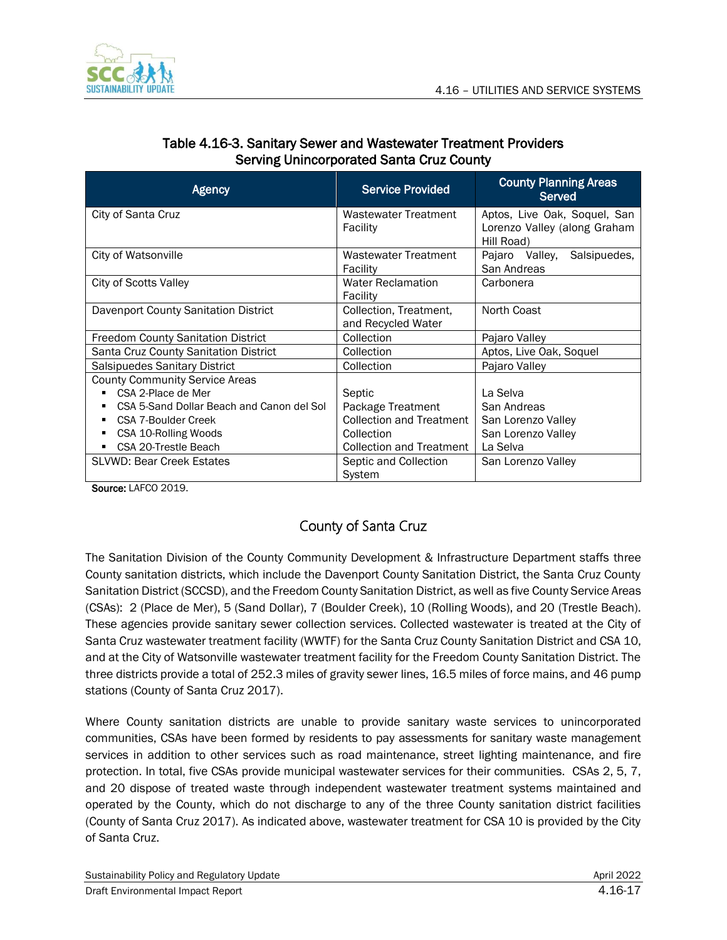

| <b>Agency</b>                             | <b>Service Provided</b>                      | <b>County Planning Areas</b><br>Served                                     |  |
|-------------------------------------------|----------------------------------------------|----------------------------------------------------------------------------|--|
| City of Santa Cruz                        | Wastewater Treatment<br>Facility             | Aptos, Live Oak, Soquel, San<br>Lorenzo Valley (along Graham<br>Hill Road) |  |
| City of Watsonville                       | Wastewater Treatment<br>Facility             | Salsipuedes,<br>Pajaro Valley,<br>San Andreas                              |  |
| City of Scotts Valley                     | <b>Water Reclamation</b><br>Facility         | Carbonera                                                                  |  |
| Davenport County Sanitation District      | Collection, Treatment,<br>and Recycled Water | North Coast                                                                |  |
| Freedom County Sanitation District        | Collection                                   | Pajaro Valley                                                              |  |
| Santa Cruz County Sanitation District     | Collection                                   | Aptos, Live Oak, Soquel                                                    |  |
| Salsipuedes Sanitary District             | Collection                                   | Pajaro Valley                                                              |  |
| <b>County Community Service Areas</b>     |                                              |                                                                            |  |
| CSA 2-Place de Mer                        | Septic                                       | La Selva                                                                   |  |
| CSA 5-Sand Dollar Beach and Canon del Sol | Package Treatment                            | San Andreas                                                                |  |
| CSA 7-Boulder Creek                       | <b>Collection and Treatment</b>              | San Lorenzo Valley                                                         |  |
| CSA 10-Rolling Woods<br>٠                 | Collection                                   | San Lorenzo Valley                                                         |  |
| CSA 20-Trestle Beach                      | <b>Collection and Treatment</b>              | La Selva                                                                   |  |
| <b>SLVWD: Bear Creek Estates</b>          | Septic and Collection<br>System              | San Lorenzo Valley                                                         |  |

### Table 4.16-3. Sanitary Sewer and Wastewater Treatment Providers Serving Unincorporated Santa Cruz County

Source: LAFCO 2019.

## County of Santa Cruz

The Sanitation Division of the County Community Development & Infrastructure Department staffs three County sanitation districts, which include the Davenport County Sanitation District, the Santa Cruz County Sanitation District (SCCSD), and the Freedom County Sanitation District, as well as five County Service Areas (CSAs): 2 (Place de Mer), 5 (Sand Dollar), 7 (Boulder Creek), 10 (Rolling Woods), and 20 (Trestle Beach). These agencies provide sanitary sewer collection services. Collected wastewater is treated at the City of Santa Cruz wastewater treatment facility (WWTF) for the Santa Cruz County Sanitation District and CSA 10, and at the City of Watsonville wastewater treatment facility for the Freedom County Sanitation District. The three districts provide a total of 252.3 miles of gravity sewer lines, 16.5 miles of force mains, and 46 pump stations (County of Santa Cruz 2017).

Where County sanitation districts are unable to provide sanitary waste services to unincorporated communities, CSAs have been formed by residents to pay assessments for sanitary waste management services in addition to other services such as road maintenance, street lighting maintenance, and fire protection. In total, five CSAs provide municipal wastewater services for their communities. CSAs 2, 5, 7, and 20 dispose of treated waste through independent wastewater treatment systems maintained and operated by the County, which do not discharge to any of the three County sanitation district facilities (County of Santa Cruz 2017). As indicated above, wastewater treatment for CSA 10 is provided by the City of Santa Cruz.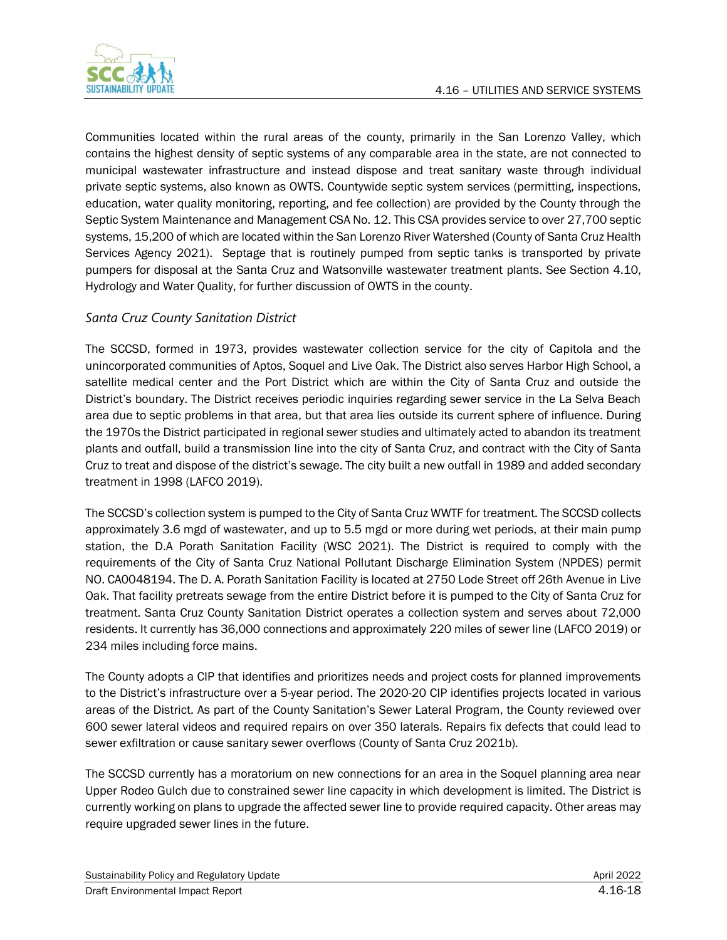

Communities located within the rural areas of the county, primarily in the San Lorenzo Valley, which contains the highest density of septic systems of any comparable area in the state, are not connected to municipal wastewater infrastructure and instead dispose and treat sanitary waste through individual private septic systems, also known as OWTS. Countywide septic system services (permitting, inspections, education, water quality monitoring, reporting, and fee collection) are provided by the County through the Septic System Maintenance and Management CSA No. 12. This CSA provides service to over 27,700 septic systems, 15,200 of which are located within the San Lorenzo River Watershed (County of Santa Cruz Health Services Agency 2021). Septage that is routinely pumped from septic tanks is transported by private pumpers for disposal at the Santa Cruz and Watsonville wastewater treatment plants. See Section 4.10, Hydrology and Water Quality, for further discussion of OWTS in the county.

### *Santa Cruz County Sanitation District*

The SCCSD, formed in 1973, provides wastewater collection service for the city of Capitola and the unincorporated communities of Aptos, Soquel and Live Oak. The District also serves Harbor High School, a satellite medical center and the Port District which are within the City of Santa Cruz and outside the District's boundary. The District receives periodic inquiries regarding sewer service in the La Selva Beach area due to septic problems in that area, but that area lies outside its current sphere of influence. During the 1970s the District participated in regional sewer studies and ultimately acted to abandon its treatment plants and outfall, build a transmission line into the city of Santa Cruz, and contract with the City of Santa Cruz to treat and dispose of the district's sewage. The city built a new outfall in 1989 and added secondary treatment in 1998 (LAFCO 2019).

The SCCSD's collection system is pumped to the City of Santa Cruz WWTF for treatment. The SCCSD collects approximately 3.6 mgd of wastewater, and up to 5.5 mgd or more during wet periods, at their main pump station, the D.A Porath Sanitation Facility (WSC 2021). The District is required to comply with the requirements of the City of Santa Cruz National Pollutant Discharge Elimination System (NPDES) permit NO. CA0048194. The D. A. Porath Sanitation Facility is located at 2750 Lode Street off 26th Avenue in Live Oak. That facility pretreats sewage from the entire District before it is pumped to the City of Santa Cruz for treatment. Santa Cruz County Sanitation District operates a collection system and serves about 72,000 residents. It currently has 36,000 connections and approximately 220 miles of sewer line (LAFCO 2019) or 234 miles including force mains.

The County adopts a CIP that identifies and prioritizes needs and project costs for planned improvements to the District's infrastructure over a 5-year period. The 2020-20 CIP identifies projects located in various areas of the District. As part of the County Sanitation's Sewer Lateral Program, the County reviewed over 600 sewer lateral videos and required repairs on over 350 laterals. Repairs fix defects that could lead to sewer exfiltration or cause sanitary sewer overflows (County of Santa Cruz 2021b).

The SCCSD currently has a moratorium on new connections for an area in the Soquel planning area near Upper Rodeo Gulch due to constrained sewer line capacity in which development is limited. The District is currently working on plans to upgrade the affected sewer line to provide required capacity. Other areas may require upgraded sewer lines in the future.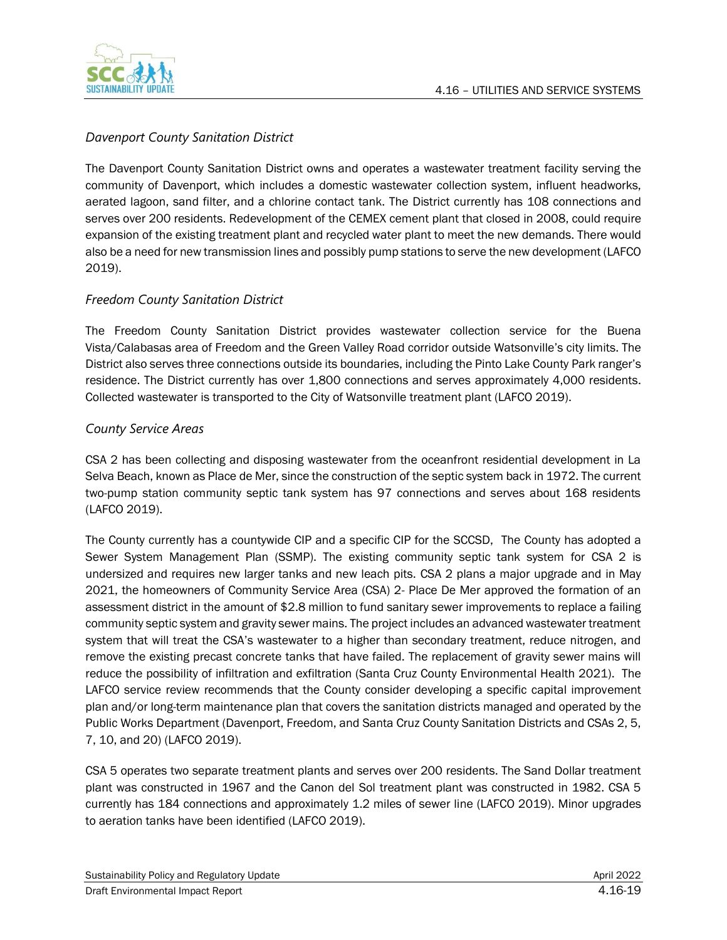

### *Davenport County Sanitation District*

The Davenport County Sanitation District owns and operates a wastewater treatment facility serving the community of Davenport, which includes a domestic wastewater collection system, influent headworks, aerated lagoon, sand filter, and a chlorine contact tank. The District currently has 108 connections and serves over 200 residents. Redevelopment of the CEMEX cement plant that closed in 2008, could require expansion of the existing treatment plant and recycled water plant to meet the new demands. There would also be a need for new transmission lines and possibly pump stations to serve the new development (LAFCO 2019).

### *Freedom County Sanitation District*

The Freedom County Sanitation District provides wastewater collection service for the Buena Vista/Calabasas area of Freedom and the Green Valley Road corridor outside Watsonville's city limits. The District also serves three connections outside its boundaries, including the Pinto Lake County Park ranger's residence. The District currently has over 1,800 connections and serves approximately 4,000 residents. Collected wastewater is transported to the City of Watsonville treatment plant (LAFCO 2019).

### *County Service Areas*

CSA 2 has been collecting and disposing wastewater from the oceanfront residential development in La Selva Beach, known as Place de Mer, since the construction of the septic system back in 1972. The current two-pump station community septic tank system has 97 connections and serves about 168 residents (LAFCO 2019).

The County currently has a countywide CIP and a specific CIP for the SCCSD, The County has adopted a Sewer System Management Plan (SSMP). The existing community septic tank system for CSA 2 is undersized and requires new larger tanks and new leach pits. CSA 2 plans a major upgrade and in May 2021, the homeowners of Community Service Area (CSA) 2- Place De Mer approved the formation of an assessment district in the amount of \$2.8 million to fund sanitary sewer improvements to replace a failing community septic system and gravity sewer mains. The project includes an advanced wastewater treatment system that will treat the CSA's wastewater to a higher than secondary treatment, reduce nitrogen, and remove the existing precast concrete tanks that have failed. The replacement of gravity sewer mains will reduce the possibility of infiltration and exfiltration (Santa Cruz County Environmental Health 2021). The LAFCO service review recommends that the County consider developing a specific capital improvement plan and/or long-term maintenance plan that covers the sanitation districts managed and operated by the Public Works Department (Davenport, Freedom, and Santa Cruz County Sanitation Districts and CSAs 2, 5, 7, 10, and 20) (LAFCO 2019).

CSA 5 operates two separate treatment plants and serves over 200 residents. The Sand Dollar treatment plant was constructed in 1967 and the Canon del Sol treatment plant was constructed in 1982. CSA 5 currently has 184 connections and approximately 1.2 miles of sewer line (LAFCO 2019). Minor upgrades to aeration tanks have been identified (LAFCO 2019).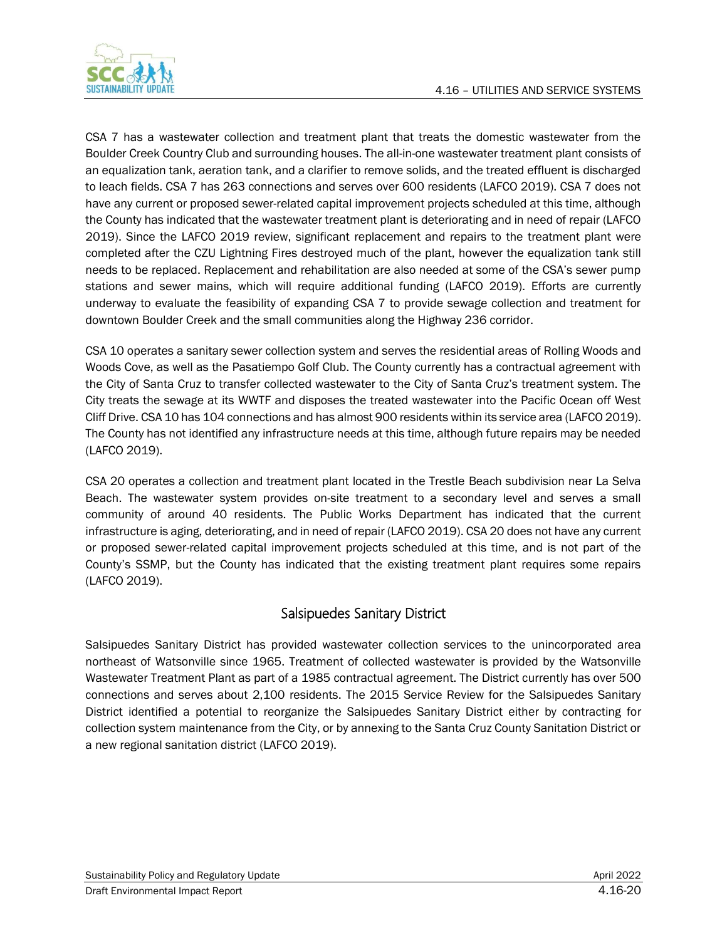

CSA 7 has a wastewater collection and treatment plant that treats the domestic wastewater from the Boulder Creek Country Club and surrounding houses. The all-in-one wastewater treatment plant consists of an equalization tank, aeration tank, and a clarifier to remove solids, and the treated effluent is discharged to leach fields. CSA 7 has 263 connections and serves over 600 residents (LAFCO 2019). CSA 7 does not have any current or proposed sewer-related capital improvement projects scheduled at this time, although the County has indicated that the wastewater treatment plant is deteriorating and in need of repair (LAFCO 2019). Since the LAFCO 2019 review, significant replacement and repairs to the treatment plant were completed after the CZU Lightning Fires destroyed much of the plant, however the equalization tank still needs to be replaced. Replacement and rehabilitation are also needed at some of the CSA's sewer pump stations and sewer mains, which will require additional funding (LAFCO 2019). Efforts are currently underway to evaluate the feasibility of expanding CSA 7 to provide sewage collection and treatment for downtown Boulder Creek and the small communities along the Highway 236 corridor.

CSA 10 operates a sanitary sewer collection system and serves the residential areas of Rolling Woods and Woods Cove, as well as the Pasatiempo Golf Club. The County currently has a contractual agreement with the City of Santa Cruz to transfer collected wastewater to the City of Santa Cruz's treatment system. The City treats the sewage at its WWTF and disposes the treated wastewater into the Pacific Ocean off West Cliff Drive. CSA 10 has 104 connections and has almost 900 residents within its service area (LAFCO 2019). The County has not identified any infrastructure needs at this time, although future repairs may be needed (LAFCO 2019).

CSA 20 operates a collection and treatment plant located in the Trestle Beach subdivision near La Selva Beach. The wastewater system provides on-site treatment to a secondary level and serves a small community of around 40 residents. The Public Works Department has indicated that the current infrastructure is aging, deteriorating, and in need of repair (LAFCO 2019). CSA 20 does not have any current or proposed sewer-related capital improvement projects scheduled at this time, and is not part of the County's SSMP, but the County has indicated that the existing treatment plant requires some repairs (LAFCO 2019).

### Salsipuedes Sanitary District

Salsipuedes Sanitary District has provided wastewater collection services to the unincorporated area northeast of Watsonville since 1965. Treatment of collected wastewater is provided by the Watsonville Wastewater Treatment Plant as part of a 1985 contractual agreement. The District currently has over 500 connections and serves about 2,100 residents. The 2015 Service Review for the Salsipuedes Sanitary District identified a potential to reorganize the Salsipuedes Sanitary District either by contracting for collection system maintenance from the City, or by annexing to the Santa Cruz County Sanitation District or a new regional sanitation district (LAFCO 2019).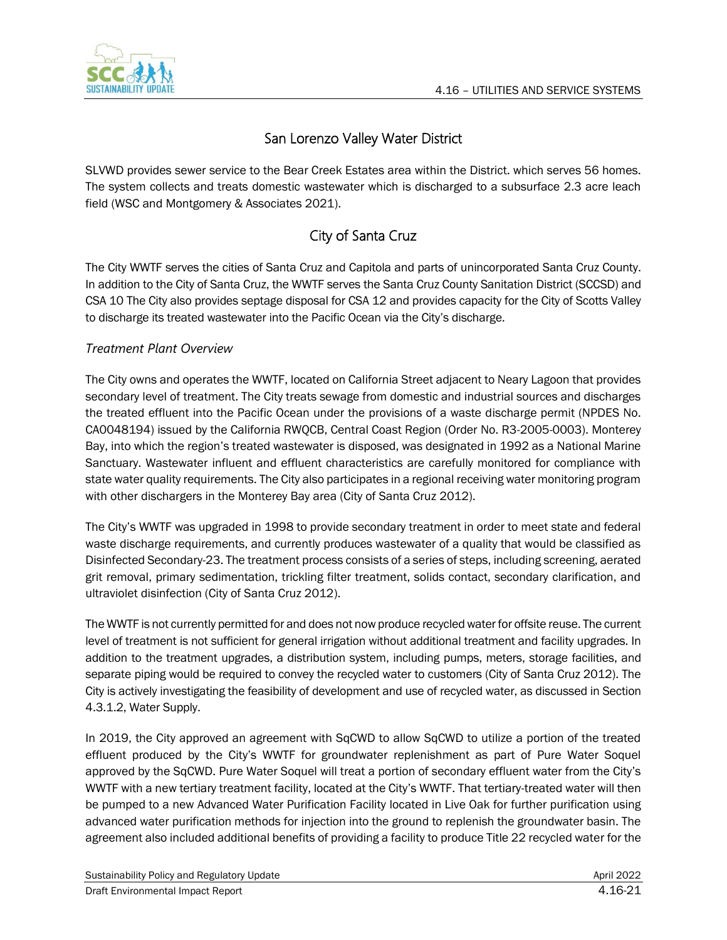

## San Lorenzo Valley Water District

SLVWD provides sewer service to the Bear Creek Estates area within the District. which serves 56 homes. The system collects and treats domestic wastewater which is discharged to a subsurface 2.3 acre leach field (WSC and Montgomery & Associates 2021).

## City of Santa Cruz

The City WWTF serves the cities of Santa Cruz and Capitola and parts of unincorporated Santa Cruz County. In addition to the City of Santa Cruz, the WWTF serves the Santa Cruz County Sanitation District (SCCSD) and CSA 10 The City also provides septage disposal for CSA 12 and provides capacity for the City of Scotts Valley to discharge its treated wastewater into the Pacific Ocean via the City's discharge.

### *Treatment Plant Overview*

The City owns and operates the WWTF, located on California Street adjacent to Neary Lagoon that provides secondary level of treatment. The City treats sewage from domestic and industrial sources and discharges the treated effluent into the Pacific Ocean under the provisions of a waste discharge permit (NPDES No. CA0048194) issued by the California RWQCB, Central Coast Region (Order No. R3-2005-0003). Monterey Bay, into which the region's treated wastewater is disposed, was designated in 1992 as a National Marine Sanctuary. Wastewater influent and effluent characteristics are carefully monitored for compliance with state water quality requirements. The City also participates in a regional receiving water monitoring program with other dischargers in the Monterey Bay area (City of Santa Cruz 2012).

The City's WWTF was upgraded in 1998 to provide secondary treatment in order to meet state and federal waste discharge requirements, and currently produces wastewater of a quality that would be classified as Disinfected Secondary-23. The treatment process consists of a series of steps, including screening, aerated grit removal, primary sedimentation, trickling filter treatment, solids contact, secondary clarification, and ultraviolet disinfection (City of Santa Cruz 2012).

The WWTF is not currently permitted for and does not now produce recycled water for offsite reuse. The current level of treatment is not sufficient for general irrigation without additional treatment and facility upgrades. In addition to the treatment upgrades, a distribution system, including pumps, meters, storage facilities, and separate piping would be required to convey the recycled water to customers (City of Santa Cruz 2012). The City is actively investigating the feasibility of development and use of recycled water, as discussed in Section 4.3.1.2, Water Supply.

In 2019, the City approved an agreement with SqCWD to allow SqCWD to utilize a portion of the treated effluent produced by the City's WWTF for groundwater replenishment as part of Pure Water Soquel approved by the SqCWD. Pure Water Soquel will treat a portion of secondary effluent water from the City's WWTF with a new tertiary treatment facility, located at the City's WWTF. That tertiary-treated water will then be pumped to a new Advanced Water Purification Facility located in Live Oak for further purification using advanced water purification methods for injection into the ground to replenish the groundwater basin. The agreement also included additional benefits of providing a facility to produce Title 22 recycled water for the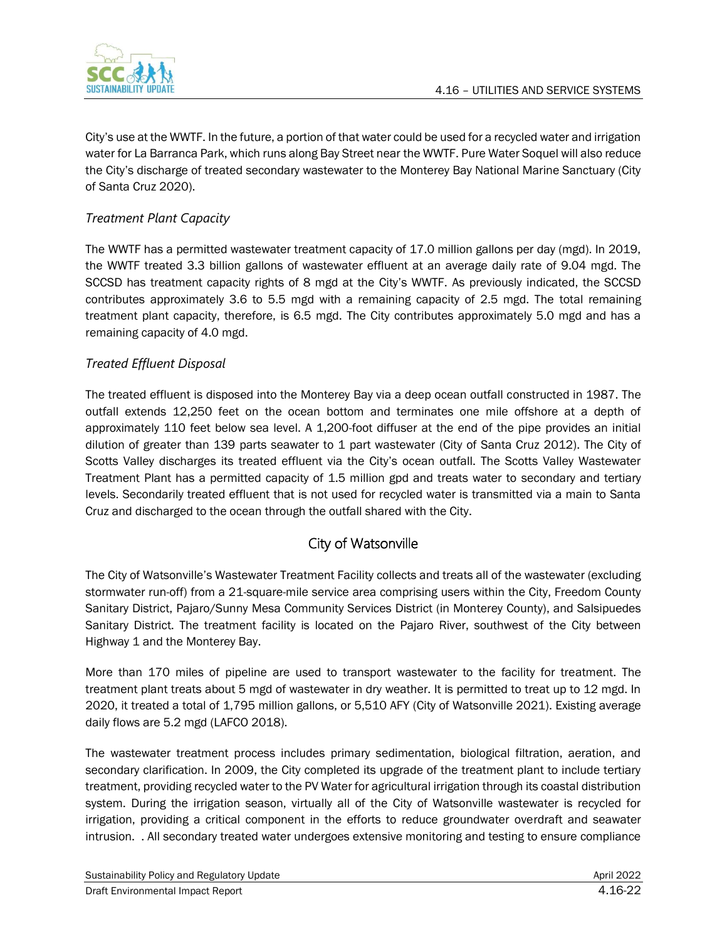

City's use at the WWTF. In the future, a portion of that water could be used for a recycled water and irrigation water for La Barranca Park, which runs along Bay Street near the WWTF. Pure Water Soquel will also reduce the City's discharge of treated secondary wastewater to the Monterey Bay National Marine Sanctuary (City of Santa Cruz 2020).

### *Treatment Plant Capacity*

The WWTF has a permitted wastewater treatment capacity of 17.0 million gallons per day (mgd). In 2019, the WWTF treated 3.3 billion gallons of wastewater effluent at an average daily rate of 9.04 mgd. The SCCSD has treatment capacity rights of 8 mgd at the City's WWTF. As previously indicated, the SCCSD contributes approximately 3.6 to 5.5 mgd with a remaining capacity of 2.5 mgd. The total remaining treatment plant capacity, therefore, is 6.5 mgd. The City contributes approximately 5.0 mgd and has a remaining capacity of 4.0 mgd.

### *Treated Effluent Disposal*

The treated effluent is disposed into the Monterey Bay via a deep ocean outfall constructed in 1987. The outfall extends 12,250 feet on the ocean bottom and terminates one mile offshore at a depth of approximately 110 feet below sea level. A 1,200-foot diffuser at the end of the pipe provides an initial dilution of greater than 139 parts seawater to 1 part wastewater (City of Santa Cruz 2012). The City of Scotts Valley discharges its treated effluent via the City's ocean outfall. The Scotts Valley Wastewater Treatment Plant has a permitted capacity of 1.5 million gpd and treats water to secondary and tertiary levels. Secondarily treated effluent that is not used for recycled water is transmitted via a main to Santa Cruz and discharged to the ocean through the outfall shared with the City.

## City of Watsonville

The City of Watsonville's Wastewater Treatment Facility collects and treats all of the wastewater (excluding stormwater run-off) from a 21-square-mile service area comprising users within the City, Freedom County Sanitary District, Pajaro/Sunny Mesa Community Services District (in Monterey County), and Salsipuedes Sanitary District. The treatment facility is located on the Pajaro River, southwest of the City between Highway 1 and the Monterey Bay.

More than 170 miles of pipeline are used to transport wastewater to the facility for treatment. The treatment plant treats about 5 mgd of wastewater in dry weather. It is permitted to treat up to 12 mgd. In 2020, it treated a total of 1,795 million gallons, or 5,510 AFY (City of Watsonville 2021). Existing average daily flows are 5.2 mgd (LAFCO 2018).

The wastewater treatment process includes primary sedimentation, biological filtration, aeration, and secondary clarification. In 2009, the City completed its upgrade of the treatment plant to include tertiary treatment, providing recycled water to the PV Water for agricultural irrigation through its coastal distribution system. During the irrigation season, virtually all of the City of Watsonville wastewater is recycled for irrigation, providing a critical component in the efforts to reduce groundwater overdraft and seawater intrusion. . All secondary treated water undergoes extensive monitoring and testing to ensure compliance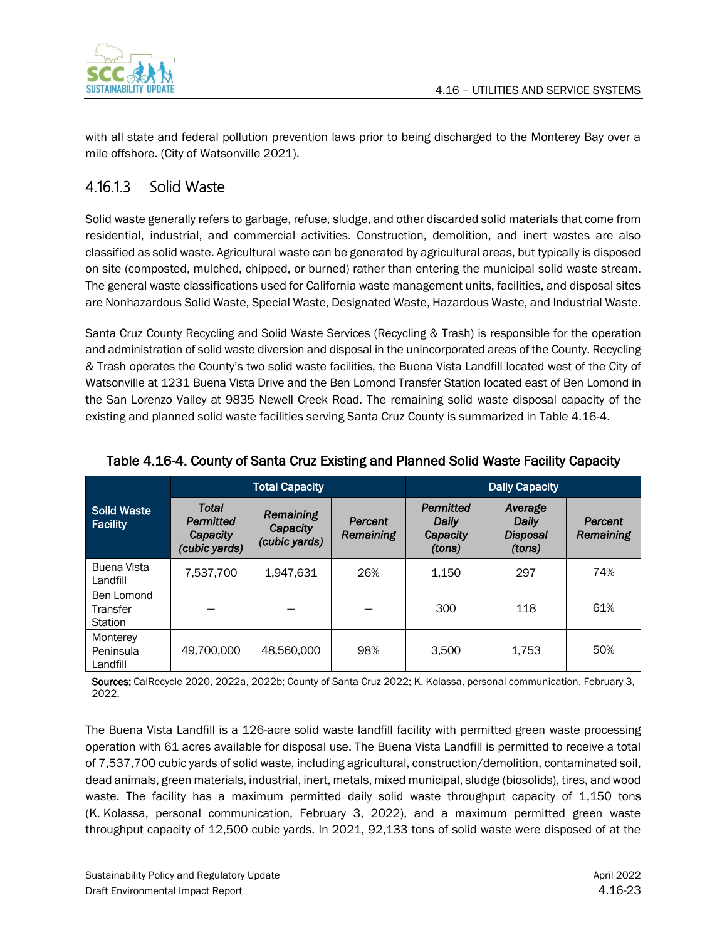

with all state and federal pollution prevention laws prior to being discharged to the Monterey Bay over a mile offshore. (City of Watsonville 2021).

## 4.16.1.3 Solid Waste

Solid waste generally refers to garbage, refuse, sludge, and other discarded solid materials that come from residential, industrial, and commercial activities. Construction, demolition, and inert wastes are also classified as solid waste. Agricultural waste can be generated by agricultural areas, but typically is disposed on site (composted, mulched, chipped, or burned) rather than entering the municipal solid waste stream. The general waste classifications used for California waste management units, facilities, and disposal sites are Nonhazardous Solid Waste, Special Waste, Designated Waste, Hazardous Waste, and Industrial Waste.

Santa Cruz County Recycling and Solid Waste Services (Recycling & Trash) is responsible for the operation and administration of solid waste diversion and disposal in the unincorporated areas of the County. Recycling & Trash operates the County's two solid waste facilities, the Buena Vista Landfill located west of the City of Watsonville at 1231 Buena Vista Drive and the Ben Lomond Transfer Station located east of Ben Lomond in the San Lorenzo Valley at 9835 Newell Creek Road. The remaining solid waste disposal capacity of the existing and planned solid waste facilities serving Santa Cruz County is summarized in Table 4.16-4.

|                                       | <b>Total Capacity</b>                           |                                        |                      | <b>Daily Capacity</b>                    |                                               |                      |
|---------------------------------------|-------------------------------------------------|----------------------------------------|----------------------|------------------------------------------|-----------------------------------------------|----------------------|
| <b>Solid Waste</b><br><b>Facility</b> | Total<br>Permitted<br>Capacity<br>(cubic yards) | Remaining<br>Capacity<br>(cubic yards) | Percent<br>Remaining | Permitted<br>Daily<br>Capacity<br>(tons) | Average<br>Daily<br><b>Disposal</b><br>(tons) | Percent<br>Remaining |
| Buena Vista<br>Landfill               | 7.537.700                                       | 1.947.631                              | 26%                  | 1,150                                    | 297                                           | 74%                  |
| Ben Lomond<br>Transfer<br>Station     |                                                 |                                        |                      | 300                                      | 118                                           | 61%                  |
| Monterey<br>Peninsula<br>Landfill     | 49.700.000                                      | 48.560.000                             | 98%                  | 3.500                                    | 1.753                                         | 50%                  |

### Table 4.16-4. County of Santa Cruz Existing and Planned Solid Waste Facility Capacity

Sources: CalRecycle 2020, 2022a, 2022b; County of Santa Cruz 2022; K. Kolassa, personal communication, February 3, 2022.

The Buena Vista Landfill is a 126-acre solid waste landfill facility with permitted green waste processing operation with 61 acres available for disposal use. The Buena Vista Landfill is permitted to receive a total of 7,537,700 cubic yards of solid waste, including agricultural, construction/demolition, contaminated soil, dead animals, green materials, industrial, inert, metals, mixed municipal, sludge (biosolids), tires, and wood waste. The facility has a maximum permitted daily solid waste throughput capacity of 1,150 tons (K. Kolassa, personal communication, February 3, 2022), and a maximum permitted green waste throughput capacity of 12,500 cubic yards. In 2021, 92,133 tons of solid waste were disposed of at the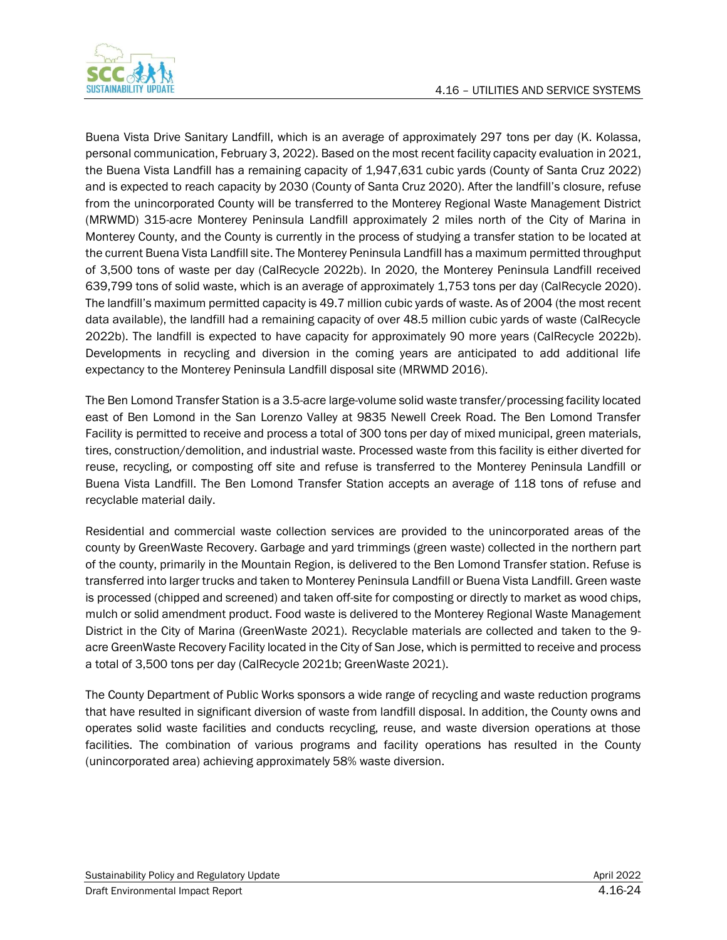

Buena Vista Drive Sanitary Landfill, which is an average of approximately 297 tons per day (K. Kolassa, personal communication, February 3, 2022). Based on the most recent facility capacity evaluation in 2021, the Buena Vista Landfill has a remaining capacity of 1,947,631 cubic yards (County of Santa Cruz 2022) and is expected to reach capacity by 2030 (County of Santa Cruz 2020). After the landfill's closure, refuse from the unincorporated County will be transferred to the Monterey Regional Waste Management District (MRWMD) 315-acre Monterey Peninsula Landfill approximately 2 miles north of the City of Marina in Monterey County, and the County is currently in the process of studying a transfer station to be located at the current Buena Vista Landfill site. The Monterey Peninsula Landfill has a maximum permitted throughput of 3,500 tons of waste per day (CalRecycle 2022b). In 2020, the Monterey Peninsula Landfill received 639,799 tons of solid waste, which is an average of approximately 1,753 tons per day (CalRecycle 2020). The landfill's maximum permitted capacity is 49.7 million cubic yards of waste. As of 2004 (the most recent data available), the landfill had a remaining capacity of over 48.5 million cubic yards of waste (CalRecycle 2022b). The landfill is expected to have capacity for approximately 90 more years (CalRecycle 2022b). Developments in recycling and diversion in the coming years are anticipated to add additional life expectancy to the Monterey Peninsula Landfill disposal site (MRWMD 2016).

The Ben Lomond Transfer Station is a 3.5-acre large-volume solid waste transfer/processing facility located east of Ben Lomond in the San Lorenzo Valley at 9835 Newell Creek Road. The Ben Lomond Transfer Facility is permitted to receive and process a total of 300 tons per day of mixed municipal, green materials, tires, construction/demolition, and industrial waste. Processed waste from this facility is either diverted for reuse, recycling, or composting off site and refuse is transferred to the Monterey Peninsula Landfill or Buena Vista Landfill. The Ben Lomond Transfer Station accepts an average of 118 tons of refuse and recyclable material daily.

Residential and commercial waste collection services are provided to the unincorporated areas of the county by GreenWaste Recovery. Garbage and yard trimmings (green waste) collected in the northern part of the county, primarily in the Mountain Region, is delivered to the Ben Lomond Transfer station. Refuse is transferred into larger trucks and taken to Monterey Peninsula Landfill or Buena Vista Landfill. Green waste is processed (chipped and screened) and taken off-site for composting or directly to market as wood chips, mulch or solid amendment product. Food waste is delivered to the Monterey Regional Waste Management District in the City of Marina (GreenWaste 2021). Recyclable materials are collected and taken to the 9 acre GreenWaste Recovery Facility located in the City of San Jose, which is permitted to receive and process a total of 3,500 tons per day (CalRecycle 2021b; GreenWaste 2021).

The County Department of Public Works sponsors a wide range of recycling and waste reduction programs that have resulted in significant diversion of waste from landfill disposal. In addition, the County owns and operates solid waste facilities and conducts recycling, reuse, and waste diversion operations at those facilities. The combination of various programs and facility operations has resulted in the County (unincorporated area) achieving approximately 58% waste diversion.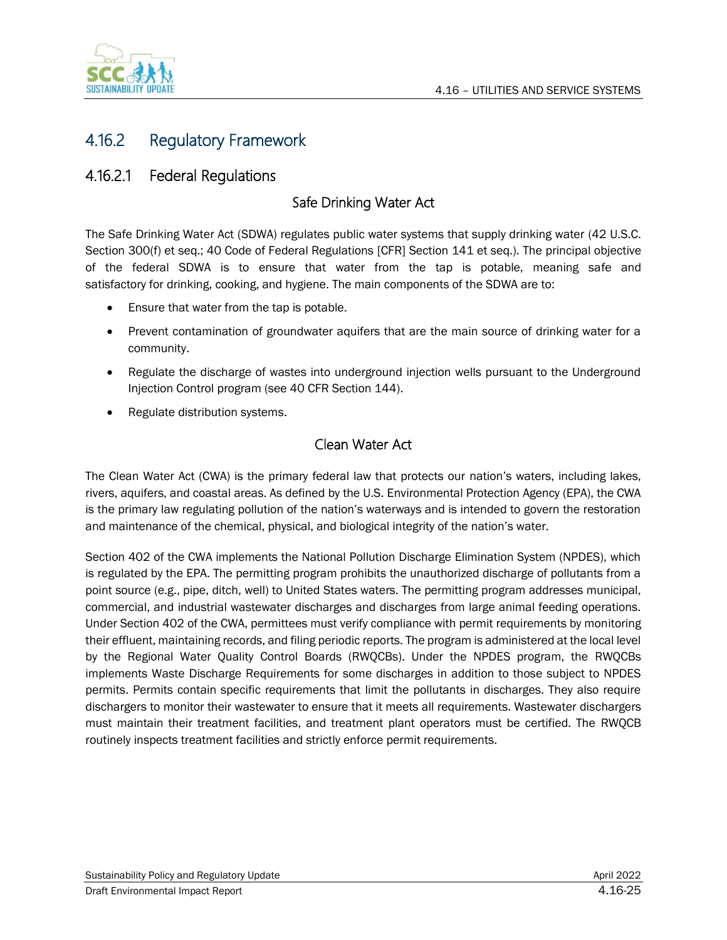

## 4.16.2 Regulatory Framework

## 4.16.2.1 Federal Regulations

### Safe Drinking Water Act

The Safe Drinking Water Act (SDWA) regulates public water systems that supply drinking water (42 U.S.C. Section 300(f) et seq.; 40 Code of Federal Regulations [CFR] Section 141 et seq.). The principal objective of the federal SDWA is to ensure that water from the tap is potable, meaning safe and satisfactory for drinking, cooking, and hygiene. The main components of the SDWA are to:

- Ensure that water from the tap is potable.
- Prevent contamination of groundwater aquifers that are the main source of drinking water for a community.
- Regulate the discharge of wastes into underground injection wells pursuant to the Underground Injection Control program (see 40 CFR Section 144).
- Regulate distribution systems.

### Clean Water Act

The Clean Water Act (CWA) is the primary federal law that protects our nation's waters, including lakes, rivers, aquifers, and coastal areas. As defined by the U.S. Environmental Protection Agency (EPA), the CWA is the primary law regulating pollution of the nation's waterways and is intended to govern the restoration and maintenance of the chemical, physical, and biological integrity of the nation's water.

Section 402 of the CWA implements the National Pollution Discharge Elimination System (NPDES), which is regulated by the EPA. The permitting program prohibits the unauthorized discharge of pollutants from a point source (e.g., pipe, ditch, well) to United States waters. The permitting program addresses municipal, commercial, and industrial wastewater discharges and discharges from large animal feeding operations. Under Section 402 of the CWA, permittees must verify compliance with permit requirements by monitoring their effluent, maintaining records, and filing periodic reports. The program is administered at the local level by the Regional Water Quality Control Boards (RWQCBs). Under the NPDES program, the RWQCBs implements Waste Discharge Requirements for some discharges in addition to those subject to NPDES permits. Permits contain specific requirements that limit the pollutants in discharges. They also require dischargers to monitor their wastewater to ensure that it meets all requirements. Wastewater dischargers must maintain their treatment facilities, and treatment plant operators must be certified. The RWQCB routinely inspects treatment facilities and strictly enforce permit requirements.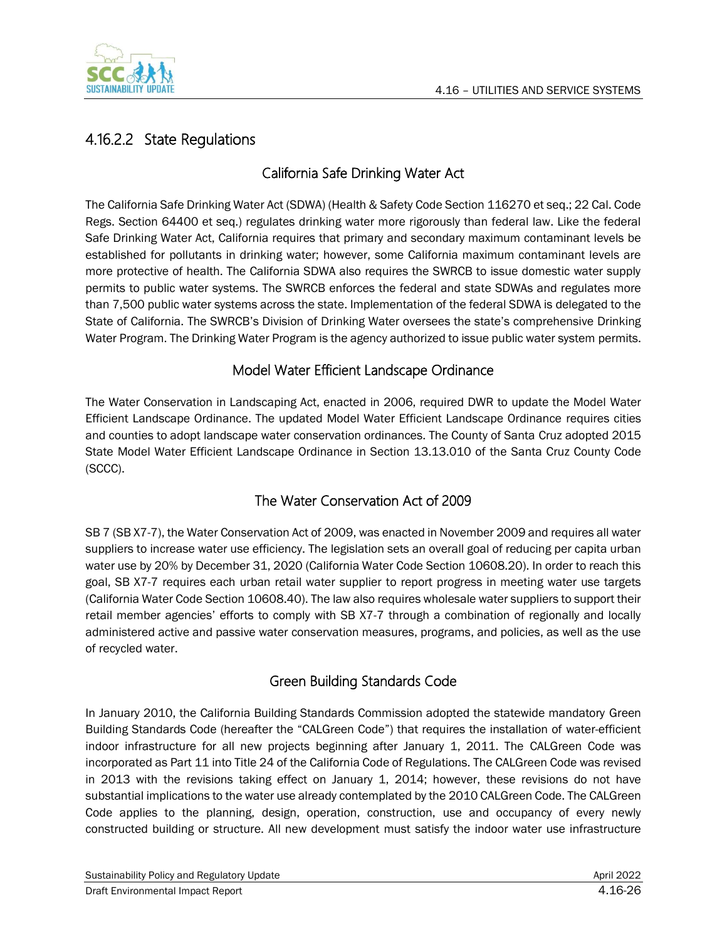

## 4.16.2.2 State Regulations

## California Safe Drinking Water Act

The California Safe Drinking Water Act (SDWA) (Health & Safety Code Section 116270 et seq.; 22 Cal. Code Regs. Section 64400 et seq.) regulates drinking water more rigorously than federal law. Like the federal Safe Drinking Water Act, California requires that primary and secondary maximum contaminant levels be established for pollutants in drinking water; however, some California maximum contaminant levels are more protective of health. The California SDWA also requires the SWRCB to issue domestic water supply permits to public water systems. The SWRCB enforces the federal and state SDWAs and regulates more than 7,500 public water systems across the state. Implementation of the federal SDWA is delegated to the State of California. The SWRCB's Division of Drinking Water oversees the state's comprehensive Drinking Water Program. The Drinking Water Program is the agency authorized to issue public water system permits.

### Model Water Efficient Landscape Ordinance

The Water Conservation in Landscaping Act, enacted in 2006, required DWR to update the Model Water Efficient Landscape Ordinance. The updated Model Water Efficient Landscape Ordinance requires cities and counties to adopt landscape water conservation ordinances. The County of Santa Cruz adopted 2015 State Model Water Efficient Landscape Ordinance in Section 13.13.010 of the Santa Cruz County Code (SCCC).

### The Water Conservation Act of 2009

SB 7 (SB X7-7), the Water Conservation Act of 2009, was enacted in November 2009 and requires all water suppliers to increase water use efficiency. The legislation sets an overall goal of reducing per capita urban water use by 20% by December 31, 2020 (California Water Code Section 10608.20). In order to reach this goal, SB X7-7 requires each urban retail water supplier to report progress in meeting water use targets (California Water Code Section 10608.40). The law also requires wholesale water suppliers to support their retail member agencies' efforts to comply with SB X7-7 through a combination of regionally and locally administered active and passive water conservation measures, programs, and policies, as well as the use of recycled water.

## Green Building Standards Code

In January 2010, the California Building Standards Commission adopted the statewide mandatory Green Building Standards Code (hereafter the "CALGreen Code") that requires the installation of water-efficient indoor infrastructure for all new projects beginning after January 1, 2011. The CALGreen Code was incorporated as Part 11 into Title 24 of the California Code of Regulations. The CALGreen Code was revised in 2013 with the revisions taking effect on January 1, 2014; however, these revisions do not have substantial implications to the water use already contemplated by the 2010 CALGreen Code. The CALGreen Code applies to the planning, design, operation, construction, use and occupancy of every newly constructed building or structure. All new development must satisfy the indoor water use infrastructure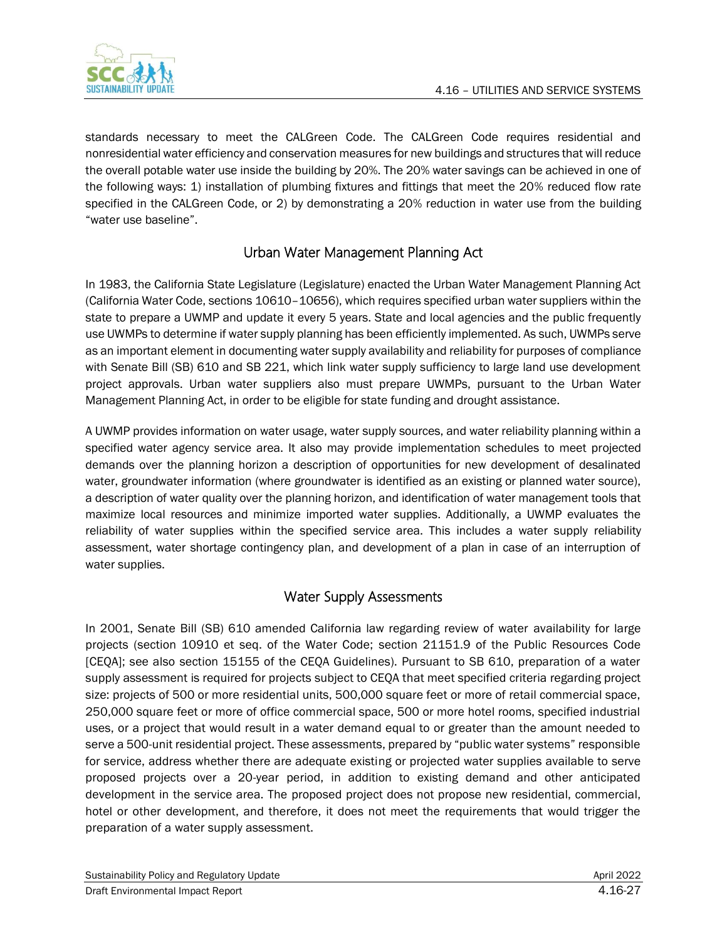

standards necessary to meet the CALGreen Code. The CALGreen Code requires residential and nonresidential water efficiency and conservation measures for new buildings and structures that will reduce the overall potable water use inside the building by 20%. The 20% water savings can be achieved in one of the following ways: 1) installation of plumbing fixtures and fittings that meet the 20% reduced flow rate specified in the CALGreen Code, or 2) by demonstrating a 20% reduction in water use from the building "water use baseline".

## Urban Water Management Planning Act

In 1983, the California State Legislature (Legislature) enacted the Urban Water Management Planning Act (California Water Code, sections 10610–10656), which requires specified urban water suppliers within the state to prepare a UWMP and update it every 5 years. State and local agencies and the public frequently use UWMPs to determine if water supply planning has been efficiently implemented. As such, UWMPs serve as an important element in documenting water supply availability and reliability for purposes of compliance with Senate Bill (SB) 610 and SB 221, which link water supply sufficiency to large land use development project approvals. Urban water suppliers also must prepare UWMPs, pursuant to the Urban Water Management Planning Act, in order to be eligible for state funding and drought assistance.

A UWMP provides information on water usage, water supply sources, and water reliability planning within a specified water agency service area. It also may provide implementation schedules to meet projected demands over the planning horizon a description of opportunities for new development of desalinated water, groundwater information (where groundwater is identified as an existing or planned water source), a description of water quality over the planning horizon, and identification of water management tools that maximize local resources and minimize imported water supplies. Additionally, a UWMP evaluates the reliability of water supplies within the specified service area. This includes a water supply reliability assessment, water shortage contingency plan, and development of a plan in case of an interruption of water supplies.

## Water Supply Assessments

In 2001, Senate Bill (SB) 610 amended California law regarding review of water availability for large projects (section 10910 et seq. of the Water Code; section 21151.9 of the Public Resources Code [CEQA]; see also section 15155 of the CEQA Guidelines). Pursuant to SB 610, preparation of a water supply assessment is required for projects subject to CEQA that meet specified criteria regarding project size: projects of 500 or more residential units, 500,000 square feet or more of retail commercial space, 250,000 square feet or more of office commercial space, 500 or more hotel rooms, specified industrial uses, or a project that would result in a water demand equal to or greater than the amount needed to serve a 500-unit residential project. These assessments, prepared by "public water systems" responsible for service, address whether there are adequate existing or projected water supplies available to serve proposed projects over a 20-year period, in addition to existing demand and other anticipated development in the service area. The proposed project does not propose new residential, commercial, hotel or other development, and therefore, it does not meet the requirements that would trigger the preparation of a water supply assessment.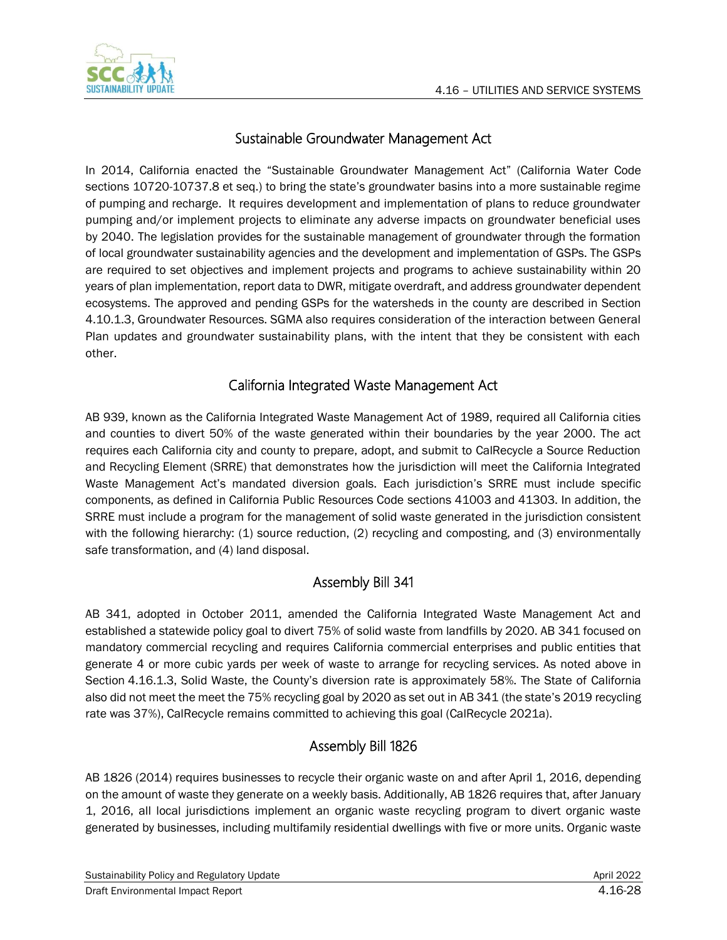

## Sustainable Groundwater Management Act

In 2014, California enacted the "Sustainable Groundwater Management Act" (California Water Code sections 10720-10737.8 et seq.) to bring the state's groundwater basins into a more sustainable regime of pumping and recharge. It requires development and implementation of plans to reduce groundwater pumping and/or implement projects to eliminate any adverse impacts on groundwater beneficial uses by 2040. The legislation provides for the sustainable management of groundwater through the formation of local groundwater sustainability agencies and the development and implementation of GSPs. The GSPs are required to set objectives and implement projects and programs to achieve sustainability within 20 years of plan implementation, report data to DWR, mitigate overdraft, and address groundwater dependent ecosystems. The approved and pending GSPs for the watersheds in the county are described in Section 4.10.1.3, Groundwater Resources. SGMA also requires consideration of the interaction between General Plan updates and groundwater sustainability plans, with the intent that they be consistent with each other.

### California Integrated Waste Management Act

AB 939, known as the California Integrated Waste Management Act of 1989, required all California cities and counties to divert 50% of the waste generated within their boundaries by the year 2000. The act requires each California city and county to prepare, adopt, and submit to CalRecycle a Source Reduction and Recycling Element (SRRE) that demonstrates how the jurisdiction will meet the California Integrated Waste Management Act's mandated diversion goals. Each jurisdiction's SRRE must include specific components, as defined in California Public Resources Code sections 41003 and 41303. In addition, the SRRE must include a program for the management of solid waste generated in the jurisdiction consistent with the following hierarchy: (1) source reduction, (2) recycling and composting, and (3) environmentally safe transformation, and (4) land disposal.

## Assembly Bill 341

AB 341, adopted in October 2011, amended the California Integrated Waste Management Act and established a statewide policy goal to divert 75% of solid waste from landfills by 2020. AB 341 focused on mandatory commercial recycling and requires California commercial enterprises and public entities that generate 4 or more cubic yards per week of waste to arrange for recycling services. As noted above in Section 4.16.1.3, Solid Waste, the County's diversion rate is approximately 58%. The State of California also did not meet the meet the 75% recycling goal by 2020 as set out in AB 341 (the state's 2019 recycling rate was 37%), CalRecycle remains committed to achieving this goal (CalRecycle 2021a).

### Assembly Bill 1826

AB 1826 (2014) requires businesses to recycle their organic waste on and after April 1, 2016, depending on the amount of waste they generate on a weekly basis. Additionally, AB 1826 requires that, after January 1, 2016, all local jurisdictions implement an organic waste recycling program to divert organic waste generated by businesses, including multifamily residential dwellings with five or more units. Organic waste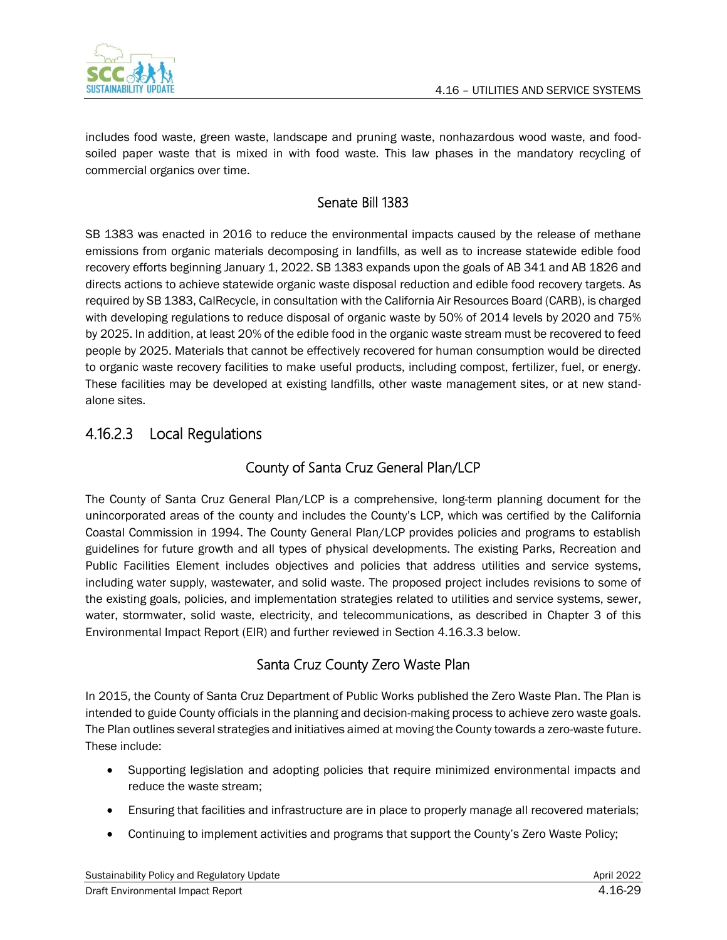

includes food waste, green waste, landscape and pruning waste, nonhazardous wood waste, and foodsoiled paper waste that is mixed in with food waste. This law phases in the mandatory recycling of commercial organics over time.

## Senate Bill 1383

SB 1383 was enacted in 2016 to reduce the environmental impacts caused by the release of methane emissions from organic materials decomposing in landfills, as well as to increase statewide edible food recovery efforts beginning January 1, 2022. SB 1383 expands upon the goals of AB 341 and AB 1826 and directs actions to achieve statewide organic waste disposal reduction and edible food recovery targets. As required by SB 1383, CalRecycle, in consultation with the California Air Resources Board (CARB), is charged with developing regulations to reduce disposal of organic waste by 50% of 2014 levels by 2020 and 75% by 2025. In addition, at least 20% of the edible food in the organic waste stream must be recovered to feed people by 2025. Materials that cannot be effectively recovered for human consumption would be directed to organic waste recovery facilities to make useful products, including compost, fertilizer, fuel, or energy. These facilities may be developed at existing landfills, other waste management sites, or at new standalone sites.

## 4.16.2.3 Local Regulations

## County of Santa Cruz General Plan/LCP

The County of Santa Cruz General Plan/LCP is a comprehensive, long-term planning document for the unincorporated areas of the county and includes the County's LCP, which was certified by the California Coastal Commission in 1994. The County General Plan/LCP provides policies and programs to establish guidelines for future growth and all types of physical developments. The existing Parks, Recreation and Public Facilities Element includes objectives and policies that address utilities and service systems, including water supply, wastewater, and solid waste. The proposed project includes revisions to some of the existing goals, policies, and implementation strategies related to utilities and service systems, sewer, water, stormwater, solid waste, electricity, and telecommunications, as described in Chapter 3 of this Environmental Impact Report (EIR) and further reviewed in Section 4.16.3.3 below.

## Santa Cruz County Zero Waste Plan

In 2015, the County of Santa Cruz Department of Public Works published the Zero Waste Plan. The Plan is intended to guide County officials in the planning and decision-making process to achieve zero waste goals. The Plan outlines several strategies and initiatives aimed at moving the County towards a zero-waste future. These include:

- Supporting legislation and adopting policies that require minimized environmental impacts and reduce the waste stream;
- Ensuring that facilities and infrastructure are in place to properly manage all recovered materials;
- Continuing to implement activities and programs that support the County's Zero Waste Policy;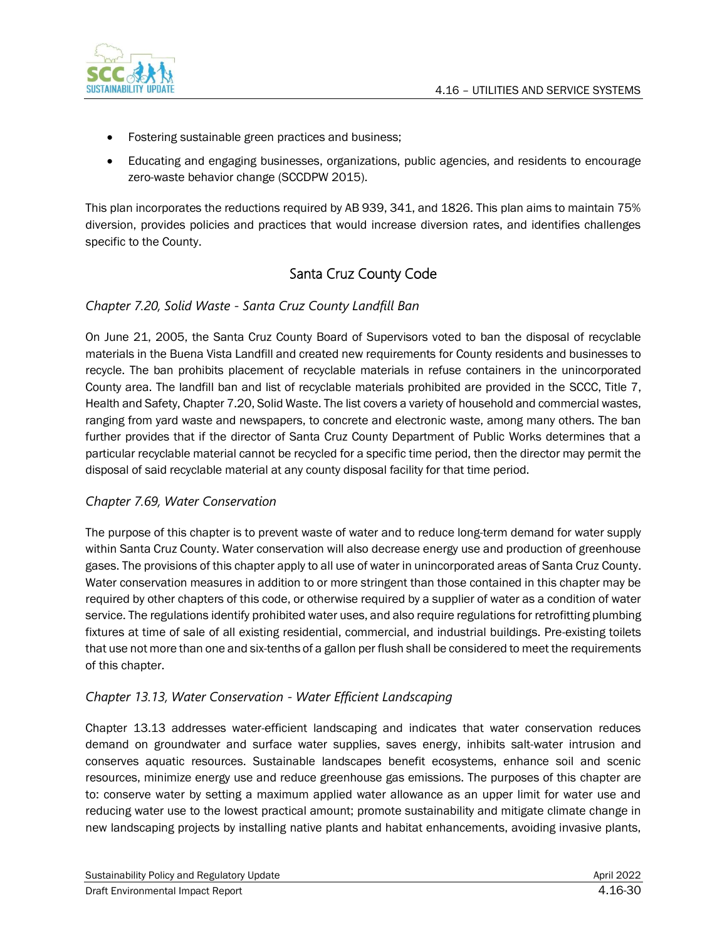

- Fostering sustainable green practices and business;
- Educating and engaging businesses, organizations, public agencies, and residents to encourage zero-waste behavior change (SCCDPW 2015).

This plan incorporates the reductions required by AB 939, 341, and 1826. This plan aims to maintain 75% diversion, provides policies and practices that would increase diversion rates, and identifies challenges specific to the County.

## Santa Cruz County Code

### *Chapter 7.20, Solid Waste - Santa Cruz County Landfill Ban*

On June 21, 2005, the Santa Cruz County Board of Supervisors voted to ban the disposal of recyclable materials in the Buena Vista Landfill and created new requirements for County residents and businesses to recycle. The ban prohibits placement of recyclable materials in refuse containers in the unincorporated County area. The landfill ban and list of recyclable materials prohibited are provided in the SCCC, Title 7, Health and Safety, Chapter 7.20, Solid Waste. The list covers a variety of household and commercial wastes, ranging from yard waste and newspapers, to concrete and electronic waste, among many others. The ban further provides that if the director of Santa Cruz County Department of Public Works determines that a particular recyclable material cannot be recycled for a specific time period, then the director may permit the disposal of said recyclable material at any county disposal facility for that time period.

### *Chapter 7.69, Water Conservation*

The purpose of this chapter is to prevent waste of water and to reduce long-term demand for water supply within Santa Cruz County. Water conservation will also decrease energy use and production of greenhouse gases. The provisions of this chapter apply to all use of water in unincorporated areas of Santa Cruz County. Water conservation measures in addition to or more stringent than those contained in this chapter may be required by other chapters of this code, or otherwise required by a supplier of water as a condition of water service. The regulations identify prohibited water uses, and also require regulations for retrofitting plumbing fixtures at time of sale of all existing residential, commercial, and industrial buildings. Pre-existing toilets that use not more than one and six-tenths of a gallon per flush shall be considered to meet the requirements of this chapter.

### *Chapter 13.13, Water Conservation - Water Efficient Landscaping*

Chapter 13.13 addresses water-efficient landscaping and indicates that water conservation reduces demand on groundwater and surface water supplies, saves energy, inhibits salt-water intrusion and conserves aquatic resources. Sustainable landscapes benefit ecosystems, enhance soil and scenic resources, minimize energy use and reduce greenhouse gas emissions. The purposes of this chapter are to: conserve water by setting a maximum applied water allowance as an upper limit for water use and reducing water use to the lowest practical amount; promote sustainability and mitigate climate change in new landscaping projects by installing native plants and habitat enhancements, avoiding invasive plants,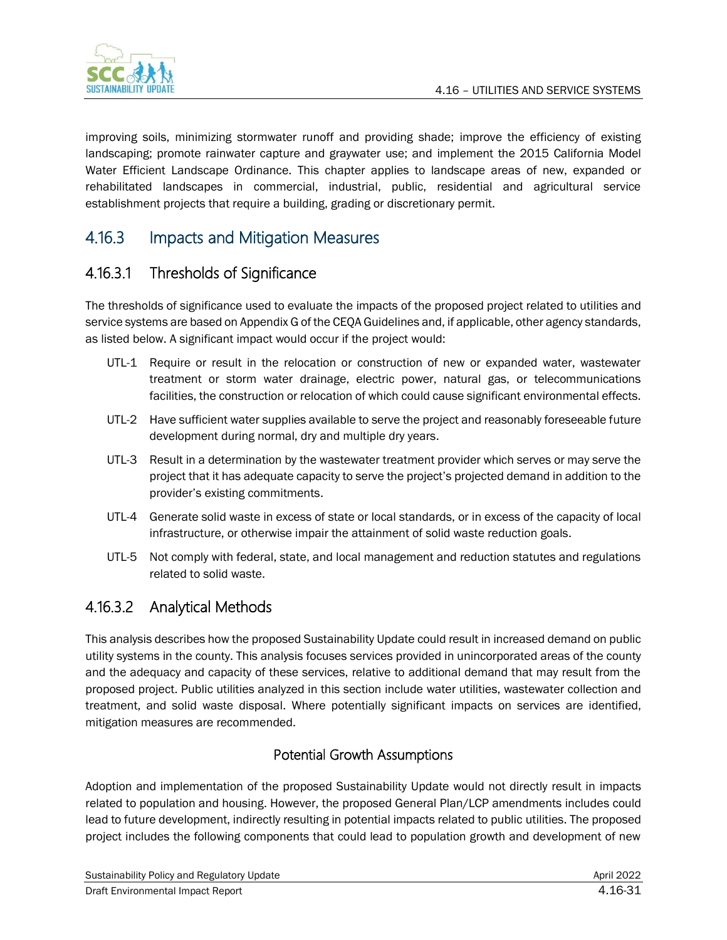

improving soils, minimizing stormwater runoff and providing shade; improve the efficiency of existing landscaping; promote rainwater capture and graywater use; and implement the 2015 California Model Water Efficient Landscape Ordinance. This chapter applies to landscape areas of new, expanded or rehabilitated landscapes in commercial, industrial, public, residential and agricultural service establishment projects that require a building, grading or discretionary permit.

## 4.16.3 Impacts and Mitigation Measures

## 4.16.3.1 Thresholds of Significance

The thresholds of significance used to evaluate the impacts of the proposed project related to utilities and service systems are based on Appendix G of the CEQA Guidelines and, if applicable, other agency standards, as listed below. A significant impact would occur if the project would:

- UTL-1 Require or result in the relocation or construction of new or expanded water, wastewater treatment or storm water drainage, electric power, natural gas, or telecommunications facilities, the construction or relocation of which could cause significant environmental effects.
- UTL-2 Have sufficient water supplies available to serve the project and reasonably foreseeable future development during normal, dry and multiple dry years.
- UTL-3 Result in a determination by the wastewater treatment provider which serves or may serve the project that it has adequate capacity to serve the project's projected demand in addition to the provider's existing commitments.
- UTL-4 Generate solid waste in excess of state or local standards, or in excess of the capacity of local infrastructure, or otherwise impair the attainment of solid waste reduction goals.
- UTL-5 Not comply with federal, state, and local management and reduction statutes and regulations related to solid waste.

## 4.16.3.2 Analytical Methods

This analysis describes how the proposed Sustainability Update could result in increased demand on public utility systems in the county. This analysis focuses services provided in unincorporated areas of the county and the adequacy and capacity of these services, relative to additional demand that may result from the proposed project. Public utilities analyzed in this section include water utilities, wastewater collection and treatment, and solid waste disposal. Where potentially significant impacts on services are identified, mitigation measures are recommended.

### Potential Growth Assumptions

Adoption and implementation of the proposed Sustainability Update would not directly result in impacts related to population and housing. However, the proposed General Plan/LCP amendments includes could lead to future development, indirectly resulting in potential impacts related to public utilities. The proposed project includes the following components that could lead to population growth and development of new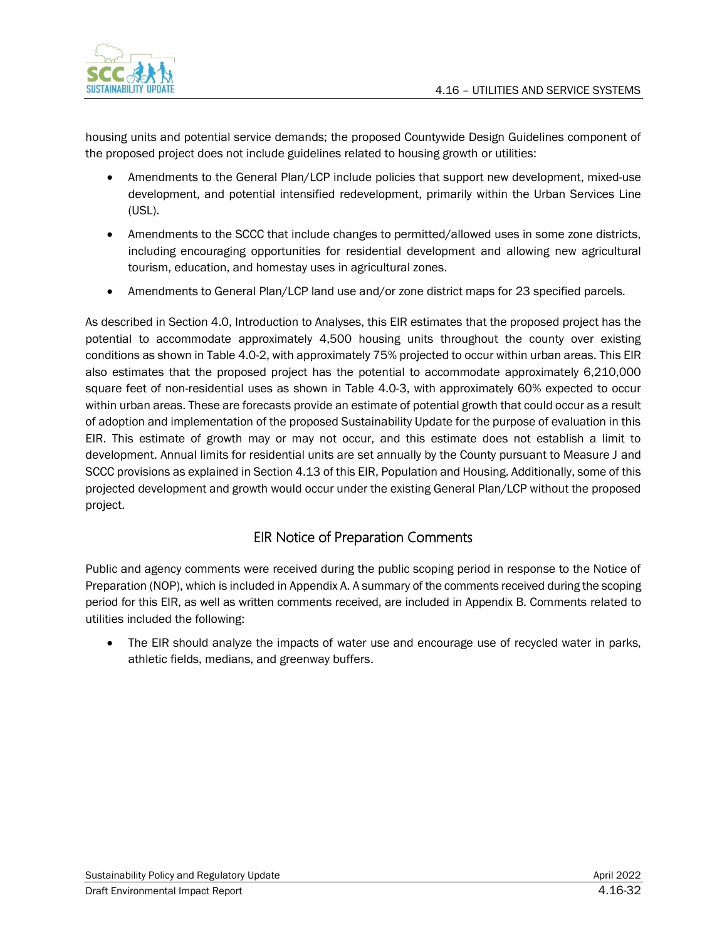

housing units and potential service demands; the proposed Countywide Design Guidelines component of the proposed project does not include guidelines related to housing growth or utilities:

- Amendments to the General Plan/LCP include policies that support new development, mixed-use development, and potential intensified redevelopment, primarily within the Urban Services Line (USL).
- Amendments to the SCCC that include changes to permitted/allowed uses in some zone districts, including encouraging opportunities for residential development and allowing new agricultural tourism, education, and homestay uses in agricultural zones.
- Amendments to General Plan/LCP land use and/or zone district maps for 23 specified parcels.

As described in Section 4.0, Introduction to Analyses, this EIR estimates that the proposed project has the potential to accommodate approximately 4,500 housing units throughout the county over existing conditions as shown in Table 4.0-2, with approximately 75% projected to occur within urban areas. This EIR also estimates that the proposed project has the potential to accommodate approximately 6,210,000 square feet of non-residential uses as shown in Table 4.0-3, with approximately 60% expected to occur within urban areas. These are forecasts provide an estimate of potential growth that could occur as a result of adoption and implementation of the proposed Sustainability Update for the purpose of evaluation in this EIR. This estimate of growth may or may not occur, and this estimate does not establish a limit to development. Annual limits for residential units are set annually by the County pursuant to Measure J and SCCC provisions as explained in Section 4.13 of this EIR, Population and Housing. Additionally, some of this projected development and growth would occur under the existing General Plan/LCP without the proposed project.

## EIR Notice of Preparation Comments

Public and agency comments were received during the public scoping period in response to the Notice of Preparation (NOP), which is included in Appendix A. A summary of the comments received during the scoping period for this EIR, as well as written comments received, are included in Appendix B. Comments related to utilities included the following:

• The EIR should analyze the impacts of water use and encourage use of recycled water in parks, athletic fields, medians, and greenway buffers.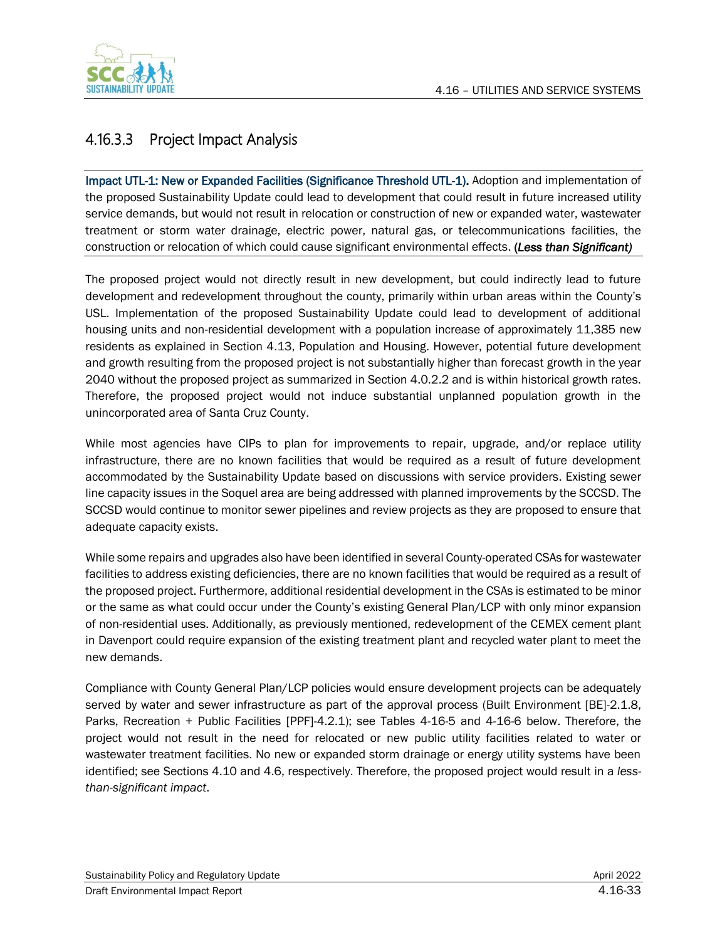

## 4.16.3.3 Project Impact Analysis

Impact UTL-1: New or Expanded Facilities (Significance Threshold UTL-1). Adoption and implementation of the proposed Sustainability Update could lead to development that could result in future increased utility service demands, but would not result in relocation or construction of new or expanded water, wastewater treatment or storm water drainage, electric power, natural gas, or telecommunications facilities, the construction or relocation of which could cause significant environmental effects. (*Less than Significant)*

The proposed project would not directly result in new development, but could indirectly lead to future development and redevelopment throughout the county, primarily within urban areas within the County's USL. Implementation of the proposed Sustainability Update could lead to development of additional housing units and non-residential development with a population increase of approximately 11,385 new residents as explained in Section 4.13, Population and Housing. However, potential future development and growth resulting from the proposed project is not substantially higher than forecast growth in the year 2040 without the proposed project as summarized in Section 4.0.2.2 and is within historical growth rates. Therefore, the proposed project would not induce substantial unplanned population growth in the unincorporated area of Santa Cruz County.

While most agencies have CIPs to plan for improvements to repair, upgrade, and/or replace utility infrastructure, there are no known facilities that would be required as a result of future development accommodated by the Sustainability Update based on discussions with service providers. Existing sewer line capacity issues in the Soquel area are being addressed with planned improvements by the SCCSD. The SCCSD would continue to monitor sewer pipelines and review projects as they are proposed to ensure that adequate capacity exists.

While some repairs and upgrades also have been identified in several County-operated CSAs for wastewater facilities to address existing deficiencies, there are no known facilities that would be required as a result of the proposed project. Furthermore, additional residential development in the CSAs is estimated to be minor or the same as what could occur under the County's existing General Plan/LCP with only minor expansion of non-residential uses. Additionally, as previously mentioned, redevelopment of the CEMEX cement plant in Davenport could require expansion of the existing treatment plant and recycled water plant to meet the new demands.

Compliance with County General Plan/LCP policies would ensure development projects can be adequately served by water and sewer infrastructure as part of the approval process (Built Environment [BE]-2.1.8, Parks, Recreation + Public Facilities [PPF]-4.2.1); see Tables 4-16-5 and 4-16-6 below. Therefore, the project would not result in the need for relocated or new public utility facilities related to water or wastewater treatment facilities. No new or expanded storm drainage or energy utility systems have been identified; see Sections 4.10 and 4.6, respectively. Therefore, the proposed project would result in a *lessthan-significant impact*.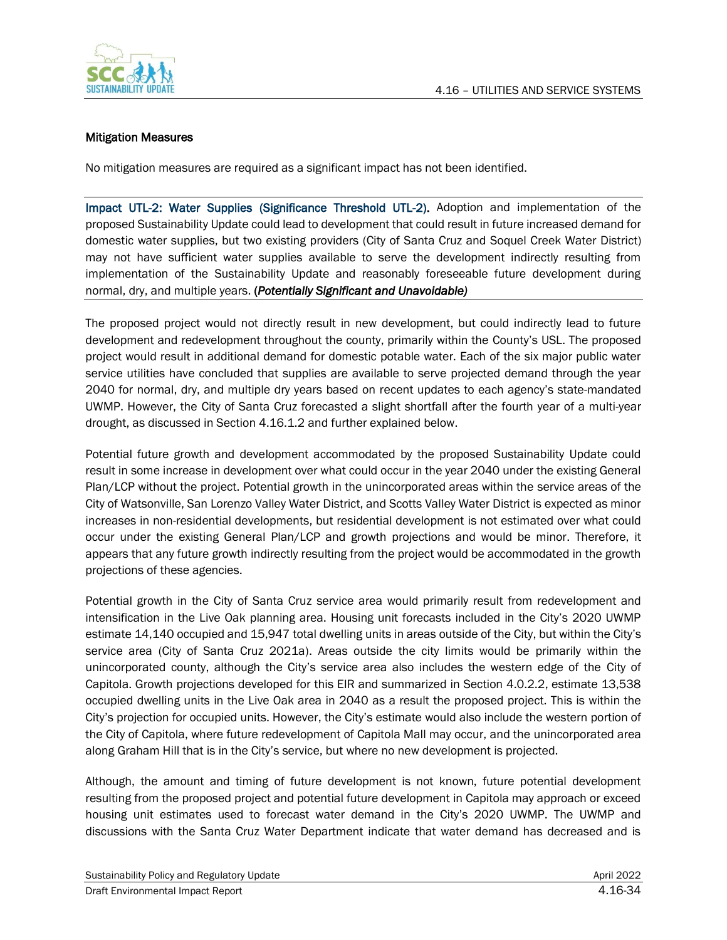

#### Mitigation Measures

No mitigation measures are required as a significant impact has not been identified.

Impact UTL-2: Water Supplies (Significance Threshold UTL-2). Adoption and implementation of the proposed Sustainability Update could lead to development that could result in future increased demand for domestic water supplies, but two existing providers (City of Santa Cruz and Soquel Creek Water District) may not have sufficient water supplies available to serve the development indirectly resulting from implementation of the Sustainability Update and reasonably foreseeable future development during normal, dry, and multiple years. (*Potentially Significant and Unavoidable)*

The proposed project would not directly result in new development, but could indirectly lead to future development and redevelopment throughout the county, primarily within the County's USL. The proposed project would result in additional demand for domestic potable water. Each of the six major public water service utilities have concluded that supplies are available to serve projected demand through the year 2040 for normal, dry, and multiple dry years based on recent updates to each agency's state-mandated UWMP. However, the City of Santa Cruz forecasted a slight shortfall after the fourth year of a multi-year drought, as discussed in Section 4.16.1.2 and further explained below.

Potential future growth and development accommodated by the proposed Sustainability Update could result in some increase in development over what could occur in the year 2040 under the existing General Plan/LCP without the project. Potential growth in the unincorporated areas within the service areas of the City of Watsonville, San Lorenzo Valley Water District, and Scotts Valley Water District is expected as minor increases in non-residential developments, but residential development is not estimated over what could occur under the existing General Plan/LCP and growth projections and would be minor. Therefore, it appears that any future growth indirectly resulting from the project would be accommodated in the growth projections of these agencies.

Potential growth in the City of Santa Cruz service area would primarily result from redevelopment and intensification in the Live Oak planning area. Housing unit forecasts included in the City's 2020 UWMP estimate 14,140 occupied and 15,947 total dwelling units in areas outside of the City, but within the City's service area (City of Santa Cruz 2021a). Areas outside the city limits would be primarily within the unincorporated county, although the City's service area also includes the western edge of the City of Capitola. Growth projections developed for this EIR and summarized in Section 4.0.2.2, estimate 13,538 occupied dwelling units in the Live Oak area in 2040 as a result the proposed project. This is within the City's projection for occupied units. However, the City's estimate would also include the western portion of the City of Capitola, where future redevelopment of Capitola Mall may occur, and the unincorporated area along Graham Hill that is in the City's service, but where no new development is projected.

Although, the amount and timing of future development is not known, future potential development resulting from the proposed project and potential future development in Capitola may approach or exceed housing unit estimates used to forecast water demand in the City's 2020 UWMP. The UWMP and discussions with the Santa Cruz Water Department indicate that water demand has decreased and is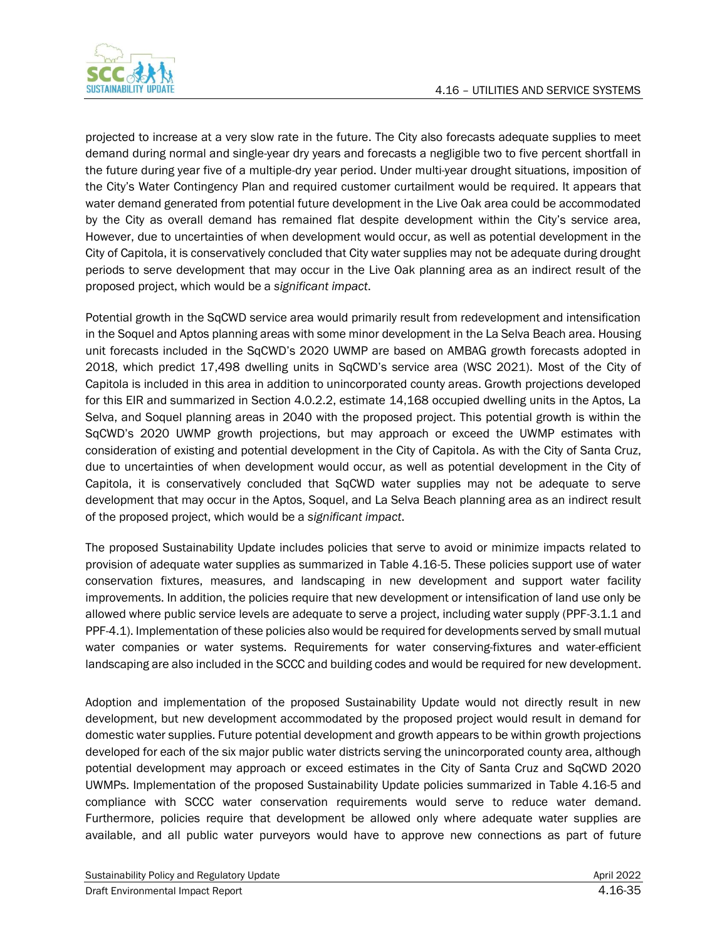

projected to increase at a very slow rate in the future. The City also forecasts adequate supplies to meet demand during normal and single-year dry years and forecasts a negligible two to five percent shortfall in the future during year five of a multiple-dry year period. Under multi-year drought situations, imposition of the City's Water Contingency Plan and required customer curtailment would be required. It appears that water demand generated from potential future development in the Live Oak area could be accommodated by the City as overall demand has remained flat despite development within the City's service area, However, due to uncertainties of when development would occur, as well as potential development in the City of Capitola, it is conservatively concluded that City water supplies may not be adequate during drought periods to serve development that may occur in the Live Oak planning area as an indirect result of the proposed project, which would be a *significant impact*.

Potential growth in the SqCWD service area would primarily result from redevelopment and intensification in the Soquel and Aptos planning areas with some minor development in the La Selva Beach area. Housing unit forecasts included in the SqCWD's 2020 UWMP are based on AMBAG growth forecasts adopted in 2018, which predict 17,498 dwelling units in SqCWD's service area (WSC 2021). Most of the City of Capitola is included in this area in addition to unincorporated county areas. Growth projections developed for this EIR and summarized in Section 4.0.2.2, estimate 14,168 occupied dwelling units in the Aptos, La Selva, and Soquel planning areas in 2040 with the proposed project. This potential growth is within the SqCWD's 2020 UWMP growth projections, but may approach or exceed the UWMP estimates with consideration of existing and potential development in the City of Capitola. As with the City of Santa Cruz, due to uncertainties of when development would occur, as well as potential development in the City of Capitola, it is conservatively concluded that SqCWD water supplies may not be adequate to serve development that may occur in the Aptos, Soquel, and La Selva Beach planning area as an indirect result of the proposed project, which would be a *significant impact*.

The proposed Sustainability Update includes policies that serve to avoid or minimize impacts related to provision of adequate water supplies as summarized in Table 4.16-5. These policies support use of water conservation fixtures, measures, and landscaping in new development and support water facility improvements. In addition, the policies require that new development or intensification of land use only be allowed where public service levels are adequate to serve a project, including water supply (PPF-3.1.1 and PPF-4.1). Implementation of these policies also would be required for developments served by small mutual water companies or water systems. Requirements for water conserving-fixtures and water-efficient landscaping are also included in the SCCC and building codes and would be required for new development.

Adoption and implementation of the proposed Sustainability Update would not directly result in new development, but new development accommodated by the proposed project would result in demand for domestic water supplies. Future potential development and growth appears to be within growth projections developed for each of the six major public water districts serving the unincorporated county area, although potential development may approach or exceed estimates in the City of Santa Cruz and SqCWD 2020 UWMPs. Implementation of the proposed Sustainability Update policies summarized in Table 4.16-5 and compliance with SCCC water conservation requirements would serve to reduce water demand. Furthermore, policies require that development be allowed only where adequate water supplies are available, and all public water purveyors would have to approve new connections as part of future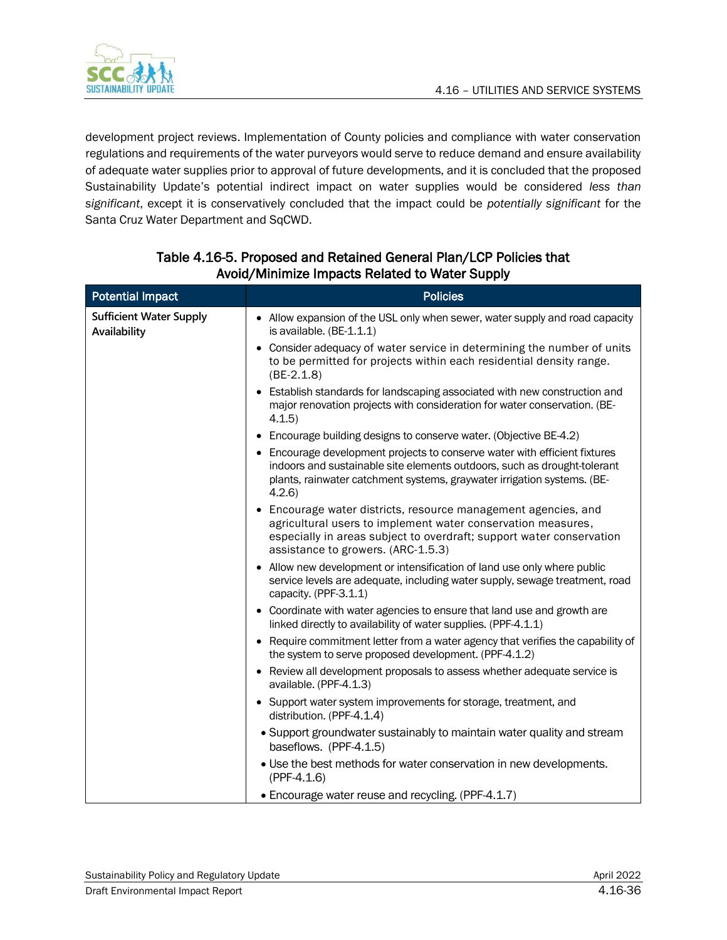

development project reviews. Implementation of County policies and compliance with water conservation regulations and requirements of the water purveyors would serve to reduce demand and ensure availability of adequate water supplies prior to approval of future developments, and it is concluded that the proposed Sustainability Update's potential indirect impact on water supplies would be considered *less than significant*, except it is conservatively concluded that the impact could be *potentially significant* for the Santa Cruz Water Department and SqCWD.

| <b>Potential Impact</b>                        | <b>Policies</b>                                                                                                                                                                                                                              |
|------------------------------------------------|----------------------------------------------------------------------------------------------------------------------------------------------------------------------------------------------------------------------------------------------|
| <b>Sufficient Water Supply</b><br>Availability | • Allow expansion of the USL only when sewer, water supply and road capacity<br>is available. (BE-1.1.1)                                                                                                                                     |
|                                                | Consider adequacy of water service in determining the number of units<br>to be permitted for projects within each residential density range.<br>$(BE-2.1.8)$                                                                                 |
|                                                | • Establish standards for landscaping associated with new construction and<br>major renovation projects with consideration for water conservation. (BE-<br>4.1.5                                                                             |
|                                                | Encourage building designs to conserve water. (Objective BE-4.2)                                                                                                                                                                             |
|                                                | • Encourage development projects to conserve water with efficient fixtures<br>indoors and sustainable site elements outdoors, such as drought-tolerant<br>plants, rainwater catchment systems, graywater irrigation systems. (BE-<br>4.2.6   |
|                                                | • Encourage water districts, resource management agencies, and<br>agricultural users to implement water conservation measures,<br>especially in areas subject to overdraft; support water conservation<br>assistance to growers. (ARC-1.5.3) |
|                                                | • Allow new development or intensification of land use only where public<br>service levels are adequate, including water supply, sewage treatment, road<br>capacity. (PPF-3.1.1)                                                             |
|                                                | • Coordinate with water agencies to ensure that land use and growth are<br>linked directly to availability of water supplies. (PPF-4.1.1)                                                                                                    |
|                                                | • Require commitment letter from a water agency that verifies the capability of<br>the system to serve proposed development. (PPF-4.1.2)                                                                                                     |
|                                                | • Review all development proposals to assess whether adequate service is<br>available. (PPF-4.1.3)                                                                                                                                           |
|                                                | • Support water system improvements for storage, treatment, and<br>distribution. (PPF-4.1.4)                                                                                                                                                 |
|                                                | • Support groundwater sustainably to maintain water quality and stream<br>baseflows. (PPF-4.1.5)                                                                                                                                             |
|                                                | • Use the best methods for water conservation in new developments.<br>$(PPF-4.1.6)$                                                                                                                                                          |
|                                                | • Encourage water reuse and recycling. (PPF-4.1.7)                                                                                                                                                                                           |

### Table 4.16-5. Proposed and Retained General Plan/LCP Policies that Avoid/Minimize Impacts Related to Water Supply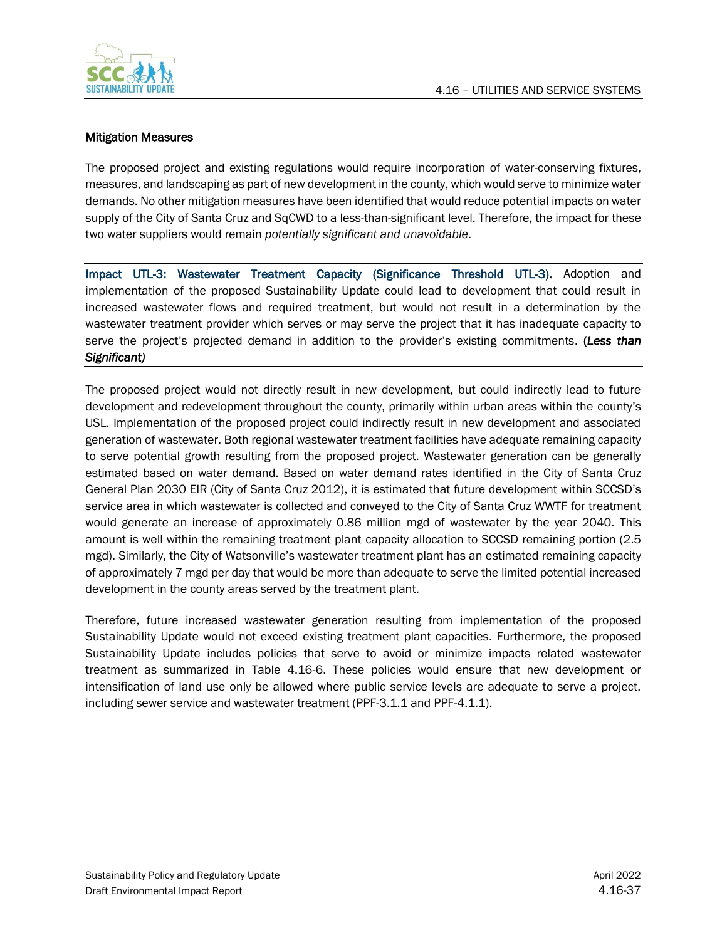

#### Mitigation Measures

The proposed project and existing regulations would require incorporation of water-conserving fixtures, measures, and landscaping as part of new development in the county, which would serve to minimize water demands. No other mitigation measures have been identified that would reduce potential impacts on water supply of the City of Santa Cruz and SqCWD to a less-than-significant level. Therefore, the impact for these two water suppliers would remain *potentially significant and unavoidable*.

Impact UTL-3: Wastewater Treatment Capacity (Significance Threshold UTL-3). Adoption and implementation of the proposed Sustainability Update could lead to development that could result in increased wastewater flows and required treatment, but would not result in a determination by the wastewater treatment provider which serves or may serve the project that it has inadequate capacity to serve the project's projected demand in addition to the provider's existing commitments. (*Less than Significant)*

The proposed project would not directly result in new development, but could indirectly lead to future development and redevelopment throughout the county, primarily within urban areas within the county's USL. Implementation of the proposed project could indirectly result in new development and associated generation of wastewater. Both regional wastewater treatment facilities have adequate remaining capacity to serve potential growth resulting from the proposed project. Wastewater generation can be generally estimated based on water demand. Based on water demand rates identified in the City of Santa Cruz General Plan 2030 EIR (City of Santa Cruz 2012), it is estimated that future development within SCCSD's service area in which wastewater is collected and conveyed to the City of Santa Cruz WWTF for treatment would generate an increase of approximately 0.86 million mgd of wastewater by the year 2040. This amount is well within the remaining treatment plant capacity allocation to SCCSD remaining portion (2.5 mgd). Similarly, the City of Watsonville's wastewater treatment plant has an estimated remaining capacity of approximately 7 mgd per day that would be more than adequate to serve the limited potential increased development in the county areas served by the treatment plant.

Therefore, future increased wastewater generation resulting from implementation of the proposed Sustainability Update would not exceed existing treatment plant capacities. Furthermore, the proposed Sustainability Update includes policies that serve to avoid or minimize impacts related wastewater treatment as summarized in Table 4.16-6. These policies would ensure that new development or intensification of land use only be allowed where public service levels are adequate to serve a project, including sewer service and wastewater treatment (PPF-3.1.1 and PPF-4.1.1).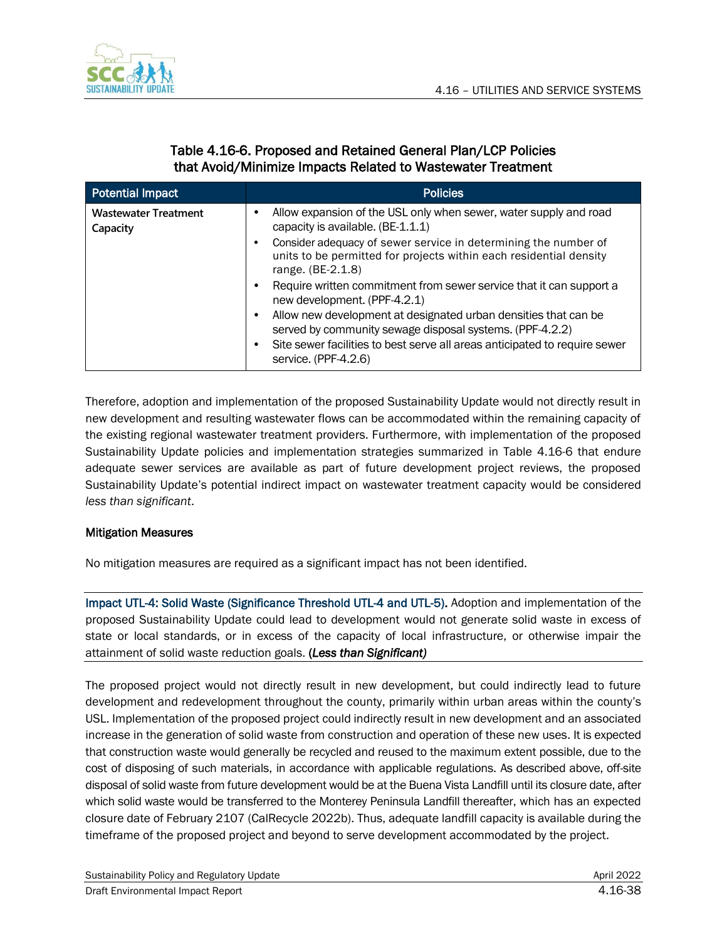

### Table 4.16-6. Proposed and Retained General Plan/LCP Policies that Avoid/Minimize Impacts Related to Wastewater Treatment

| Potential Impact                        | <b>Policies</b>                                                                                                                                                                                                                   |
|-----------------------------------------|-----------------------------------------------------------------------------------------------------------------------------------------------------------------------------------------------------------------------------------|
| <b>Wastewater Treatment</b><br>Capacity | Allow expansion of the USL only when sewer, water supply and road<br>capacity is available. (BE-1.1.1)                                                                                                                            |
|                                         | Consider adequacy of sewer service in determining the number of<br>units to be permitted for projects within each residential density<br>range. (BE-2.1.8)                                                                        |
|                                         | Require written commitment from sewer service that it can support a<br>new development. (PPF-4.2.1)                                                                                                                               |
|                                         | Allow new development at designated urban densities that can be<br>served by community sewage disposal systems. (PPF-4.2.2)<br>Site sewer facilities to best serve all areas anticipated to require sewer<br>service. (PPF-4.2.6) |

Therefore, adoption and implementation of the proposed Sustainability Update would not directly result in new development and resulting wastewater flows can be accommodated within the remaining capacity of the existing regional wastewater treatment providers. Furthermore, with implementation of the proposed Sustainability Update policies and implementation strategies summarized in Table 4.16-6 that endure adequate sewer services are available as part of future development project reviews, the proposed Sustainability Update's potential indirect impact on wastewater treatment capacity would be considered *less than significant*.

### Mitigation Measures

No mitigation measures are required as a significant impact has not been identified.

Impact UTL-4: Solid Waste (Significance Threshold UTL-4 and UTL-5). Adoption and implementation of the proposed Sustainability Update could lead to development would not generate solid waste in excess of state or local standards, or in excess of the capacity of local infrastructure, or otherwise impair the attainment of solid waste reduction goals. (*Less than Significant)*

The proposed project would not directly result in new development, but could indirectly lead to future development and redevelopment throughout the county, primarily within urban areas within the county's USL. Implementation of the proposed project could indirectly result in new development and an associated increase in the generation of solid waste from construction and operation of these new uses. It is expected that construction waste would generally be recycled and reused to the maximum extent possible, due to the cost of disposing of such materials, in accordance with applicable regulations. As described above, off-site disposal of solid waste from future development would be at the Buena Vista Landfill until its closure date, after which solid waste would be transferred to the Monterey Peninsula Landfill thereafter, which has an expected closure date of February 2107 (CalRecycle 2022b). Thus, adequate landfill capacity is available during the timeframe of the proposed project and beyond to serve development accommodated by the project.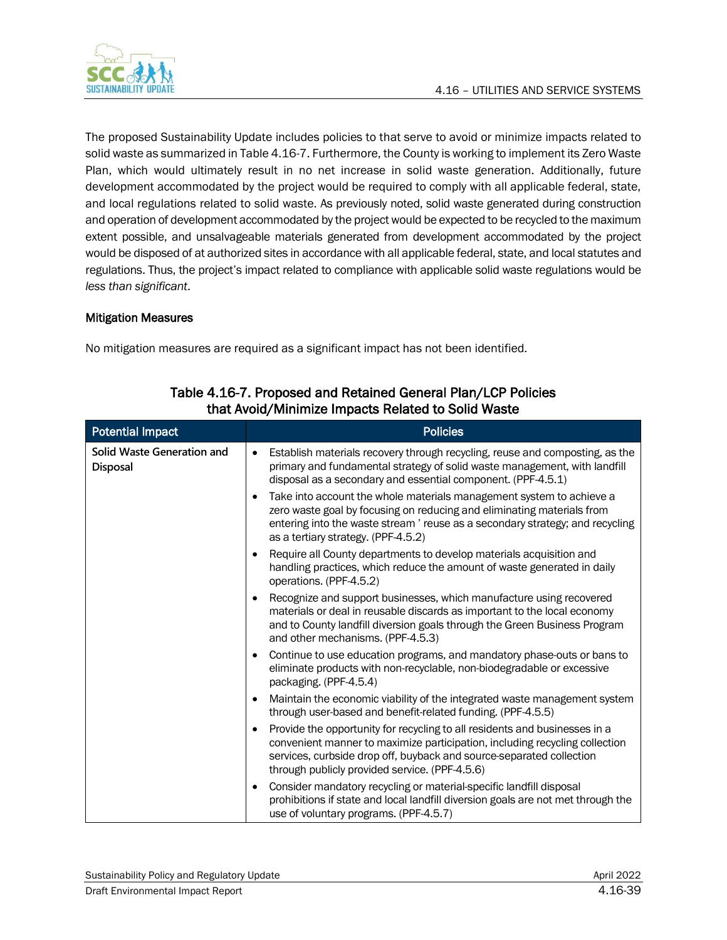

The proposed Sustainability Update includes policies to that serve to avoid or minimize impacts related to solid waste as summarized in Table 4.16-7. Furthermore, the County is working to implement its Zero Waste Plan, which would ultimately result in no net increase in solid waste generation. Additionally, future development accommodated by the project would be required to comply with all applicable federal, state, and local regulations related to solid waste. As previously noted, solid waste generated during construction and operation of development accommodated by the project would be expected to be recycled to the maximum extent possible, and unsalvageable materials generated from development accommodated by the project would be disposed of at authorized sites in accordance with all applicable federal, state, and local statutes and regulations. Thus, the project's impact related to compliance with applicable solid waste regulations would be *less than significant*.

#### Mitigation Measures

No mitigation measures are required as a significant impact has not been identified.

| <b>Potential Impact</b>                       | <b>Policies</b>                                                                                                                                                                                                                                                                                  |
|-----------------------------------------------|--------------------------------------------------------------------------------------------------------------------------------------------------------------------------------------------------------------------------------------------------------------------------------------------------|
| Solid Waste Generation and<br><b>Disposal</b> | Establish materials recovery through recycling, reuse and composting, as the<br>$\bullet$<br>primary and fundamental strategy of solid waste management, with landfill<br>disposal as a secondary and essential component. (PPF-4.5.1)                                                           |
|                                               | Take into account the whole materials management system to achieve a<br>$\bullet$<br>zero waste goal by focusing on reducing and eliminating materials from<br>entering into the waste stream ' reuse as a secondary strategy; and recycling<br>as a tertiary strategy. (PPF-4.5.2)              |
|                                               | Require all County departments to develop materials acquisition and<br>handling practices, which reduce the amount of waste generated in daily<br>operations. (PPF-4.5.2)                                                                                                                        |
|                                               | Recognize and support businesses, which manufacture using recovered<br>materials or deal in reusable discards as important to the local economy<br>and to County landfill diversion goals through the Green Business Program<br>and other mechanisms. (PPF-4.5.3)                                |
|                                               | Continue to use education programs, and mandatory phase-outs or bans to<br>eliminate products with non-recyclable, non-biodegradable or excessive<br>packaging. (PPF-4.5.4)                                                                                                                      |
|                                               | Maintain the economic viability of the integrated waste management system<br>through user-based and benefit-related funding. (PPF-4.5.5)                                                                                                                                                         |
|                                               | Provide the opportunity for recycling to all residents and businesses in a<br>$\bullet$<br>convenient manner to maximize participation, including recycling collection<br>services, curbside drop off, buyback and source-separated collection<br>through publicly provided service. (PPF-4.5.6) |
|                                               | Consider mandatory recycling or material-specific landfill disposal<br>prohibitions if state and local landfill diversion goals are not met through the<br>use of voluntary programs. (PPF-4.5.7)                                                                                                |

### Table 4.16-7. Proposed and Retained General Plan/LCP Policies that Avoid/Minimize Impacts Related to Solid Waste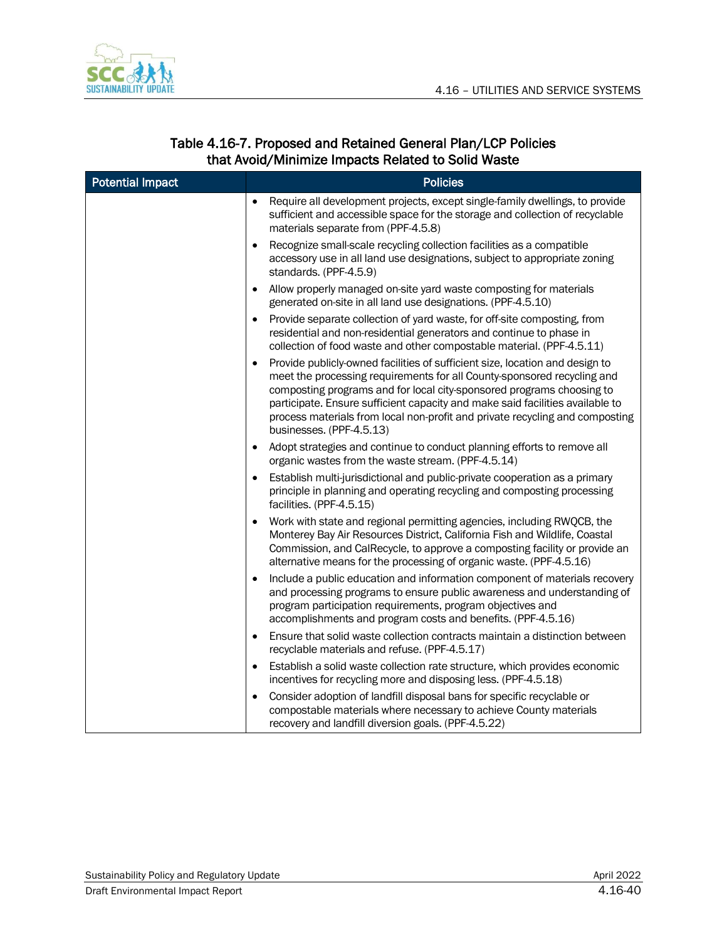

### Table 4.16-7. Proposed and Retained General Plan/LCP Policies that Avoid/Minimize Impacts Related to Solid Waste

| <b>Potential Impact</b> | <b>Policies</b>                                                                                                                                                                                                                                                                                                                                                                                                                            |  |  |
|-------------------------|--------------------------------------------------------------------------------------------------------------------------------------------------------------------------------------------------------------------------------------------------------------------------------------------------------------------------------------------------------------------------------------------------------------------------------------------|--|--|
|                         | Require all development projects, except single-family dwellings, to provide<br>sufficient and accessible space for the storage and collection of recyclable<br>materials separate from (PPF-4.5.8)                                                                                                                                                                                                                                        |  |  |
|                         | Recognize small-scale recycling collection facilities as a compatible<br>accessory use in all land use designations, subject to appropriate zoning<br>standards. (PPF-4.5.9)                                                                                                                                                                                                                                                               |  |  |
|                         | Allow properly managed on-site yard waste composting for materials<br>generated on-site in all land use designations. (PPF-4.5.10)                                                                                                                                                                                                                                                                                                         |  |  |
|                         | Provide separate collection of yard waste, for off-site composting, from<br>residential and non-residential generators and continue to phase in<br>collection of food waste and other compostable material. (PPF-4.5.11)                                                                                                                                                                                                                   |  |  |
|                         | Provide publicly-owned facilities of sufficient size, location and design to<br>$\bullet$<br>meet the processing requirements for all County-sponsored recycling and<br>composting programs and for local city-sponsored programs choosing to<br>participate. Ensure sufficient capacity and make said facilities available to<br>process materials from local non-profit and private recycling and composting<br>businesses. (PPF-4.5.13) |  |  |
|                         | Adopt strategies and continue to conduct planning efforts to remove all<br>organic wastes from the waste stream. (PPF-4.5.14)                                                                                                                                                                                                                                                                                                              |  |  |
|                         | Establish multi-jurisdictional and public-private cooperation as a primary<br>principle in planning and operating recycling and composting processing<br>facilities. (PPF-4.5.15)                                                                                                                                                                                                                                                          |  |  |
|                         | Work with state and regional permitting agencies, including RWQCB, the<br>Monterey Bay Air Resources District, California Fish and Wildlife, Coastal<br>Commission, and CalRecycle, to approve a composting facility or provide an<br>alternative means for the processing of organic waste. (PPF-4.5.16)                                                                                                                                  |  |  |
|                         | Include a public education and information component of materials recovery<br>and processing programs to ensure public awareness and understanding of<br>program participation requirements, program objectives and<br>accomplishments and program costs and benefits. (PPF-4.5.16)                                                                                                                                                        |  |  |
|                         | Ensure that solid waste collection contracts maintain a distinction between<br>recyclable materials and refuse. (PPF-4.5.17)                                                                                                                                                                                                                                                                                                               |  |  |
|                         | Establish a solid waste collection rate structure, which provides economic<br>$\bullet$<br>incentives for recycling more and disposing less. (PPF-4.5.18)                                                                                                                                                                                                                                                                                  |  |  |
|                         | Consider adoption of landfill disposal bans for specific recyclable or<br>compostable materials where necessary to achieve County materials<br>recovery and landfill diversion goals. (PPF-4.5.22)                                                                                                                                                                                                                                         |  |  |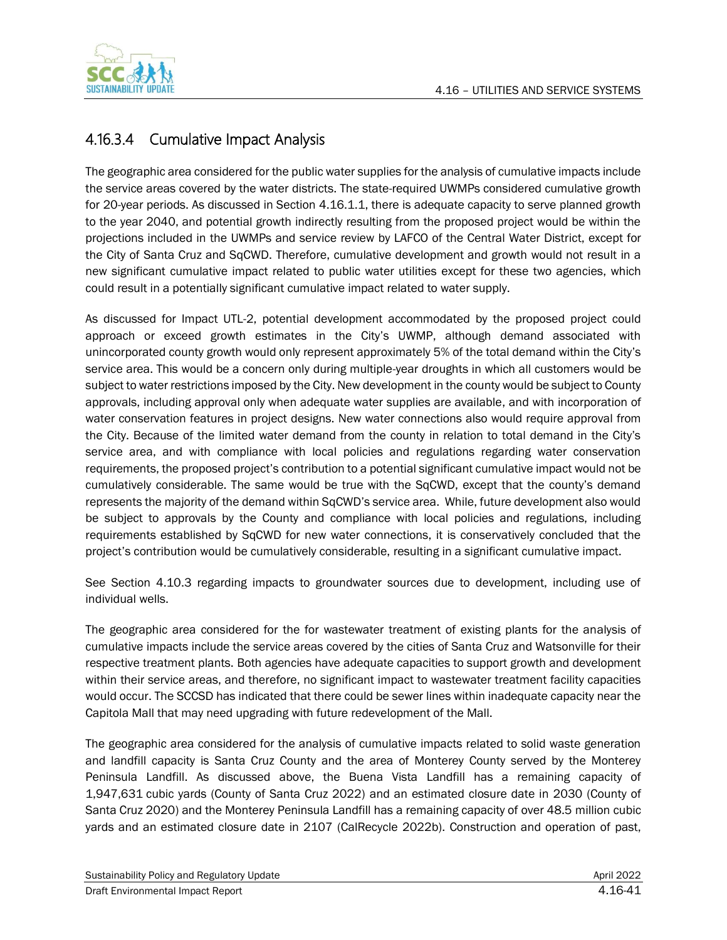

## 4.16.3.4 Cumulative Impact Analysis

The geographic area considered for the public water supplies for the analysis of cumulative impacts include the service areas covered by the water districts. The state-required UWMPs considered cumulative growth for 20-year periods. As discussed in Section 4.16.1.1, there is adequate capacity to serve planned growth to the year 2040, and potential growth indirectly resulting from the proposed project would be within the projections included in the UWMPs and service review by LAFCO of the Central Water District, except for the City of Santa Cruz and SqCWD. Therefore, cumulative development and growth would not result in a new significant cumulative impact related to public water utilities except for these two agencies, which could result in a potentially significant cumulative impact related to water supply.

As discussed for Impact UTL-2, potential development accommodated by the proposed project could approach or exceed growth estimates in the City's UWMP, although demand associated with unincorporated county growth would only represent approximately 5% of the total demand within the City's service area. This would be a concern only during multiple-year droughts in which all customers would be subject to water restrictions imposed by the City. New development in the county would be subject to County approvals, including approval only when adequate water supplies are available, and with incorporation of water conservation features in project designs. New water connections also would require approval from the City. Because of the limited water demand from the county in relation to total demand in the City's service area, and with compliance with local policies and regulations regarding water conservation requirements, the proposed project's contribution to a potential significant cumulative impact would not be cumulatively considerable. The same would be true with the SqCWD, except that the county's demand represents the majority of the demand within SqCWD's service area. While, future development also would be subject to approvals by the County and compliance with local policies and regulations, including requirements established by SqCWD for new water connections, it is conservatively concluded that the project's contribution would be cumulatively considerable, resulting in a significant cumulative impact.

See Section 4.10.3 regarding impacts to groundwater sources due to development, including use of individual wells.

The geographic area considered for the for wastewater treatment of existing plants for the analysis of cumulative impacts include the service areas covered by the cities of Santa Cruz and Watsonville for their respective treatment plants. Both agencies have adequate capacities to support growth and development within their service areas, and therefore, no significant impact to wastewater treatment facility capacities would occur. The SCCSD has indicated that there could be sewer lines within inadequate capacity near the Capitola Mall that may need upgrading with future redevelopment of the Mall.

The geographic area considered for the analysis of cumulative impacts related to solid waste generation and landfill capacity is Santa Cruz County and the area of Monterey County served by the Monterey Peninsula Landfill. As discussed above, the Buena Vista Landfill has a remaining capacity of 1,947,631 cubic yards (County of Santa Cruz 2022) and an estimated closure date in 2030 (County of Santa Cruz 2020) and the Monterey Peninsula Landfill has a remaining capacity of over 48.5 million cubic yards and an estimated closure date in 2107 (CalRecycle 2022b). Construction and operation of past,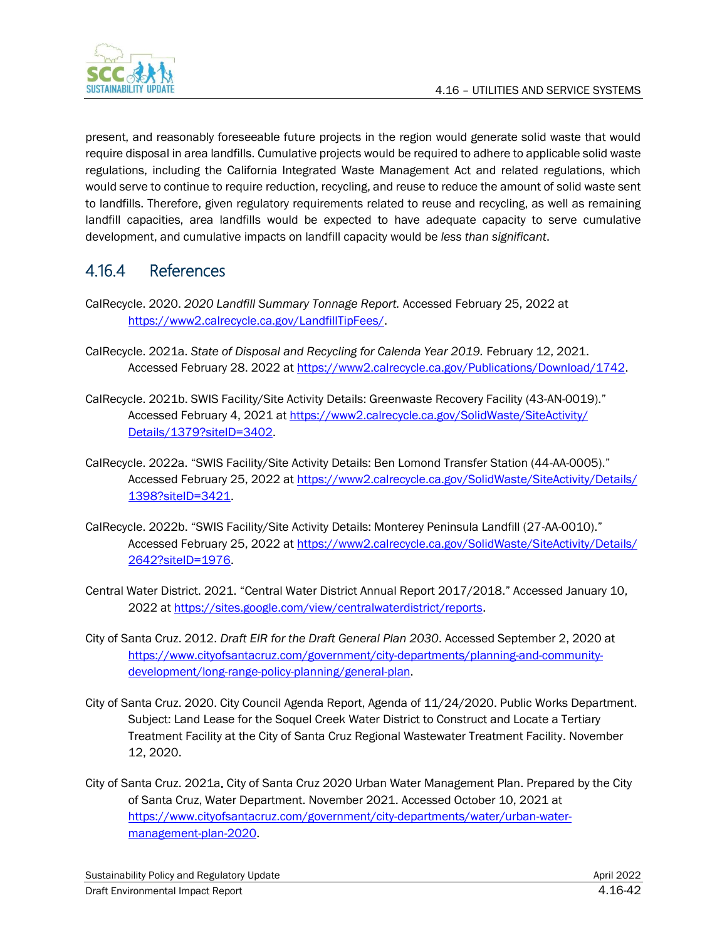

present, and reasonably foreseeable future projects in the region would generate solid waste that would require disposal in area landfills. Cumulative projects would be required to adhere to applicable solid waste regulations, including the California Integrated Waste Management Act and related regulations, which would serve to continue to require reduction, recycling, and reuse to reduce the amount of solid waste sent to landfills. Therefore, given regulatory requirements related to reuse and recycling, as well as remaining landfill capacities, area landfills would be expected to have adequate capacity to serve cumulative development, and cumulative impacts on landfill capacity would be *less than significant*.

## 4.16.4 References

- CalRecycle. 2020. *2020 Landfill Summary Tonnage Report.* Accessed February 25, 2022 at [https://www2.calrecycle.ca.gov/LandfillTipFees/.](https://www2.calrecycle.ca.gov/LandfillTipFees/)
- CalRecycle. 2021a. *State of Disposal and Recycling for Calenda Year 2019.* February 12, 2021. Accessed February 28. 2022 at [https://www2.calrecycle.ca.gov/Publications/Download/1742.](https://www2.calrecycle.ca.gov/Publications/Download/1742)
- CalRecycle. 2021b. SWIS Facility/Site Activity Details: Greenwaste Recovery Facility (43-AN-0019)." Accessed February 4, 2021 at [https://www2.calrecycle.ca.gov/SolidWaste/SiteActivity/](https://www2.calrecycle.ca.gov/SolidWaste/SiteActivity/Details/1379?siteID=3402) [Details/1379?siteID=3402.](https://www2.calrecycle.ca.gov/SolidWaste/SiteActivity/Details/1379?siteID=3402)
- CalRecycle. 2022a. "SWIS Facility/Site Activity Details: Ben Lomond Transfer Station (44-AA-0005)." Accessed February 25, 2022 at [https://www2.calrecycle.ca.gov/SolidWaste/SiteActivity/Details/](https://www2.calrecycle.ca.gov/SolidWaste/SiteActivity/Details/1398?siteID=3421) [1398?siteID=3421.](https://www2.calrecycle.ca.gov/SolidWaste/SiteActivity/Details/1398?siteID=3421)
- CalRecycle. 2022b. "SWIS Facility/Site Activity Details: Monterey Peninsula Landfill (27-AA-0010)." Accessed February 25, 2022 at [https://www2.calrecycle.ca.gov/SolidWaste/SiteActivity/Details/](https://www2.calrecycle.ca.gov/SolidWaste/SiteActivity/Details/2642?siteID=1976) [2642?siteID=1976.](https://www2.calrecycle.ca.gov/SolidWaste/SiteActivity/Details/2642?siteID=1976)
- Central Water District. 2021. "Central Water District Annual Report 2017/2018." Accessed January 10, 2022 a[t https://sites.google.com/view/centralwaterdistrict/reports.](https://sites.google.com/view/centralwaterdistrict/reports)
- City of Santa Cruz. 2012. *Draft EIR for the Draft General Plan 2030*. Accessed September 2, 2020 at [https://www.cityofsantacruz.com/government/city-departments/planning-and-community](https://www.cityofsantacruz.com/government/city-departments/planning-and-community-development/long-range-policy-planning/general-plan)[development/long-range-policy-planning/general-plan.](https://www.cityofsantacruz.com/government/city-departments/planning-and-community-development/long-range-policy-planning/general-plan)
- City of Santa Cruz. 2020. City Council Agenda Report, Agenda of 11/24/2020. Public Works Department. Subject: Land Lease for the Soquel Creek Water District to Construct and Locate a Tertiary Treatment Facility at the City of Santa Cruz Regional Wastewater Treatment Facility. November 12, 2020.
- City of Santa Cruz. 2021a. City of Santa Cruz 2020 Urban Water Management Plan. Prepared by the City of Santa Cruz, Water Department. November 2021. Accessed October 10, 2021 at [https://www.cityofsantacruz.com/government/city-departments/water/urban-water](https://www.cityofsantacruz.com/government/city-departments/water/urban-water-management-plan-2020)[management-plan-2020.](https://www.cityofsantacruz.com/government/city-departments/water/urban-water-management-plan-2020)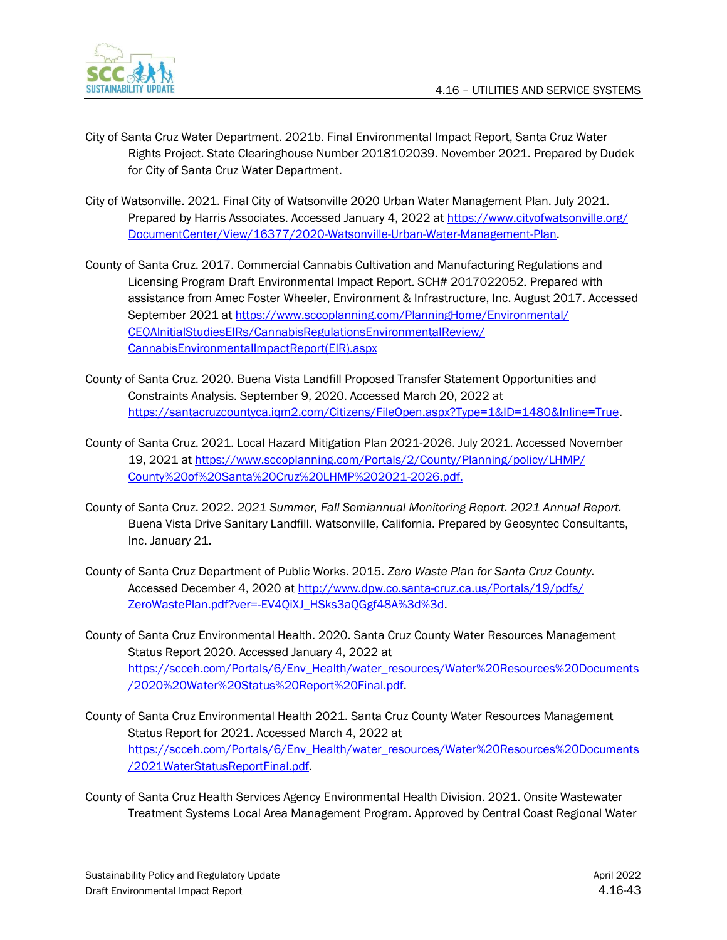

- City of Santa Cruz Water Department. 2021b. Final Environmental Impact Report, Santa Cruz Water Rights Project. State Clearinghouse Number 2018102039. November 2021. Prepared by Dudek for City of Santa Cruz Water Department.
- City of Watsonville. 2021. Final City of Watsonville 2020 Urban Water Management Plan. July 2021. Prepared by Harris Associates. Accessed January 4, 2022 a[t https://www.cityofwatsonville.org/](https://www.cityofwatsonville.org/DocumentCenter/View/16377/2020-Watsonville-Urban-Water-Management-Plan) [DocumentCenter/View/16377/2020-Watsonville-Urban-Water-Management-Plan.](https://www.cityofwatsonville.org/DocumentCenter/View/16377/2020-Watsonville-Urban-Water-Management-Plan)
- County of Santa Cruz. 2017. Commercial Cannabis Cultivation and Manufacturing Regulations and Licensing Program Draft Environmental Impact Report. SCH# 2017022052. Prepared with assistance from Amec Foster Wheeler, Environment & Infrastructure, Inc. August 2017. Accessed September 2021 at [https://www.sccoplanning.com/PlanningHome/Environmental/](https://www.sccoplanning.com/PlanningHome/Environmental/CEQAInitialStudiesEIRs/CannabisRegulationsEnvironmentalReview/CannabisEnvironmentalImpactReport(EIR).aspx) [CEQAInitialStudiesEIRs/CannabisRegulationsEnvironmentalReview/](https://www.sccoplanning.com/PlanningHome/Environmental/CEQAInitialStudiesEIRs/CannabisRegulationsEnvironmentalReview/CannabisEnvironmentalImpactReport(EIR).aspx) [CannabisEnvironmentalImpactReport\(EIR\).aspx](https://www.sccoplanning.com/PlanningHome/Environmental/CEQAInitialStudiesEIRs/CannabisRegulationsEnvironmentalReview/CannabisEnvironmentalImpactReport(EIR).aspx)
- County of Santa Cruz. 2020. Buena Vista Landfill Proposed Transfer Statement Opportunities and Constraints Analysis. September 9, 2020. Accessed March 20, 2022 at [https://santacruzcountyca.iqm2.com/Citizens/FileOpen.aspx?Type=1&ID=1480&Inline=True.](https://santacruzcountyca.iqm2.com/Citizens/FileOpen.aspx?Type=1&ID=1480&Inline=True)
- County of Santa Cruz. 2021. Local Hazard Mitigation Plan 2021-2026. July 2021. Accessed November 19, 2021 at [https://www.sccoplanning.com/Portals/2/County/Planning/policy/LHMP/](https://www.sccoplanning.com/Portals/2/County/Planning/policy/LHMP/County%20of%20Santa%20Cruz%20LHMP%202021-2026.pdf) [County%20of%20Santa%20Cruz%20LHMP%202021-2026.pdf.](https://www.sccoplanning.com/Portals/2/County/Planning/policy/LHMP/County%20of%20Santa%20Cruz%20LHMP%202021-2026.pdf)
- County of Santa Cruz. 2022. *2021 Summer, Fall Semiannual Monitoring Report. 2021 Annual Report.* Buena Vista Drive Sanitary Landfill. Watsonville, California. Prepared by Geosyntec Consultants, Inc. January 21.
- County of Santa Cruz Department of Public Works. 2015. *Zero Waste Plan for Santa Cruz County.* Accessed December 4, 2020 at [http://www.dpw.co.santa-cruz.ca.us/Portals/19/pdfs/](http://www.dpw.co.santa-cruz.ca.us/Portals/19/pdfs/ZeroWastePlan.pdf?ver=-EV4QiXJ_HSks3aQGgf48A%3d%3d) [ZeroWastePlan.pdf?ver=-EV4QiXJ\\_HSks3aQGgf48A%3d%3d.](http://www.dpw.co.santa-cruz.ca.us/Portals/19/pdfs/ZeroWastePlan.pdf?ver=-EV4QiXJ_HSks3aQGgf48A%3d%3d)
- County of Santa Cruz Environmental Health. 2020. Santa Cruz County Water Resources Management Status Report 2020. Accessed January 4, 2022 at [https://scceh.com/Portals/6/Env\\_Health/water\\_resources/Water%20Resources%20Documents](https://scceh.com/Portals/6/Env_Health/water_resources/Water%20Resources%20Documents/2020%20Water%20Status%20Report%20Final.pdf) [/2020%20Water%20Status%20Report%20Final.pdf.](https://scceh.com/Portals/6/Env_Health/water_resources/Water%20Resources%20Documents/2020%20Water%20Status%20Report%20Final.pdf)
- County of Santa Cruz Environmental Health 2021. Santa Cruz County Water Resources Management Status Report for 2021. Accessed March 4, 2022 at [https://scceh.com/Portals/6/Env\\_Health/water\\_resources/Water%20Resources%20Documents](https://scceh.com/Portals/6/Env_Health/water_resources/Water%20Resources%20Documents/2021WaterStatusReportFinal.pdf) [/2021WaterStatusReportFinal.pdf.](https://scceh.com/Portals/6/Env_Health/water_resources/Water%20Resources%20Documents/2021WaterStatusReportFinal.pdf)
- County of Santa Cruz Health Services Agency Environmental Health Division. 2021. Onsite Wastewater Treatment Systems Local Area Management Program. Approved by Central Coast Regional Water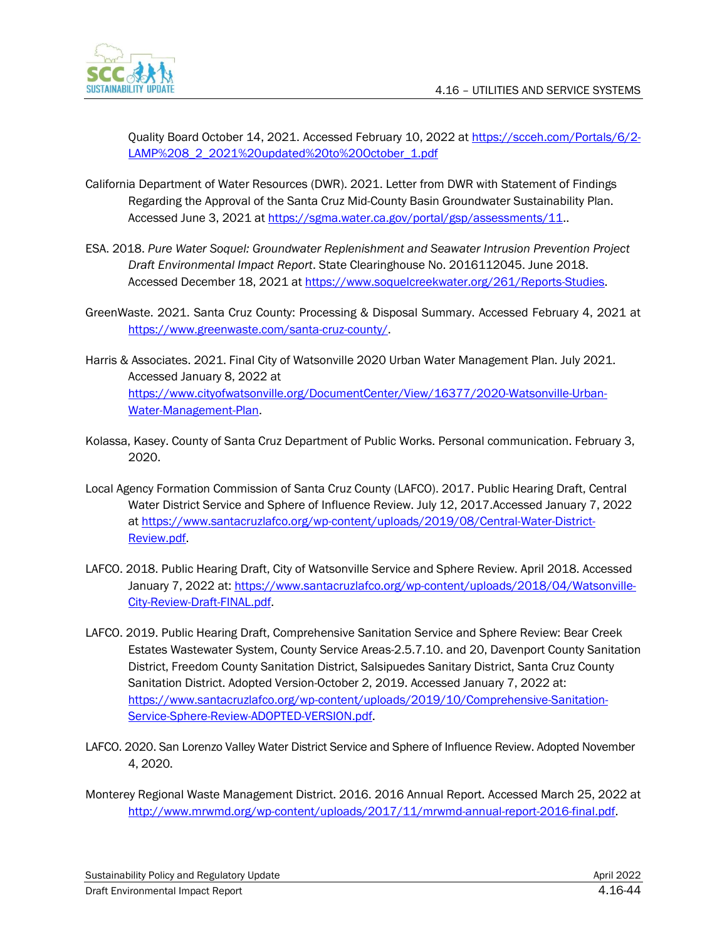

Quality Board October 14, 2021. Accessed February 10, 2022 at [https://scceh.com/Portals/6/2-](https://scceh.com/Portals/6/2-LAMP%208_2_2021%20updated%20to%20October_1.pdf) [LAMP%208\\_2\\_2021%20updated%20to%20October\\_1.pdf](https://scceh.com/Portals/6/2-LAMP%208_2_2021%20updated%20to%20October_1.pdf)

- California Department of Water Resources (DWR). 2021. Letter from DWR with Statement of Findings Regarding the Approval of the Santa Cruz Mid-County Basin Groundwater Sustainability Plan. Accessed June 3, 2021 at [https://sgma.water.ca.gov/portal/gsp/assessments/11.](https://sgma.water.ca.gov/portal/gsp/assessments/11).
- ESA. 2018. *Pure Water Soquel: Groundwater Replenishment and Seawater Intrusion Prevention Project Draft Environmental Impact Report*. State Clearinghouse No. 2016112045. June 2018. Accessed December 18, 2021 at [https://www.soquelcreekwater.org/261/Reports-Studies.](https://www.soquelcreekwater.org/261/Reports-Studies)
- GreenWaste. 2021. Santa Cruz County: Processing & Disposal Summary. Accessed February 4, 2021 at [https://www.greenwaste.com/santa-cruz-county/.](https://www.greenwaste.com/santa-cruz-county/)
- Harris & Associates. 2021. Final City of Watsonville 2020 Urban Water Management Plan. July 2021. Accessed January 8, 2022 at [https://www.cityofwatsonville.org/DocumentCenter/View/16377/2020-Watsonville-Urban-](https://www.cityofwatsonville.org/DocumentCenter/View/16377/2020-Watsonville-Urban-Water-Management-Plan)[Water-Management-Plan.](https://www.cityofwatsonville.org/DocumentCenter/View/16377/2020-Watsonville-Urban-Water-Management-Plan)
- Kolassa, Kasey. County of Santa Cruz Department of Public Works. Personal communication. February 3, 2020.
- Local Agency Formation Commission of Santa Cruz County (LAFCO). 2017. Public Hearing Draft, Central Water District Service and Sphere of Influence Review. July 12, 2017.Accessed January 7, 2022 at [https://www.santacruzlafco.org/wp-content/uploads/2019/08/Central-Water-District-](https://www.santacruzlafco.org/wp-content/uploads/2019/08/Central-Water-District-Review.pdf)[Review.pdf.](https://www.santacruzlafco.org/wp-content/uploads/2019/08/Central-Water-District-Review.pdf)
- LAFCO. 2018. Public Hearing Draft, City of Watsonville Service and Sphere Review. April 2018. Accessed January 7, 2022 at: [https://www.santacruzlafco.org/wp-content/uploads/2018/04/Watsonville-](https://www.santacruzlafco.org/wp-content/uploads/2018/04/Watsonville-City-Review-Draft-FINAL.pdf)[City-Review-Draft-FINAL.pdf.](https://www.santacruzlafco.org/wp-content/uploads/2018/04/Watsonville-City-Review-Draft-FINAL.pdf)
- LAFCO. 2019. Public Hearing Draft, Comprehensive Sanitation Service and Sphere Review: Bear Creek Estates Wastewater System, County Service Areas-2.5.7.10. and 20, Davenport County Sanitation District, Freedom County Sanitation District, Salsipuedes Sanitary District, Santa Cruz County Sanitation District. Adopted Version-October 2, 2019. Accessed January 7, 2022 at: [https://www.santacruzlafco.org/wp-content/uploads/2019/10/Comprehensive-Sanitation-](https://www.santacruzlafco.org/wp-content/uploads/2019/10/Comprehensive-Sanitation-Service-Sphere-Review-ADOPTED-VERSION.pdf)[Service-Sphere-Review-ADOPTED-VERSION.pdf.](https://www.santacruzlafco.org/wp-content/uploads/2019/10/Comprehensive-Sanitation-Service-Sphere-Review-ADOPTED-VERSION.pdf)
- LAFCO. 2020. San Lorenzo Valley Water District Service and Sphere of Influence Review. Adopted November 4, 2020.
- Monterey Regional Waste Management District. 2016. 2016 Annual Report. Accessed March 25, 2022 at [http://www.mrwmd.org/wp-content/uploads/2017/11/mrwmd-annual-report-2016-final.pdf.](http://www.mrwmd.org/wp-content/uploads/2017/11/mrwmd-annual-report-2016-final.pdf)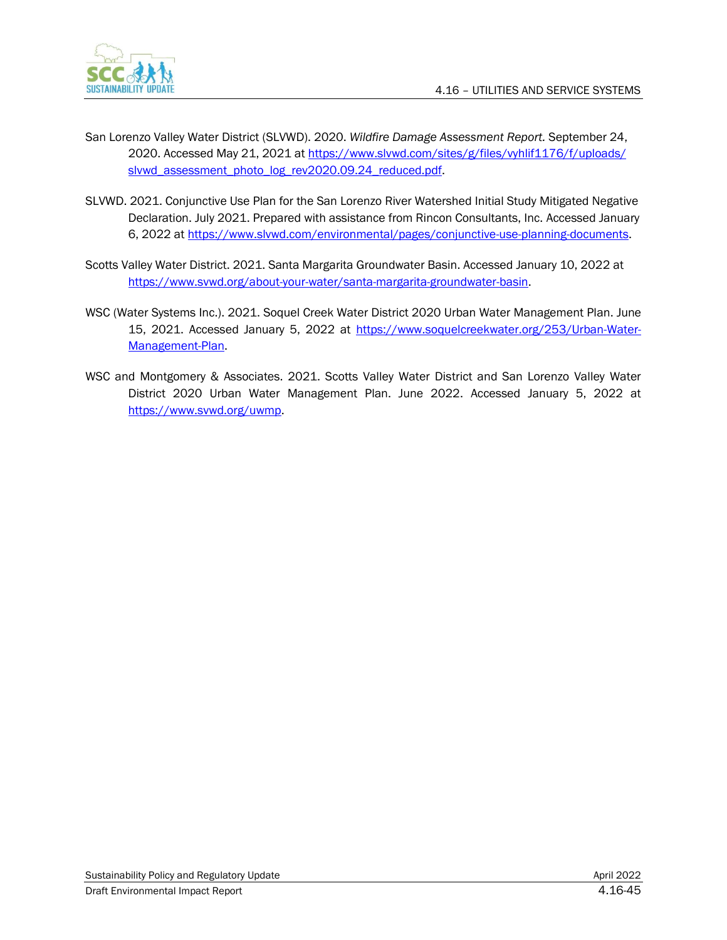

- San Lorenzo Valley Water District (SLVWD). 2020. *Wildfire Damage Assessment Report.* September 24, 2020. Accessed May 21, 2021 a[t https://www.slvwd.com/sites/g/files/vyhlif1176/f/uploads/](https://www.slvwd.com/sites/g/files/vyhlif1176/f/uploads/slvwd_assessment_photo_log_rev2020.09.24_reduced.pdf) [slvwd\\_assessment\\_photo\\_log\\_rev2020.09.24\\_reduced.pdf.](https://www.slvwd.com/sites/g/files/vyhlif1176/f/uploads/slvwd_assessment_photo_log_rev2020.09.24_reduced.pdf)
- SLVWD. 2021. Conjunctive Use Plan for the San Lorenzo River Watershed Initial Study Mitigated Negative Declaration. July 2021. Prepared with assistance from Rincon Consultants, Inc. Accessed January 6, 2022 at [https://www.slvwd.com/environmental/pages/conjunctive-use-planning-documents.](https://www.slvwd.com/environmental/pages/conjunctive-use-planning-documents)
- Scotts Valley Water District. 2021. Santa Margarita Groundwater Basin. Accessed January 10, 2022 at [https://www.svwd.org/about-your-water/santa-margarita-groundwater-basin.](https://www.svwd.org/about-your-water/santa-margarita-groundwater-basin)
- WSC (Water Systems Inc.). 2021. Soquel Creek Water District 2020 Urban Water Management Plan. June 15, 2021. Accessed January 5, 2022 at [https://www.soquelcreekwater.org/253/Urban-Water-](https://www.soquelcreekwater.org/253/Urban-Water-Management-Plan)[Management-Plan.](https://www.soquelcreekwater.org/253/Urban-Water-Management-Plan)
- WSC and Montgomery & Associates. 2021. Scotts Valley Water District and San Lorenzo Valley Water District 2020 Urban Water Management Plan. June 2022. Accessed January 5, 2022 at [https://www.svwd.org/uwmp.](https://www.svwd.org/uwmp)